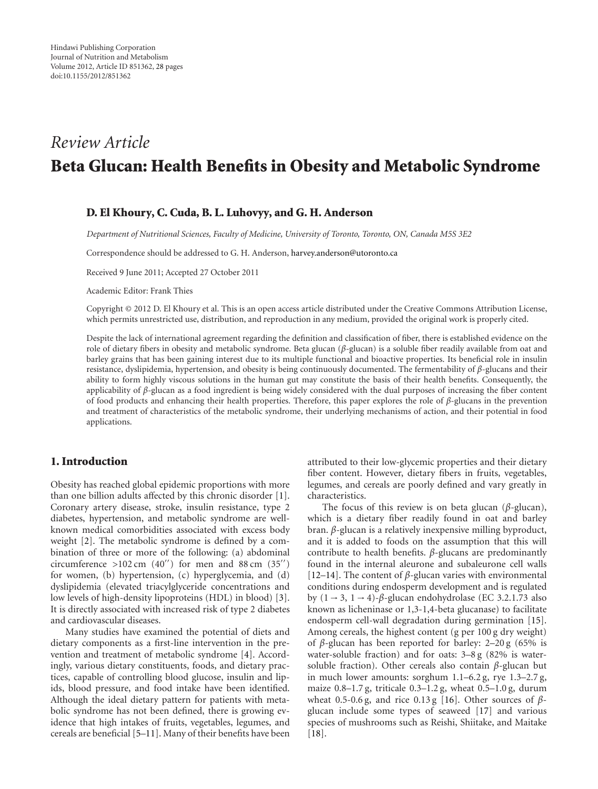# *Review Article* **Beta Glucan: Health Benefits in Obesity and Metabolic Syndrome**

### **D. El Khoury, C. Cuda, B. L. Luhovyy, and G. H. Anderson**

*Department of Nutritional Sciences, Faculty of Medicine, University of Toronto, Toronto, ON, Canada M5S 3E2*

Correspondence should be addressed to G. H. Anderson, [harvey.anderson@utoronto.ca](mailto:harvey.anderson@utoronto.ca)

Received 9 June 2011; Accepted 27 October 2011

Academic Editor: Frank Thies

Copyright © 2012 D. El Khoury et al. This is an open access article distributed under the Creative Commons Attribution License, which permits unrestricted use, distribution, and reproduction in any medium, provided the original work is properly cited.

Despite the lack of international agreement regarding the definition and classification of fiber, there is established evidence on the role of dietary fibers in obesity and metabolic syndrome. Beta glucan (*β*-glucan) is a soluble fiber readily available from oat and barley grains that has been gaining interest due to its multiple functional and bioactive properties. Its beneficial role in insulin resistance, dyslipidemia, hypertension, and obesity is being continuously documented. The fermentability of *β*-glucans and their ability to form highly viscous solutions in the human gut may constitute the basis of their health benefits. Consequently, the applicability of *β*-glucan as a food ingredient is being widely considered with the dual purposes of increasing the fiber content of food products and enhancing their health properties. Therefore, this paper explores the role of *β*-glucans in the prevention and treatment of characteristics of the metabolic syndrome, their underlying mechanisms of action, and their potential in food applications.

#### **1. Introduction**

Obesity has reached global epidemic proportions with more than one billion adults affected by this chronic disorder [\[1\]](#page-15-1). Coronary artery disease, stroke, insulin resistance, type 2 diabetes, hypertension, and metabolic syndrome are wellknown medical comorbidities associated with excess body weight [\[2](#page-15-2)]. The metabolic syndrome is defined by a combination of three or more of the following: (a) abdominal circumference  $>102$  cm  $(40'')$  for men and  $88$  cm  $(35'')$ for women, (b) hypertension, (c) hyperglycemia, and (d) dyslipidemia (elevated triacylglyceride concentrations and low levels of high-density lipoproteins (HDL) in blood) [\[3\]](#page-15-3). It is directly associated with increased risk of type 2 diabetes and cardiovascular diseases.

Many studies have examined the potential of diets and dietary components as a first-line intervention in the prevention and treatment of metabolic syndrome [\[4\]](#page-15-4). Accordingly, various dietary constituents, foods, and dietary practices, capable of controlling blood glucose, insulin and lipids, blood pressure, and food intake have been identified. Although the ideal dietary pattern for patients with metabolic syndrome has not been defined, there is growing evidence that high intakes of fruits, vegetables, legumes, and cereals are beneficial [\[5](#page-15-5)[–11\]](#page-15-6). Many of their benefits have been attributed to their low-glycemic properties and their dietary fiber content. However, dietary fibers in fruits, vegetables, legumes, and cereals are poorly defined and vary greatly in characteristics.

The focus of this review is on beta glucan (*β*-glucan), which is a dietary fiber readily found in oat and barley bran. *β*-glucan is a relatively inexpensive milling byproduct, and it is added to foods on the assumption that this will contribute to health benefits. *β*-glucans are predominantly found in the internal aleurone and subaleurone cell walls [\[12](#page-15-7)[–14](#page-16-0)]. The content of *β*-glucan varies with environmental conditions during endosperm development and is regulated by  $(1 \rightarrow 3, 1 \rightarrow 4)$ - $\beta$ -glucan endohydrolase (EC 3.2.1.73 also known as licheninase or 1,3-1,4-beta glucanase) to facilitate endosperm cell-wall degradation during germination [\[15\]](#page-16-1). Among cereals, the highest content (g per 100 g dry weight) of *β*-glucan has been reported for barley:  $2-20$  g (65% is water-soluble fraction) and for oats: 3–8 g (82% is watersoluble fraction). Other cereals also contain *β*-glucan but in much lower amounts: sorghum 1.1–6.2 g, rye 1.3–2.7 g, maize 0.8–1.7 g, triticale 0.3–1.2 g, wheat 0.5–1.0 g, durum wheat 0.5-0.6 g, and rice 0.13 g [\[16\]](#page-16-2). Other sources of *β*glucan include some types of seaweed [\[17\]](#page-16-3) and various species of mushrooms such as Reishi, Shiitake, and Maitake [\[18\]](#page-16-4).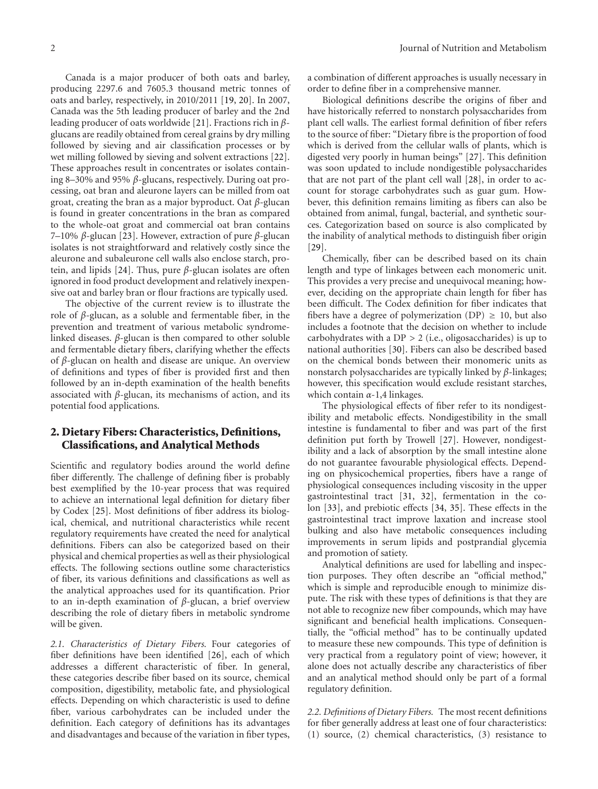Canada is a major producer of both oats and barley, producing 2297.6 and 7605.3 thousand metric tonnes of oats and barley, respectively, in 2010/2011 [\[19,](#page-16-5) [20](#page-16-6)]. In 2007, Canada was the 5th leading producer of barley and the 2nd leading producer of oats worldwide [\[21](#page-16-7)]. Fractions rich in *β*glucans are readily obtained from cereal grains by dry milling followed by sieving and air classification processes or by wet milling followed by sieving and solvent extractions [\[22\]](#page-16-8). These approaches result in concentrates or isolates containing 8–30% and 95% *β*-glucans, respectively. During oat processing, oat bran and aleurone layers can be milled from oat groat, creating the bran as a major byproduct. Oat *β*-glucan is found in greater concentrations in the bran as compared to the whole-oat groat and commercial oat bran contains 7–10% *β*-glucan [\[23\]](#page-16-9). However, extraction of pure *β*-glucan isolates is not straightforward and relatively costly since the aleurone and subaleurone cell walls also enclose starch, protein, and lipids [\[24](#page-16-10)]. Thus, pure *β*-glucan isolates are often ignored in food product development and relatively inexpensive oat and barley bran or flour fractions are typically used.

The objective of the current review is to illustrate the role of *β*-glucan, as a soluble and fermentable fiber, in the prevention and treatment of various metabolic syndromelinked diseases. *β*-glucan is then compared to other soluble and fermentable dietary fibers, clarifying whether the effects of *β*-glucan on health and disease are unique. An overview of definitions and types of fiber is provided first and then followed by an in-depth examination of the health benefits associated with *β*-glucan, its mechanisms of action, and its potential food applications.

## **2. Dietary Fibers: Characteristics, Definitions, Classifications, and Analytical Methods**

Scientific and regulatory bodies around the world define fiber differently. The challenge of defining fiber is probably best exemplified by the 10-year process that was required to achieve an international legal definition for dietary fiber by Codex [\[25](#page-16-11)]. Most definitions of fiber address its biological, chemical, and nutritional characteristics while recent regulatory requirements have created the need for analytical definitions. Fibers can also be categorized based on their physical and chemical properties as well as their physiological effects. The following sections outline some characteristics of fiber, its various definitions and classifications as well as the analytical approaches used for its quantification. Prior to an in-depth examination of *β*-glucan, a brief overview describing the role of dietary fibers in metabolic syndrome will be given.

*2.1. Characteristics of Dietary Fibers.* Four categories of fiber definitions have been identified [\[26\]](#page-16-12), each of which addresses a different characteristic of fiber. In general, these categories describe fiber based on its source, chemical composition, digestibility, metabolic fate, and physiological effects. Depending on which characteristic is used to define fiber, various carbohydrates can be included under the definition. Each category of definitions has its advantages and disadvantages and because of the variation in fiber types,

a combination of different approaches is usually necessary in order to define fiber in a comprehensive manner.

Biological definitions describe the origins of fiber and have historically referred to nonstarch polysaccharides from plant cell walls. The earliest formal definition of fiber refers to the source of fiber: "Dietary fibre is the proportion of food which is derived from the cellular walls of plants, which is digested very poorly in human beings" [\[27\]](#page-16-13). This definition was soon updated to include nondigestible polysaccharides that are not part of the plant cell wall [\[28\]](#page-16-14), in order to account for storage carbohydrates such as guar gum. Howbever, this definition remains limiting as fibers can also be obtained from animal, fungal, bacterial, and synthetic sources. Categorization based on source is also complicated by the inability of analytical methods to distinguish fiber origin [\[29\]](#page-16-15).

Chemically, fiber can be described based on its chain length and type of linkages between each monomeric unit. This provides a very precise and unequivocal meaning; however, deciding on the appropriate chain length for fiber has been difficult. The Codex definition for fiber indicates that fibers have a degree of polymerization (DP)  $\geq$  10, but also includes a footnote that the decision on whether to include carbohydrates with a DP *>* 2 (i.e., oligosaccharides) is up to national authorities [\[30](#page-16-16)]. Fibers can also be described based on the chemical bonds between their monomeric units as nonstarch polysaccharides are typically linked by *β*-linkages; however, this specification would exclude resistant starches, which contain *α*-1,4 linkages.

The physiological effects of fiber refer to its nondigestibility and metabolic effects. Nondigestibility in the small intestine is fundamental to fiber and was part of the first definition put forth by Trowell [\[27](#page-16-13)]. However, nondigestibility and a lack of absorption by the small intestine alone do not guarantee favourable physiological effects. Depending on physicochemical properties, fibers have a range of physiological consequences including viscosity in the upper gastrointestinal tract [\[31,](#page-16-17) [32](#page-16-18)], fermentation in the colon [\[33](#page-16-19)], and prebiotic effects [\[34](#page-16-20), [35](#page-16-21)]. These effects in the gastrointestinal tract improve laxation and increase stool bulking and also have metabolic consequences including improvements in serum lipids and postprandial glycemia and promotion of satiety.

Analytical definitions are used for labelling and inspection purposes. They often describe an "official method," which is simple and reproducible enough to minimize dispute. The risk with these types of definitions is that they are not able to recognize new fiber compounds, which may have significant and beneficial health implications. Consequentially, the "official method" has to be continually updated to measure these new compounds. This type of definition is very practical from a regulatory point of view; however, it alone does not actually describe any characteristics of fiber and an analytical method should only be part of a formal regulatory definition.

*2.2. Definitions of Dietary Fibers.* The most recent definitions for fiber generally address at least one of four characteristics: (1) source, (2) chemical characteristics, (3) resistance to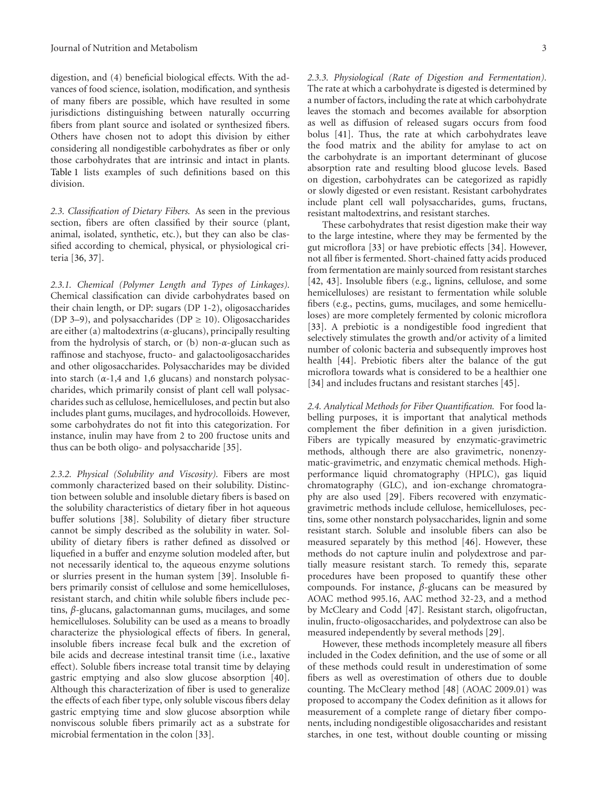digestion, and (4) beneficial biological effects. With the advances of food science, isolation, modification, and synthesis of many fibers are possible, which have resulted in some jurisdictions distinguishing between naturally occurring fibers from plant source and isolated or synthesized fibers. Others have chosen not to adopt this division by either considering all nondigestible carbohydrates as fiber or only those carbohydrates that are intrinsic and intact in plants. [Table 1](#page-3-0) lists examples of such definitions based on this division.

*2.3. Classification of Dietary Fibers.* As seen in the previous section, fibers are often classified by their source (plant, animal, isolated, synthetic, etc.), but they can also be classified according to chemical, physical, or physiological criteria [\[36](#page-16-22), [37](#page-16-23)].

*2.3.1. Chemical (Polymer Length and Types of Linkages).* Chemical classification can divide carbohydrates based on their chain length, or DP: sugars (DP 1-2), oligosaccharides (DP 3–9), and polysaccharides (DP  $\geq$  10). Oligosaccharides are either (a) maltodextrins (*α*-glucans), principally resulting from the hydrolysis of starch, or (b) non-*α*-glucan such as raffinose and stachyose, fructo- and galactooligosaccharides and other oligosaccharides. Polysaccharides may be divided into starch  $(\alpha-1,4$  and 1,6 glucans) and nonstarch polysaccharides, which primarily consist of plant cell wall polysaccharides such as cellulose, hemicelluloses, and pectin but also includes plant gums, mucilages, and hydrocolloids. However, some carbohydrates do not fit into this categorization. For instance, inulin may have from 2 to 200 fructose units and thus can be both oligo- and polysaccharide [\[35\]](#page-16-21).

*2.3.2. Physical (Solubility and Viscosity).* Fibers are most commonly characterized based on their solubility. Distinction between soluble and insoluble dietary fibers is based on the solubility characteristics of dietary fiber in hot aqueous buffer solutions [\[38](#page-16-24)]. Solubility of dietary fiber structure cannot be simply described as the solubility in water. Solubility of dietary fibers is rather defined as dissolved or liquefied in a buffer and enzyme solution modeled after, but not necessarily identical to, the aqueous enzyme solutions or slurries present in the human system [\[39\]](#page-16-25). Insoluble fibers primarily consist of cellulose and some hemicelluloses, resistant starch, and chitin while soluble fibers include pectins, *β*-glucans, galactomannan gums, mucilages, and some hemicelluloses. Solubility can be used as a means to broadly characterize the physiological effects of fibers. In general, insoluble fibers increase fecal bulk and the excretion of bile acids and decrease intestinal transit time (i.e., laxative effect). Soluble fibers increase total transit time by delaying gastric emptying and also slow glucose absorption [\[40\]](#page-16-26). Although this characterization of fiber is used to generalize the effects of each fiber type, only soluble viscous fibers delay gastric emptying time and slow glucose absorption while nonviscous soluble fibers primarily act as a substrate for microbial fermentation in the colon [\[33\]](#page-16-19).

*2.3.3. Physiological (Rate of Digestion and Fermentation).* The rate at which a carbohydrate is digested is determined by a number of factors, including the rate at which carbohydrate leaves the stomach and becomes available for absorption as well as diffusion of released sugars occurs from food bolus [\[41\]](#page-16-27). Thus, the rate at which carbohydrates leave the food matrix and the ability for amylase to act on the carbohydrate is an important determinant of glucose absorption rate and resulting blood glucose levels. Based on digestion, carbohydrates can be categorized as rapidly or slowly digested or even resistant. Resistant carbohydrates include plant cell wall polysaccharides, gums, fructans, resistant maltodextrins, and resistant starches.

These carbohydrates that resist digestion make their way to the large intestine, where they may be fermented by the gut microflora [\[33](#page-16-19)] or have prebiotic effects [\[34](#page-16-20)]. However, not all fiber is fermented. Short-chained fatty acids produced from fermentation are mainly sourced from resistant starches [\[42,](#page-16-28) [43](#page-16-29)]. Insoluble fibers (e.g., lignins, cellulose, and some hemicelluloses) are resistant to fermentation while soluble fibers (e.g., pectins, gums, mucilages, and some hemicelluloses) are more completely fermented by colonic microflora [\[33\]](#page-16-19). A prebiotic is a nondigestible food ingredient that selectively stimulates the growth and/or activity of a limited number of colonic bacteria and subsequently improves host health [\[44\]](#page-16-30). Prebiotic fibers alter the balance of the gut microflora towards what is considered to be a healthier one [\[34\]](#page-16-20) and includes fructans and resistant starches [\[45\]](#page-16-31).

*2.4. Analytical Methods for Fiber Quantification.* For food labelling purposes, it is important that analytical methods complement the fiber definition in a given jurisdiction. Fibers are typically measured by enzymatic-gravimetric methods, although there are also gravimetric, nonenzymatic-gravimetric, and enzymatic chemical methods. Highperformance liquid chromatography (HPLC), gas liquid chromatography (GLC), and ion-exchange chromatography are also used [\[29](#page-16-15)]. Fibers recovered with enzymaticgravimetric methods include cellulose, hemicelluloses, pectins, some other nonstarch polysaccharides, lignin and some resistant starch. Soluble and insoluble fibers can also be measured separately by this method [\[46\]](#page-16-32). However, these methods do not capture inulin and polydextrose and partially measure resistant starch. To remedy this, separate procedures have been proposed to quantify these other compounds. For instance, *β*-glucans can be measured by AOAC method 995.16, AAC method 32-23, and a method by McCleary and Codd [\[47\]](#page-16-33). Resistant starch, oligofructan, inulin, fructo-oligosaccharides, and polydextrose can also be measured independently by several methods [\[29](#page-16-15)].

However, these methods incompletely measure all fibers included in the Codex definition, and the use of some or all of these methods could result in underestimation of some fibers as well as overestimation of others due to double counting. The McCleary method [\[48](#page-16-34)] (AOAC 2009.01) was proposed to accompany the Codex definition as it allows for measurement of a complete range of dietary fiber components, including nondigestible oligosaccharides and resistant starches, in one test, without double counting or missing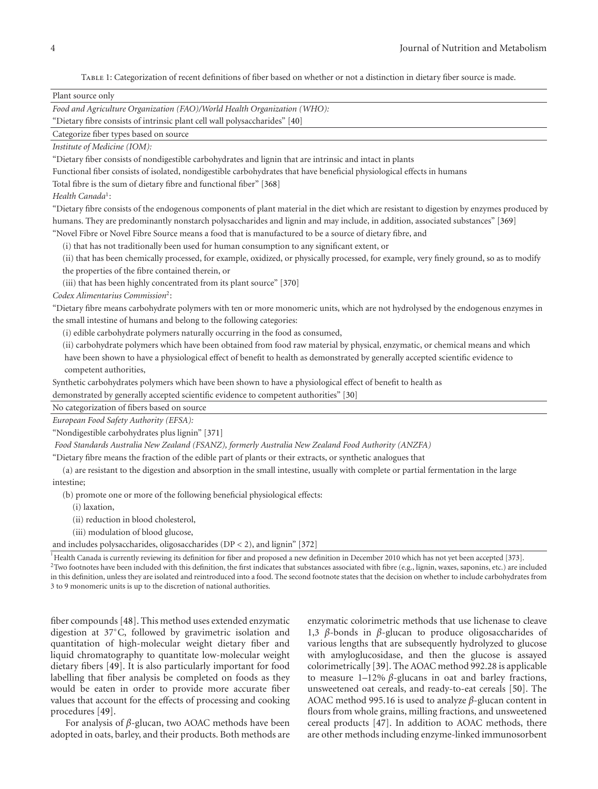<span id="page-3-0"></span>Table 1: Categorization of recent definitions of fiber based on whether or not a distinction in dietary fiber source is made.

| Plant source only                                                                                                                                                                                                                                                                                                                                                                                                                                                                                                        |
|--------------------------------------------------------------------------------------------------------------------------------------------------------------------------------------------------------------------------------------------------------------------------------------------------------------------------------------------------------------------------------------------------------------------------------------------------------------------------------------------------------------------------|
| Food and Agriculture Organization (FAO)/World Health Organization (WHO):                                                                                                                                                                                                                                                                                                                                                                                                                                                 |
| "Dietary fibre consists of intrinsic plant cell wall polysaccharides" [40]                                                                                                                                                                                                                                                                                                                                                                                                                                               |
| Categorize fiber types based on source                                                                                                                                                                                                                                                                                                                                                                                                                                                                                   |
| Institute of Medicine (IOM):                                                                                                                                                                                                                                                                                                                                                                                                                                                                                             |
| "Dietary fiber consists of nondigestible carbohydrates and lignin that are intrinsic and intact in plants                                                                                                                                                                                                                                                                                                                                                                                                                |
| Functional fiber consists of isolated, nondigestible carbohydrates that have beneficial physiological effects in humans                                                                                                                                                                                                                                                                                                                                                                                                  |
| Total fibre is the sum of dietary fibre and functional fiber" [368]                                                                                                                                                                                                                                                                                                                                                                                                                                                      |
| Health Canada <sup>1</sup> :                                                                                                                                                                                                                                                                                                                                                                                                                                                                                             |
| "Dietary fibre consists of the endogenous components of plant material in the diet which are resistant to digestion by enzymes produced by                                                                                                                                                                                                                                                                                                                                                                               |
| humans. They are predominantly nonstarch polysaccharides and lignin and may include, in addition, associated substances" [369]                                                                                                                                                                                                                                                                                                                                                                                           |
| "Novel Fibre or Novel Fibre Source means a food that is manufactured to be a source of dietary fibre, and                                                                                                                                                                                                                                                                                                                                                                                                                |
| (i) that has not traditionally been used for human consumption to any significant extent, or                                                                                                                                                                                                                                                                                                                                                                                                                             |
| (ii) that has been chemically processed, for example, oxidized, or physically processed, for example, very finely ground, so as to modify                                                                                                                                                                                                                                                                                                                                                                                |
| the properties of the fibre contained therein, or                                                                                                                                                                                                                                                                                                                                                                                                                                                                        |
| (iii) that has been highly concentrated from its plant source" [370]                                                                                                                                                                                                                                                                                                                                                                                                                                                     |
| Codex Alimentarius Commission <sup>2</sup> :                                                                                                                                                                                                                                                                                                                                                                                                                                                                             |
| "Dietary fibre means carbohydrate polymers with ten or more monomeric units, which are not hydrolysed by the endogenous enzymes in                                                                                                                                                                                                                                                                                                                                                                                       |
| the small intestine of humans and belong to the following categories:                                                                                                                                                                                                                                                                                                                                                                                                                                                    |
| (i) edible carbohydrate polymers naturally occurring in the food as consumed,                                                                                                                                                                                                                                                                                                                                                                                                                                            |
| (ii) carbohydrate polymers which have been obtained from food raw material by physical, enzymatic, or chemical means and which                                                                                                                                                                                                                                                                                                                                                                                           |
| have been shown to have a physiological effect of benefit to health as demonstrated by generally accepted scientific evidence to                                                                                                                                                                                                                                                                                                                                                                                         |
| competent authorities,                                                                                                                                                                                                                                                                                                                                                                                                                                                                                                   |
| Synthetic carbohydrates polymers which have been shown to have a physiological effect of benefit to health as                                                                                                                                                                                                                                                                                                                                                                                                            |
| demonstrated by generally accepted scientific evidence to competent authorities" [30]                                                                                                                                                                                                                                                                                                                                                                                                                                    |
| No categorization of fibers based on source                                                                                                                                                                                                                                                                                                                                                                                                                                                                              |
| European Food Safety Authority (EFSA):                                                                                                                                                                                                                                                                                                                                                                                                                                                                                   |
| "Nondigestible carbohydrates plus lignin" [371]                                                                                                                                                                                                                                                                                                                                                                                                                                                                          |
| Food Standards Australia New Zealand (FSANZ), formerly Australia New Zealand Food Authority (ANZFA)                                                                                                                                                                                                                                                                                                                                                                                                                      |
| "Dietary fibre means the fraction of the edible part of plants or their extracts, or synthetic analogues that                                                                                                                                                                                                                                                                                                                                                                                                            |
| (a) are resistant to the digestion and absorption in the small intestine, usually with complete or partial fermentation in the large                                                                                                                                                                                                                                                                                                                                                                                     |
| intestine;                                                                                                                                                                                                                                                                                                                                                                                                                                                                                                               |
| (b) promote one or more of the following beneficial physiological effects:                                                                                                                                                                                                                                                                                                                                                                                                                                               |
| (i) laxation,                                                                                                                                                                                                                                                                                                                                                                                                                                                                                                            |
| (ii) reduction in blood cholesterol,                                                                                                                                                                                                                                                                                                                                                                                                                                                                                     |
| (iii) modulation of blood glucose,<br>and includes polysaccharides, oligosaccharides ( $DP < 2$ ), and lignin" [372]                                                                                                                                                                                                                                                                                                                                                                                                     |
|                                                                                                                                                                                                                                                                                                                                                                                                                                                                                                                          |
| <sup>1</sup> Health Canada is currently reviewing its definition for fiber and proposed a new definition in December 2010 which has not yet been accepted [373].<br><sup>2</sup> Two footnotes have been included with this definition, the first indicates that substances associated with fibre (e.g., lignin, waxes, saponins, etc.) are included<br>in this definition, unless they are isolated and reintroduced into a food. The second footnote states that the decision on whether to include carbohydrates from |

fiber compounds [\[48](#page-16-34)]. This method uses extended enzymatic digestion at 37◦C, followed by gravimetric isolation and quantitation of high-molecular weight dietary fiber and liquid chromatography to quantitate low-molecular weight dietary fibers [\[49\]](#page-17-0). It is also particularly important for food labelling that fiber analysis be completed on foods as they would be eaten in order to provide more accurate fiber values that account for the effects of processing and cooking procedures [\[49](#page-17-0)].

3 to 9 monomeric units is up to the discretion of national authorities.

For analysis of *β*-glucan, two AOAC methods have been adopted in oats, barley, and their products. Both methods are enzymatic colorimetric methods that use lichenase to cleave 1,3 *β*-bonds in *β*-glucan to produce oligosaccharides of various lengths that are subsequently hydrolyzed to glucose with amyloglucosidase, and then the glucose is assayed colorimetrically [\[39\]](#page-16-25). The AOAC method 992.28 is applicable to measure 1–12% *β*-glucans in oat and barley fractions, unsweetened oat cereals, and ready-to-eat cereals [\[50](#page-17-1)]. The AOAC method 995.16 is used to analyze *β*-glucan content in flours from whole grains, milling fractions, and unsweetened cereal products [\[47](#page-16-33)]. In addition to AOAC methods, there are other methods including enzyme-linked immunosorbent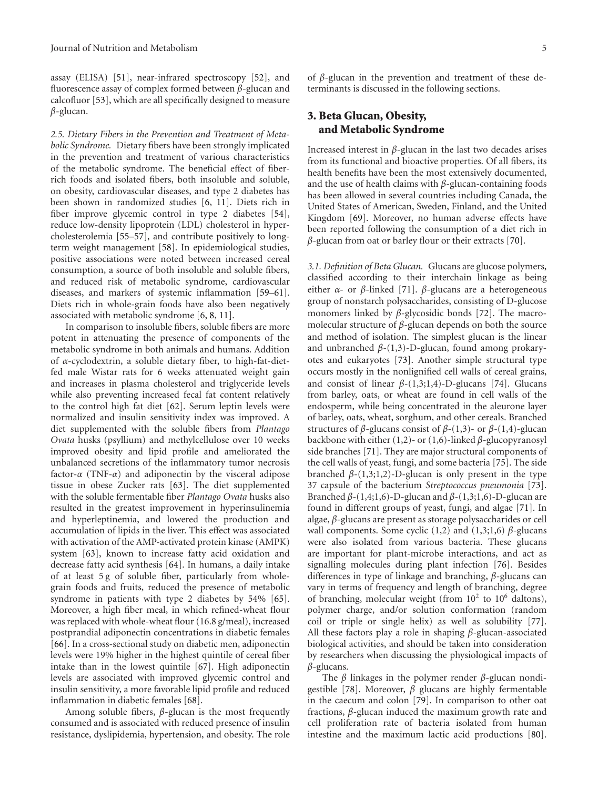assay (ELISA) [\[51](#page-17-2)], near-infrared spectroscopy [\[52\]](#page-17-3), and fluorescence assay of complex formed between *β*-glucan and calcofluor [\[53\]](#page-17-4), which are all specifically designed to measure *β*-glucan.

*2.5. Dietary Fibers in the Prevention and Treatment of Metabolic Syndrome.* Dietary fibers have been strongly implicated in the prevention and treatment of various characteristics of the metabolic syndrome. The beneficial effect of fiberrich foods and isolated fibers, both insoluble and soluble, on obesity, cardiovascular diseases, and type 2 diabetes has been shown in randomized studies [\[6](#page-15-8), [11\]](#page-15-6). Diets rich in fiber improve glycemic control in type 2 diabetes [\[54\]](#page-17-5), reduce low-density lipoprotein (LDL) cholesterol in hypercholesterolemia [\[55](#page-17-6)[–57](#page-17-7)], and contribute positively to longterm weight management [\[58](#page-17-8)]. In epidemiological studies, positive associations were noted between increased cereal consumption, a source of both insoluble and soluble fibers, and reduced risk of metabolic syndrome, cardiovascular diseases, and markers of systemic inflammation [\[59](#page-17-9)[–61\]](#page-17-10). Diets rich in whole-grain foods have also been negatively associated with metabolic syndrome [\[6,](#page-15-8) [8](#page-15-9), [11](#page-15-6)].

In comparison to insoluble fibers, soluble fibers are more potent in attenuating the presence of components of the metabolic syndrome in both animals and humans. Addition of *α*-cyclodextrin, a soluble dietary fiber, to high-fat-dietfed male Wistar rats for 6 weeks attenuated weight gain and increases in plasma cholesterol and triglyceride levels while also preventing increased fecal fat content relatively to the control high fat diet [\[62](#page-17-11)]. Serum leptin levels were normalized and insulin sensitivity index was improved. A diet supplemented with the soluble fibers from *Plantago Ovata* husks (psyllium) and methylcellulose over 10 weeks improved obesity and lipid profile and ameliorated the unbalanced secretions of the inflammatory tumor necrosis factor-*α* (TNF-*α*) and adiponectin by the visceral adipose tissue in obese Zucker rats [\[63](#page-17-12)]. The diet supplemented with the soluble fermentable fiber *Plantago Ovata* husks also resulted in the greatest improvement in hyperinsulinemia and hyperleptinemia, and lowered the production and accumulation of lipids in the liver. This effect was associated with activation of the AMP-activated protein kinase (AMPK) system [\[63\]](#page-17-12), known to increase fatty acid oxidation and decrease fatty acid synthesis [\[64](#page-17-13)]. In humans, a daily intake of at least 5 g of soluble fiber, particularly from wholegrain foods and fruits, reduced the presence of metabolic syndrome in patients with type 2 diabetes by 54% [\[65\]](#page-17-14). Moreover, a high fiber meal, in which refined-wheat flour was replaced with whole-wheat flour (16.8 g/meal), increased postprandial adiponectin concentrations in diabetic females [\[66\]](#page-17-15). In a cross-sectional study on diabetic men, adiponectin levels were 19% higher in the highest quintile of cereal fiber intake than in the lowest quintile [\[67\]](#page-17-16). High adiponectin levels are associated with improved glycemic control and insulin sensitivity, a more favorable lipid profile and reduced inflammation in diabetic females [\[68\]](#page-17-17).

Among soluble fibers, *β*-glucan is the most frequently consumed and is associated with reduced presence of insulin resistance, dyslipidemia, hypertension, and obesity. The role

of *β*-glucan in the prevention and treatment of these determinants is discussed in the following sections.

## **3. Beta Glucan, Obesity, and Metabolic Syndrome**

Increased interest in *β*-glucan in the last two decades arises from its functional and bioactive properties. Of all fibers, its health benefits have been the most extensively documented, and the use of health claims with *β*-glucan-containing foods has been allowed in several countries including Canada, the United States of American, Sweden, Finland, and the United Kingdom [\[69\]](#page-17-18). Moreover, no human adverse effects have been reported following the consumption of a diet rich in *β*-glucan from oat or barley flour or their extracts [\[70\]](#page-17-19).

*3.1. Definition of Beta Glucan.* Glucans are glucose polymers, classified according to their interchain linkage as being either *α*- or *β*-linked [\[71](#page-17-20)]. *β*-glucans are a heterogeneous group of nonstarch polysaccharides, consisting of D-glucose monomers linked by *β*-glycosidic bonds [\[72\]](#page-17-21). The macromolecular structure of *β*-glucan depends on both the source and method of isolation. The simplest glucan is the linear and unbranched *β*-(1,3)-D-glucan, found among prokaryotes and eukaryotes [\[73](#page-17-22)]. Another simple structural type occurs mostly in the nonlignified cell walls of cereal grains, and consist of linear  $\beta$ -(1,3;1,4)-D-glucans [\[74\]](#page-17-23). Glucans from barley, oats, or wheat are found in cell walls of the endosperm, while being concentrated in the aleurone layer of barley, oats, wheat, sorghum, and other cereals. Branched structures of *β*-glucans consist of *β*-(1,3)- or *β*-(1,4)-glucan backbone with either (1,2)- or (1,6)-linked *β*-glucopyranosyl side branches [\[71\]](#page-17-20). They are major structural components of the cell walls of yeast, fungi, and some bacteria [\[75](#page-17-24)]. The side branched  $β-(1,3;1,2)$ -D-glucan is only present in the type 37 capsule of the bacterium *Streptococcus pneumonia* [\[73\]](#page-17-22). Branched *β*-(1,4;1,6)-D-glucan and *β*-(1,3;1,6)-D-glucan are found in different groups of yeast, fungi, and algae [\[71](#page-17-20)]. In algae, *β*-glucans are present as storage polysaccharides or cell wall components. Some cyclic (1,2) and (1,3;1,6) *β*-glucans were also isolated from various bacteria. These glucans are important for plant-microbe interactions, and act as signalling molecules during plant infection [\[76\]](#page-17-25). Besides differences in type of linkage and branching, *β*-glucans can vary in terms of frequency and length of branching, degree of branching, molecular weight (from  $10^2$  to  $10^6$  daltons), polymer charge, and/or solution conformation (random coil or triple or single helix) as well as solubility [\[77\]](#page-17-26). All these factors play a role in shaping *β*-glucan-associated biological activities, and should be taken into consideration by researchers when discussing the physiological impacts of *β*-glucans.

The *β* linkages in the polymer render *β*-glucan nondigestible [\[78](#page-17-27)]. Moreover, *β* glucans are highly fermentable in the caecum and colon [\[79](#page-17-28)]. In comparison to other oat fractions, *β*-glucan induced the maximum growth rate and cell proliferation rate of bacteria isolated from human intestine and the maximum lactic acid productions [\[80\]](#page-18-0).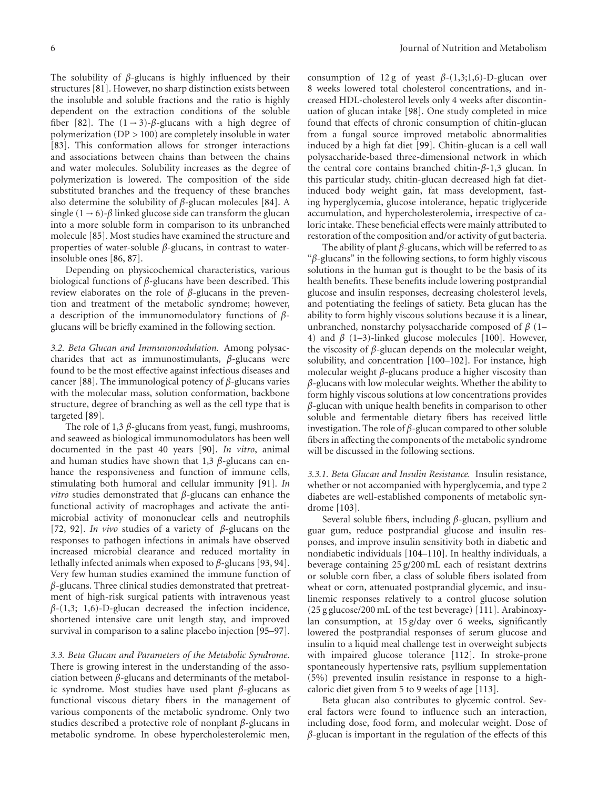The solubility of *β*-glucans is highly influenced by their structures [\[81\]](#page-18-1). However, no sharp distinction exists between the insoluble and soluble fractions and the ratio is highly dependent on the extraction conditions of the soluble fiber [\[82\]](#page-18-2). The  $(1 \rightarrow 3)$ - $\beta$ -glucans with a high degree of polymerization (DP *>* 100) are completely insoluble in water [\[83\]](#page-18-3). This conformation allows for stronger interactions and associations between chains than between the chains and water molecules. Solubility increases as the degree of polymerization is lowered. The composition of the side substituted branches and the frequency of these branches also determine the solubility of *β*-glucan molecules [\[84](#page-18-4)]. A single  $(1 \rightarrow 6)$ - $\beta$  linked glucose side can transform the glucan into a more soluble form in comparison to its unbranched molecule [\[85](#page-18-5)]. Most studies have examined the structure and properties of water-soluble *β*-glucans, in contrast to waterinsoluble ones [\[86](#page-18-6), [87\]](#page-18-7).

Depending on physicochemical characteristics, various biological functions of *β*-glucans have been described. This review elaborates on the role of *β*-glucans in the prevention and treatment of the metabolic syndrome; however, a description of the immunomodulatory functions of *β*glucans will be briefly examined in the following section.

*3.2. Beta Glucan and Immunomodulation.* Among polysaccharides that act as immunostimulants, *β*-glucans were found to be the most effective against infectious diseases and cancer [\[88](#page-18-8)]. The immunological potency of *β*-glucans varies with the molecular mass, solution conformation, backbone structure, degree of branching as well as the cell type that is targeted [\[89\]](#page-18-9).

The role of 1,3 *β*-glucans from yeast, fungi, mushrooms, and seaweed as biological immunomodulators has been well documented in the past 40 years [\[90](#page-18-10)]. *In vitro*, animal and human studies have shown that 1,3 *β*-glucans can enhance the responsiveness and function of immune cells, stimulating both humoral and cellular immunity [\[91](#page-18-11)]. *In vitro* studies demonstrated that *β*-glucans can enhance the functional activity of macrophages and activate the antimicrobial activity of mononuclear cells and neutrophils [\[72,](#page-17-21) [92\]](#page-18-12). *In vivo* studies of a variety of *β*-glucans on the responses to pathogen infections in animals have observed increased microbial clearance and reduced mortality in lethally infected animals when exposed to *β*-glucans [\[93,](#page-18-13) [94\]](#page-18-14). Very few human studies examined the immune function of *β*-glucans. Three clinical studies demonstrated that pretreatment of high-risk surgical patients with intravenous yeast *β*-(1,3; 1,6)-D-glucan decreased the infection incidence, shortened intensive care unit length stay, and improved survival in comparison to a saline placebo injection [\[95](#page-18-15)[–97\]](#page-18-16).

*3.3. Beta Glucan and Parameters of the Metabolic Syndrome.* There is growing interest in the understanding of the association between *β*-glucans and determinants of the metabolic syndrome. Most studies have used plant *β*-glucans as functional viscous dietary fibers in the management of various components of the metabolic syndrome. Only two studies described a protective role of nonplant *β*-glucans in metabolic syndrome. In obese hypercholesterolemic men,

consumption of 12 g of yeast  $\beta$ -(1,3;1,6)-D-glucan over 8 weeks lowered total cholesterol concentrations, and increased HDL-cholesterol levels only 4 weeks after discontinuation of glucan intake [\[98](#page-18-17)]. One study completed in mice found that effects of chronic consumption of chitin-glucan from a fungal source improved metabolic abnormalities induced by a high fat diet [\[99\]](#page-18-18). Chitin-glucan is a cell wall polysaccharide-based three-dimensional network in which the central core contains branched chitin-*β*-1,3 glucan. In this particular study, chitin-glucan decreased high fat dietinduced body weight gain, fat mass development, fasting hyperglycemia, glucose intolerance, hepatic triglyceride accumulation, and hypercholesterolemia, irrespective of caloric intake. These beneficial effects were mainly attributed to restoration of the composition and/or activity of gut bacteria.

The ability of plant *β*-glucans, which will be referred to as "*β*-glucans" in the following sections, to form highly viscous solutions in the human gut is thought to be the basis of its health benefits. These benefits include lowering postprandial glucose and insulin responses, decreasing cholesterol levels, and potentiating the feelings of satiety. Beta glucan has the ability to form highly viscous solutions because it is a linear, unbranched, nonstarchy polysaccharide composed of *β* (1– 4) and *β* (1–3)-linked glucose molecules [\[100](#page-18-19)]. However, the viscosity of *β*-glucan depends on the molecular weight, solubility, and concentration [\[100](#page-18-19)[–102\]](#page-18-20). For instance, high molecular weight *β*-glucans produce a higher viscosity than *β*-glucans with low molecular weights. Whether the ability to form highly viscous solutions at low concentrations provides *β*-glucan with unique health benefits in comparison to other soluble and fermentable dietary fibers has received little investigation. The role of *β*-glucan compared to other soluble fibers in affecting the components of the metabolic syndrome will be discussed in the following sections.

*3.3.1. Beta Glucan and Insulin Resistance.* Insulin resistance, whether or not accompanied with hyperglycemia, and type 2 diabetes are well-established components of metabolic syndrome [\[103](#page-18-21)].

Several soluble fibers, including *β*-glucan, psyllium and guar gum, reduce postprandial glucose and insulin responses, and improve insulin sensitivity both in diabetic and nondiabetic individuals [\[104](#page-18-22)[–110](#page-19-0)]. In healthy individuals, a beverage containing 25 g/200 mL each of resistant dextrins or soluble corn fiber, a class of soluble fibers isolated from wheat or corn, attenuated postprandial glycemic, and insulinemic responses relatively to a control glucose solution (25 g glucose/200 mL of the test beverage) [\[111](#page-19-1)]. Arabinoxylan consumption, at 15 g/day over 6 weeks, significantly lowered the postprandial responses of serum glucose and insulin to a liquid meal challenge test in overweight subjects with impaired glucose tolerance [\[112\]](#page-19-2). In stroke-prone spontaneously hypertensive rats, psyllium supplementation (5%) prevented insulin resistance in response to a highcaloric diet given from 5 to 9 weeks of age [\[113\]](#page-19-3).

Beta glucan also contributes to glycemic control. Several factors were found to influence such an interaction, including dose, food form, and molecular weight. Dose of *β*-glucan is important in the regulation of the effects of this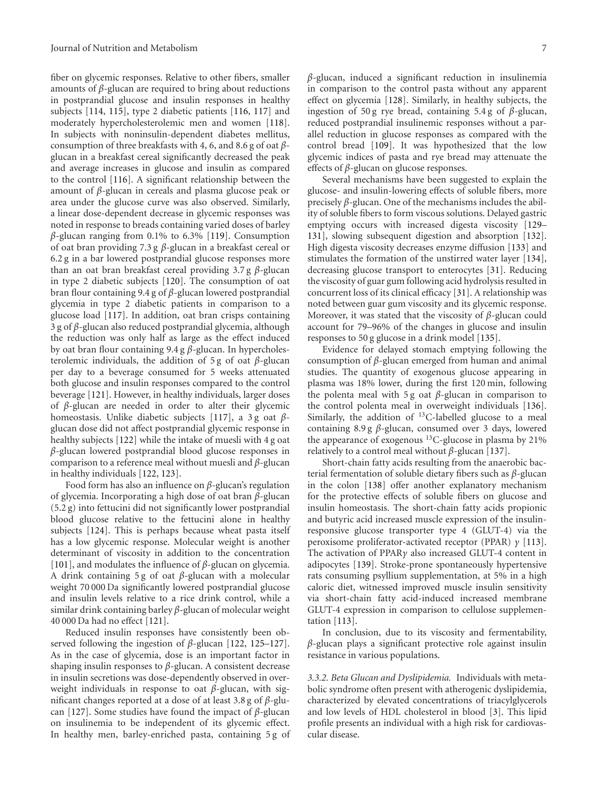fiber on glycemic responses. Relative to other fibers, smaller amounts of *β*-glucan are required to bring about reductions in postprandial glucose and insulin responses in healthy subjects [\[114,](#page-19-4) [115\]](#page-19-5), type 2 diabetic patients [\[116](#page-19-6), [117\]](#page-19-7) and moderately hypercholesterolemic men and women [\[118\]](#page-19-8). In subjects with noninsulin-dependent diabetes mellitus, consumption of three breakfasts with 4, 6, and 8.6 g of oat *β*glucan in a breakfast cereal significantly decreased the peak and average increases in glucose and insulin as compared to the control [\[116\]](#page-19-6). A significant relationship between the amount of *β*-glucan in cereals and plasma glucose peak or area under the glucose curve was also observed. Similarly, a linear dose-dependent decrease in glycemic responses was noted in response to breads containing varied doses of barley *β*-glucan ranging from 0.1% to 6.3% [\[119](#page-19-9)]. Consumption of oat bran providing 7.3 g *β*-glucan in a breakfast cereal or 6.2 g in a bar lowered postprandial glucose responses more than an oat bran breakfast cereal providing 3.7 g *β*-glucan in type 2 diabetic subjects [\[120\]](#page-19-10). The consumption of oat bran flour containing 9.4 g of *β*-glucan lowered postprandial glycemia in type 2 diabetic patients in comparison to a glucose load [\[117](#page-19-7)]. In addition, oat bran crisps containing 3 g of *β*-glucan also reduced postprandial glycemia, although the reduction was only half as large as the effect induced by oat bran flour containing 9.4 g *β*-glucan. In hypercholesterolemic individuals, the addition of 5 g of oat *β*-glucan per day to a beverage consumed for 5 weeks attenuated both glucose and insulin responses compared to the control beverage [\[121\]](#page-19-11). However, in healthy individuals, larger doses of *β*-glucan are needed in order to alter their glycemic homeostasis. Unlike diabetic subjects [\[117\]](#page-19-7), a 3 g oat *β*glucan dose did not affect postprandial glycemic response in healthy subjects [\[122](#page-19-12)] while the intake of muesli with 4 g oat *β*-glucan lowered postprandial blood glucose responses in comparison to a reference meal without muesli and *β*-glucan in healthy individuals [\[122,](#page-19-12) [123\]](#page-19-13).

Food form has also an influence on *β*-glucan's regulation of glycemia. Incorporating a high dose of oat bran *β*-glucan (5.2 g) into fettucini did not significantly lower postprandial blood glucose relative to the fettucini alone in healthy subjects [\[124\]](#page-19-14). This is perhaps because wheat pasta itself has a low glycemic response. Molecular weight is another determinant of viscosity in addition to the concentration [\[101\]](#page-18-23), and modulates the influence of *β*-glucan on glycemia. A drink containing 5 g of oat *β*-glucan with a molecular weight 70 000 Da significantly lowered postprandial glucose and insulin levels relative to a rice drink control, while a similar drink containing barley *β*-glucan of molecular weight 40 000 Da had no effect [\[121\]](#page-19-11).

Reduced insulin responses have consistently been observed following the ingestion of *β*-glucan [\[122](#page-19-12), [125](#page-19-15)[–127\]](#page-19-16). As in the case of glycemia, dose is an important factor in shaping insulin responses to *β*-glucan. A consistent decrease in insulin secretions was dose-dependently observed in overweight individuals in response to oat *β*-glucan, with significant changes reported at a dose of at least 3.8 g of *β*-glucan [\[127\]](#page-19-16). Some studies have found the impact of *β*-glucan on insulinemia to be independent of its glycemic effect. In healthy men, barley-enriched pasta, containing 5 g of *β*-glucan, induced a significant reduction in insulinemia in comparison to the control pasta without any apparent effect on glycemia [\[128](#page-19-17)]. Similarly, in healthy subjects, the ingestion of 50 g rye bread, containing 5.4 g of *β*-glucan, reduced postprandial insulinemic responses without a parallel reduction in glucose responses as compared with the control bread [\[109](#page-18-24)]. It was hypothesized that the low glycemic indices of pasta and rye bread may attenuate the effects of *β*-glucan on glucose responses.

Several mechanisms have been suggested to explain the glucose- and insulin-lowering effects of soluble fibers, more precisely *β*-glucan. One of the mechanisms includes the ability of soluble fibers to form viscous solutions. Delayed gastric emptying occurs with increased digesta viscosity [\[129–](#page-19-18) [131](#page-19-19)], slowing subsequent digestion and absorption [\[132\]](#page-19-20). High digesta viscosity decreases enzyme diffusion [\[133](#page-19-21)] and stimulates the formation of the unstirred water layer [\[134\]](#page-19-22), decreasing glucose transport to enterocytes [\[31\]](#page-16-17). Reducing the viscosity of guar gum following acid hydrolysis resulted in concurrent loss of its clinical efficacy [\[31](#page-16-17)]. A relationship was noted between guar gum viscosity and its glycemic response. Moreover, it was stated that the viscosity of *β*-glucan could account for 79–96% of the changes in glucose and insulin responses to 50 g glucose in a drink model [\[135](#page-19-23)].

Evidence for delayed stomach emptying following the consumption of *β*-glucan emerged from human and animal studies. The quantity of exogenous glucose appearing in plasma was 18% lower, during the first 120 min, following the polenta meal with 5 g oat *β*-glucan in comparison to the control polenta meal in overweight individuals [\[136\]](#page-19-24). Similarly, the addition of 13C-labelled glucose to a meal containing 8.9 g *β*-glucan, consumed over 3 days, lowered the appearance of exogenous <sup>13</sup>C-glucose in plasma by 21% relatively to a control meal without  $β$ -glucan [\[137](#page-19-25)].

Short-chain fatty acids resulting from the anaerobic bacterial fermentation of soluble dietary fibers such as *β*-glucan in the colon [\[138\]](#page-19-26) offer another explanatory mechanism for the protective effects of soluble fibers on glucose and insulin homeostasis. The short-chain fatty acids propionic and butyric acid increased muscle expression of the insulinresponsive glucose transporter type 4 (GLUT-4) via the peroxisome proliferator-activated receptor (PPAR) *γ* [\[113\]](#page-19-3). The activation of PPAR*γ* also increased GLUT-4 content in adipocytes [\[139](#page-20-0)]. Stroke-prone spontaneously hypertensive rats consuming psyllium supplementation, at 5% in a high caloric diet, witnessed improved muscle insulin sensitivity via short-chain fatty acid-induced increased membrane GLUT-4 expression in comparison to cellulose supplementation [\[113\]](#page-19-3).

In conclusion, due to its viscosity and fermentability, *β*-glucan plays a significant protective role against insulin resistance in various populations.

*3.3.2. Beta Glucan and Dyslipidemia.* Individuals with metabolic syndrome often present with atherogenic dyslipidemia, characterized by elevated concentrations of triacylglycerols and low levels of HDL cholesterol in blood [\[3\]](#page-15-3). This lipid profile presents an individual with a high risk for cardiovascular disease.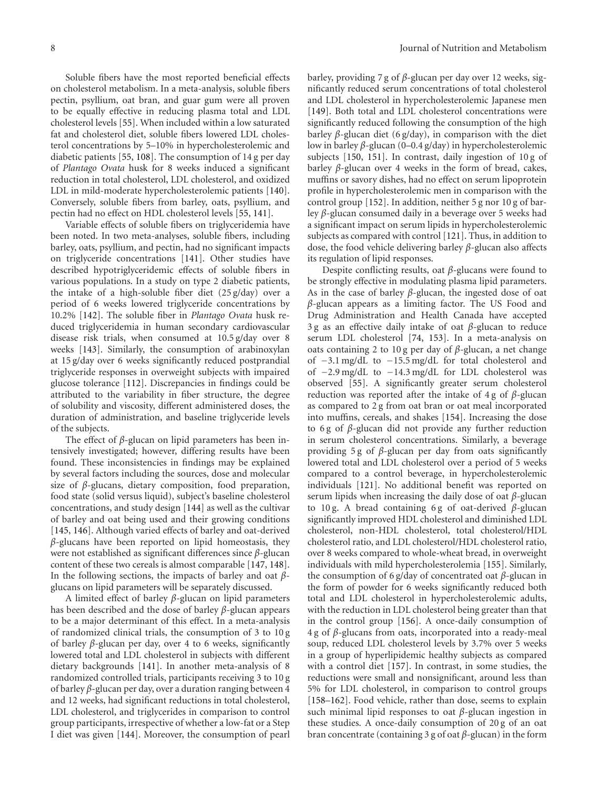Soluble fibers have the most reported beneficial effects on cholesterol metabolism. In a meta-analysis, soluble fibers pectin, psyllium, oat bran, and guar gum were all proven to be equally effective in reducing plasma total and LDL cholesterol levels [\[55\]](#page-17-6). When included within a low saturated fat and cholesterol diet, soluble fibers lowered LDL cholesterol concentrations by 5–10% in hypercholesterolemic and diabetic patients [\[55,](#page-17-6) [108\]](#page-18-25). The consumption of 14 g per day of *Plantago Ovata* husk for 8 weeks induced a significant reduction in total cholesterol, LDL cholesterol, and oxidized LDL in mild-moderate hypercholesterolemic patients [\[140\]](#page-20-1). Conversely, soluble fibers from barley, oats, psyllium, and pectin had no effect on HDL cholesterol levels [\[55](#page-17-6), [141](#page-20-2)].

Variable effects of soluble fibers on triglyceridemia have been noted. In two meta-analyses, soluble fibers, including barley, oats, psyllium, and pectin, had no significant impacts on triglyceride concentrations [\[141\]](#page-20-2). Other studies have described hypotriglyceridemic effects of soluble fibers in various populations. In a study on type 2 diabetic patients, the intake of a high-soluble fiber diet (25 g/day) over a period of 6 weeks lowered triglyceride concentrations by 10.2% [\[142](#page-20-3)]. The soluble fiber in *Plantago Ovata* husk reduced triglyceridemia in human secondary cardiovascular disease risk trials, when consumed at 10.5 g/day over 8 weeks [\[143](#page-20-4)]. Similarly, the consumption of arabinoxylan at 15 g/day over 6 weeks significantly reduced postprandial triglyceride responses in overweight subjects with impaired glucose tolerance [\[112](#page-19-2)]. Discrepancies in findings could be attributed to the variability in fiber structure, the degree of solubility and viscosity, different administered doses, the duration of administration, and baseline triglyceride levels of the subjects.

The effect of *β*-glucan on lipid parameters has been intensively investigated; however, differing results have been found. These inconsistencies in findings may be explained by several factors including the sources, dose and molecular size of *β*-glucans, dietary composition, food preparation, food state (solid versus liquid), subject's baseline cholesterol concentrations, and study design [\[144\]](#page-20-5) as well as the cultivar of barley and oat being used and their growing conditions [\[145,](#page-20-6) [146\]](#page-20-7). Although varied effects of barley and oat-derived *β*-glucans have been reported on lipid homeostasis, they were not established as significant differences since *β*-glucan content of these two cereals is almost comparable [\[147,](#page-20-8) [148\]](#page-20-9). In the following sections, the impacts of barley and oat *β*glucans on lipid parameters will be separately discussed.

A limited effect of barley *β*-glucan on lipid parameters has been described and the dose of barley *β*-glucan appears to be a major determinant of this effect. In a meta-analysis of randomized clinical trials, the consumption of 3 to 10 g of barley *β*-glucan per day, over 4 to 6 weeks, significantly lowered total and LDL cholesterol in subjects with different dietary backgrounds [\[141\]](#page-20-2). In another meta-analysis of 8 randomized controlled trials, participants receiving 3 to 10 g of barley *β*-glucan per day, over a duration ranging between 4 and 12 weeks, had significant reductions in total cholesterol, LDL cholesterol, and triglycerides in comparison to control group participants, irrespective of whether a low-fat or a Step I diet was given [\[144](#page-20-5)]. Moreover, the consumption of pearl

barley, providing 7 g of *β*-glucan per day over 12 weeks, significantly reduced serum concentrations of total cholesterol and LDL cholesterol in hypercholesterolemic Japanese men [\[149\]](#page-20-10). Both total and LDL cholesterol concentrations were significantly reduced following the consumption of the high barley *β*-glucan diet (6 g/day), in comparison with the diet low in barley *β*-glucan (0–0.4 g/day) in hypercholesterolemic subjects [\[150](#page-20-11), [151](#page-20-12)]. In contrast, daily ingestion of 10 g of barley *β*-glucan over 4 weeks in the form of bread, cakes, muffins or savory dishes, had no effect on serum lipoprotein profile in hypercholesterolemic men in comparison with the control group [\[152](#page-20-13)]. In addition, neither 5 g nor 10 g of barley *β*-glucan consumed daily in a beverage over 5 weeks had a significant impact on serum lipids in hypercholesterolemic subjects as compared with control [\[121](#page-19-11)]. Thus, in addition to dose, the food vehicle delivering barley *β*-glucan also affects its regulation of lipid responses.

Despite conflicting results, oat *β*-glucans were found to be strongly effective in modulating plasma lipid parameters. As in the case of barley *β*-glucan, the ingested dose of oat *β*-glucan appears as a limiting factor. The US Food and Drug Administration and Health Canada have accepted 3 g as an effective daily intake of oat *β*-glucan to reduce serum LDL cholesterol [\[74,](#page-17-23) [153\]](#page-20-14). In a meta-analysis on oats containing 2 to 10 g per day of *β*-glucan, a net change of −3.1 mg/dL to −15.5 mg/dL for total cholesterol and of −2.9 mg/dL to −14.3 mg/dL for LDL cholesterol was observed [\[55](#page-17-6)]. A significantly greater serum cholesterol reduction was reported after the intake of 4 g of *β*-glucan as compared to 2 g from oat bran or oat meal incorporated into muffins, cereals, and shakes [\[154](#page-20-15)]. Increasing the dose to 6g of *β*-glucan did not provide any further reduction in serum cholesterol concentrations. Similarly, a beverage providing 5 g of *β*-glucan per day from oats significantly lowered total and LDL cholesterol over a period of 5 weeks compared to a control beverage, in hypercholesterolemic individuals [\[121](#page-19-11)]. No additional benefit was reported on serum lipids when increasing the daily dose of oat *β*-glucan to 10 g. A bread containing 6 g of oat-derived *β*-glucan significantly improved HDL cholesterol and diminished LDL cholesterol, non-HDL cholesterol, total cholesterol/HDL cholesterol ratio, and LDL cholesterol/HDL cholesterol ratio, over 8 weeks compared to whole-wheat bread, in overweight individuals with mild hypercholesterolemia [\[155\]](#page-20-16). Similarly, the consumption of 6 g/day of concentrated oat *β*-glucan in the form of powder for 6 weeks significantly reduced both total and LDL cholesterol in hypercholesterolemic adults, with the reduction in LDL cholesterol being greater than that in the control group [\[156\]](#page-20-17). A once-daily consumption of 4 g of *β*-glucans from oats, incorporated into a ready-meal soup, reduced LDL cholesterol levels by 3.7% over 5 weeks in a group of hyperlipidemic healthy subjects as compared with a control diet [\[157\]](#page-20-18). In contrast, in some studies, the reductions were small and nonsignificant, around less than 5% for LDL cholesterol, in comparison to control groups [\[158](#page-20-19)[–162](#page-20-20)]. Food vehicle, rather than dose, seems to explain such minimal lipid responses to oat *β*-glucan ingestion in these studies. A once-daily consumption of 20 g of an oat bran concentrate (containing 3 g of oat *β*-glucan) in the form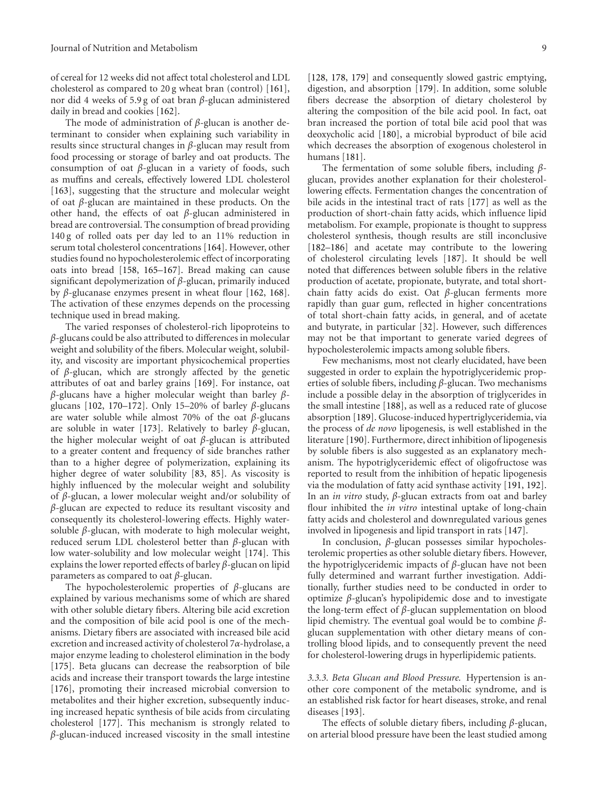of cereal for 12 weeks did not affect total cholesterol and LDL cholesterol as compared to 20 g wheat bran (control) [\[161\]](#page-20-21), nor did 4 weeks of 5.9 g of oat bran *β*-glucan administered daily in bread and cookies [\[162\]](#page-20-20).

The mode of administration of *β*-glucan is another determinant to consider when explaining such variability in results since structural changes in *β*-glucan may result from food processing or storage of barley and oat products. The consumption of oat *β*-glucan in a variety of foods, such as muffins and cereals, effectively lowered LDL cholesterol [\[163\]](#page-20-22), suggesting that the structure and molecular weight of oat *β*-glucan are maintained in these products. On the other hand, the effects of oat *β*-glucan administered in bread are controversial. The consumption of bread providing 140 g of rolled oats per day led to an 11% reduction in serum total cholesterol concentrations [\[164](#page-20-23)]. However, other studies found no hypocholesterolemic effect of incorporating oats into bread [\[158](#page-20-19), [165](#page-20-24)[–167\]](#page-21-0). Bread making can cause significant depolymerization of *β*-glucan, primarily induced by *β*-glucanase enzymes present in wheat flour [\[162,](#page-20-20) [168\]](#page-21-1). The activation of these enzymes depends on the processing technique used in bread making.

The varied responses of cholesterol-rich lipoproteins to *β*-glucans could be also attributed to differences in molecular weight and solubility of the fibers. Molecular weight, solubility, and viscosity are important physicochemical properties of *β*-glucan, which are strongly affected by the genetic attributes of oat and barley grains [\[169\]](#page-21-2). For instance, oat *β*-glucans have a higher molecular weight than barley *β*glucans [\[102,](#page-18-20) [170](#page-21-3)[–172](#page-21-4)]. Only 15–20% of barley *β*-glucans are water soluble while almost 70% of the oat *β*-glucans are soluble in water [\[173\]](#page-21-5). Relatively to barley *β*-glucan, the higher molecular weight of oat *β*-glucan is attributed to a greater content and frequency of side branches rather than to a higher degree of polymerization, explaining its higher degree of water solubility [\[83](#page-18-3), [85](#page-18-5)]. As viscosity is highly influenced by the molecular weight and solubility of *β*-glucan, a lower molecular weight and/or solubility of *β*-glucan are expected to reduce its resultant viscosity and consequently its cholesterol-lowering effects. Highly watersoluble *β*-glucan, with moderate to high molecular weight, reduced serum LDL cholesterol better than *β*-glucan with low water-solubility and low molecular weight [\[174\]](#page-21-6). This explains the lower reported effects of barley *β*-glucan on lipid parameters as compared to oat *β*-glucan.

The hypocholesterolemic properties of *β*-glucans are explained by various mechanisms some of which are shared with other soluble dietary fibers. Altering bile acid excretion and the composition of bile acid pool is one of the mechanisms. Dietary fibers are associated with increased bile acid excretion and increased activity of cholesterol 7*α*-hydrolase, a major enzyme leading to cholesterol elimination in the body [\[175\]](#page-21-7). Beta glucans can decrease the reabsorption of bile acids and increase their transport towards the large intestine [\[176\]](#page-21-8), promoting their increased microbial conversion to metabolites and their higher excretion, subsequently inducing increased hepatic synthesis of bile acids from circulating cholesterol [\[177\]](#page-21-9). This mechanism is strongly related to *β*-glucan-induced increased viscosity in the small intestine

[\[128,](#page-19-17) [178,](#page-21-10) [179\]](#page-21-11) and consequently slowed gastric emptying, digestion, and absorption [\[179\]](#page-21-11). In addition, some soluble fibers decrease the absorption of dietary cholesterol by altering the composition of the bile acid pool. In fact, oat bran increased the portion of total bile acid pool that was deoxycholic acid [\[180\]](#page-21-12), a microbial byproduct of bile acid which decreases the absorption of exogenous cholesterol in humans [\[181](#page-21-13)].

The fermentation of some soluble fibers, including *β*glucan, provides another explanation for their cholesterollowering effects. Fermentation changes the concentration of bile acids in the intestinal tract of rats [\[177](#page-21-9)] as well as the production of short-chain fatty acids, which influence lipid metabolism. For example, propionate is thought to suppress cholesterol synthesis, though results are still inconclusive [\[182](#page-21-14)[–186](#page-21-15)] and acetate may contribute to the lowering of cholesterol circulating levels [\[187\]](#page-21-16). It should be well noted that differences between soluble fibers in the relative production of acetate, propionate, butyrate, and total shortchain fatty acids do exist. Oat *β*-glucan ferments more rapidly than guar gum, reflected in higher concentrations of total short-chain fatty acids, in general, and of acetate and butyrate, in particular [\[32](#page-16-18)]. However, such differences may not be that important to generate varied degrees of hypocholesterolemic impacts among soluble fibers.

Few mechanisms, most not clearly elucidated, have been suggested in order to explain the hypotriglyceridemic properties of soluble fibers, including *β*-glucan. Two mechanisms include a possible delay in the absorption of triglycerides in the small intestine [\[188](#page-21-17)], as well as a reduced rate of glucose absorption [\[189](#page-21-18)]. Glucose-induced hypertriglyceridemia, via the process of *de novo* lipogenesis, is well established in the literature [\[190](#page-21-19)]. Furthermore, direct inhibition of lipogenesis by soluble fibers is also suggested as an explanatory mechanism. The hypotriglyceridemic effect of oligofructose was reported to result from the inhibition of hepatic lipogenesis via the modulation of fatty acid synthase activity [\[191,](#page-21-20) [192\]](#page-21-21). In an *in vitro* study, *β*-glucan extracts from oat and barley flour inhibited the *in vitro* intestinal uptake of long-chain fatty acids and cholesterol and downregulated various genes involved in lipogenesis and lipid transport in rats [\[147](#page-20-8)].

In conclusion, *β*-glucan possesses similar hypocholesterolemic properties as other soluble dietary fibers. However, the hypotriglyceridemic impacts of *β*-glucan have not been fully determined and warrant further investigation. Additionally, further studies need to be conducted in order to optimize *β*-glucan's hypolipidemic dose and to investigate the long-term effect of *β*-glucan supplementation on blood lipid chemistry. The eventual goal would be to combine *β*glucan supplementation with other dietary means of controlling blood lipids, and to consequently prevent the need for cholesterol-lowering drugs in hyperlipidemic patients.

*3.3.3. Beta Glucan and Blood Pressure.* Hypertension is another core component of the metabolic syndrome, and is an established risk factor for heart diseases, stroke, and renal diseases [\[193](#page-21-22)].

The effects of soluble dietary fibers, including *β*-glucan, on arterial blood pressure have been the least studied among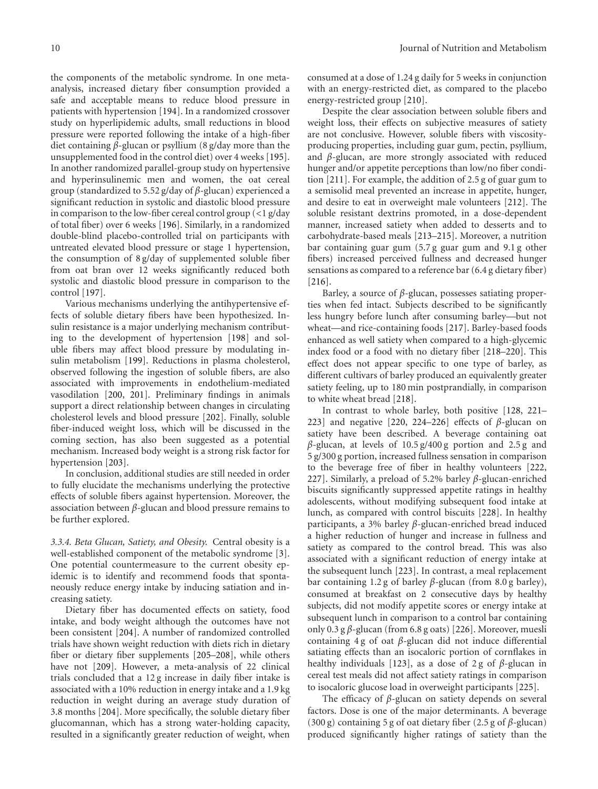the components of the metabolic syndrome. In one metaanalysis, increased dietary fiber consumption provided a safe and acceptable means to reduce blood pressure in patients with hypertension [\[194](#page-21-23)]. In a randomized crossover study on hyperlipidemic adults, small reductions in blood pressure were reported following the intake of a high-fiber diet containing *β*-glucan or psyllium (8 g/day more than the unsupplemented food in the control diet) over 4 weeks [\[195\]](#page-21-24). In another randomized parallel-group study on hypertensive and hyperinsulinemic men and women, the oat cereal group (standardized to 5.52 g/day of *β*-glucan) experienced a significant reduction in systolic and diastolic blood pressure in comparison to the low-fiber cereal control group (*<*1 g/day of total fiber) over 6 weeks [\[196](#page-21-25)]. Similarly, in a randomized double-blind placebo-controlled trial on participants with untreated elevated blood pressure or stage 1 hypertension, the consumption of 8 g/day of supplemented soluble fiber from oat bran over 12 weeks significantly reduced both systolic and diastolic blood pressure in comparison to the control [\[197\]](#page-21-26).

Various mechanisms underlying the antihypertensive effects of soluble dietary fibers have been hypothesized. Insulin resistance is a major underlying mechanism contributing to the development of hypertension [\[198\]](#page-22-0) and soluble fibers may affect blood pressure by modulating insulin metabolism [\[199\]](#page-22-1). Reductions in plasma cholesterol, observed following the ingestion of soluble fibers, are also associated with improvements in endothelium-mediated vasodilation [\[200,](#page-22-2) [201\]](#page-22-3). Preliminary findings in animals support a direct relationship between changes in circulating cholesterol levels and blood pressure [\[202](#page-22-4)]. Finally, soluble fiber-induced weight loss, which will be discussed in the coming section, has also been suggested as a potential mechanism. Increased body weight is a strong risk factor for hypertension [\[203](#page-22-5)].

In conclusion, additional studies are still needed in order to fully elucidate the mechanisms underlying the protective effects of soluble fibers against hypertension. Moreover, the association between *β*-glucan and blood pressure remains to be further explored.

*3.3.4. Beta Glucan, Satiety, and Obesity.* Central obesity is a well-established component of the metabolic syndrome [\[3\]](#page-15-3). One potential countermeasure to the current obesity epidemic is to identify and recommend foods that spontaneously reduce energy intake by inducing satiation and increasing satiety.

Dietary fiber has documented effects on satiety, food intake, and body weight although the outcomes have not been consistent [\[204\]](#page-22-6). A number of randomized controlled trials have shown weight reduction with diets rich in dietary fiber or dietary fiber supplements [\[205](#page-22-7)[–208\]](#page-22-8), while others have not [\[209](#page-22-9)]. However, a meta-analysis of 22 clinical trials concluded that a 12 g increase in daily fiber intake is associated with a 10% reduction in energy intake and a 1.9 kg reduction in weight during an average study duration of 3.8 months [\[204](#page-22-6)]. More specifically, the soluble dietary fiber glucomannan, which has a strong water-holding capacity, resulted in a significantly greater reduction of weight, when

consumed at a dose of 1.24 g daily for 5 weeks in conjunction with an energy-restricted diet, as compared to the placebo energy-restricted group [\[210\]](#page-22-10).

Despite the clear association between soluble fibers and weight loss, their effects on subjective measures of satiety are not conclusive. However, soluble fibers with viscosityproducing properties, including guar gum, pectin, psyllium, and *β*-glucan, are more strongly associated with reduced hunger and/or appetite perceptions than low/no fiber condition [\[211](#page-22-11)]. For example, the addition of 2.5 g of guar gum to a semisolid meal prevented an increase in appetite, hunger, and desire to eat in overweight male volunteers [\[212\]](#page-22-12). The soluble resistant dextrins promoted, in a dose-dependent manner, increased satiety when added to desserts and to carbohydrate-based meals [\[213](#page-22-13)[–215\]](#page-22-14). Moreover, a nutrition bar containing guar gum (5.7 g guar gum and 9.1 g other fibers) increased perceived fullness and decreased hunger sensations as compared to a reference bar (6.4 g dietary fiber) [\[216\]](#page-22-15).

Barley, a source of *β*-glucan, possesses satiating properties when fed intact. Subjects described to be significantly less hungry before lunch after consuming barley—but not wheat—and rice-containing foods [\[217](#page-22-16)]. Barley-based foods enhanced as well satiety when compared to a high-glycemic index food or a food with no dietary fiber [\[218](#page-22-17)[–220](#page-22-18)]. This effect does not appear specific to one type of barley, as different cultivars of barley produced an equivalently greater satiety feeling, up to 180 min postprandially, in comparison to white wheat bread [\[218](#page-22-17)].

In contrast to whole barley, both positive [\[128,](#page-19-17) [221–](#page-22-19) [223](#page-22-20)] and negative [\[220,](#page-22-18) [224](#page-22-21)[–226](#page-22-22)] effects of *β*-glucan on satiety have been described. A beverage containing oat *β*-glucan, at levels of 10.5 g/400 g portion and 2.5 g and 5 g/300 g portion, increased fullness sensation in comparison to the beverage free of fiber in healthy volunteers [\[222](#page-22-23), [227](#page-23-0)]. Similarly, a preload of 5.2% barley *β*-glucan-enriched biscuits significantly suppressed appetite ratings in healthy adolescents, without modifying subsequent food intake at lunch, as compared with control biscuits [\[228\]](#page-23-1). In healthy participants, a 3% barley *β*-glucan-enriched bread induced a higher reduction of hunger and increase in fullness and satiety as compared to the control bread. This was also associated with a significant reduction of energy intake at the subsequent lunch [\[223](#page-22-20)]. In contrast, a meal replacement bar containing 1.2 g of barley *β*-glucan (from 8.0 g barley), consumed at breakfast on 2 consecutive days by healthy subjects, did not modify appetite scores or energy intake at subsequent lunch in comparison to a control bar containing only 0.3 g *β*-glucan (from 6.8 g oats) [\[226\]](#page-22-22). Moreover, muesli containing 4 g of oat *β*-glucan did not induce differential satiating effects than an isocaloric portion of cornflakes in healthy individuals [\[123](#page-19-13)], as a dose of 2 g of *β*-glucan in cereal test meals did not affect satiety ratings in comparison to isocaloric glucose load in overweight participants [\[225](#page-22-24)].

The efficacy of *β*-glucan on satiety depends on several factors. Dose is one of the major determinants. A beverage (300 g) containing 5 g of oat dietary fiber (2.5 g of *β*-glucan) produced significantly higher ratings of satiety than the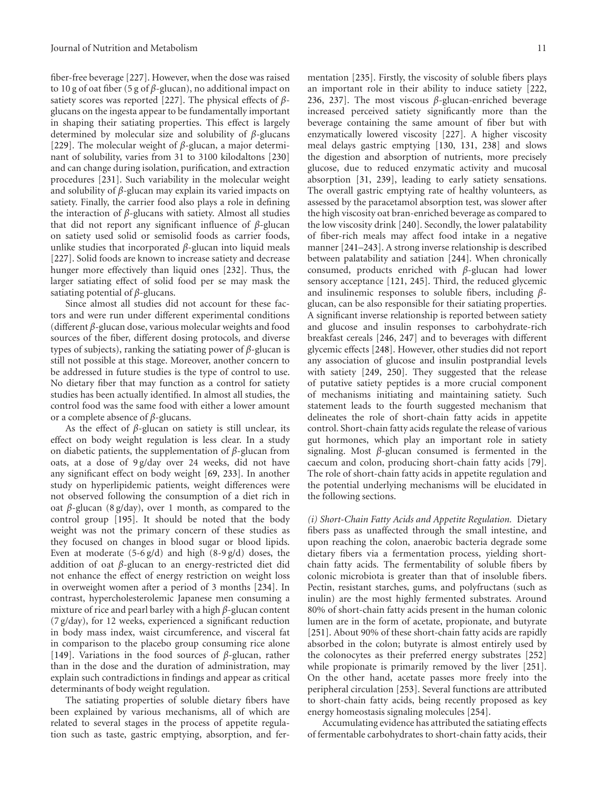fiber-free beverage [\[227](#page-23-0)]. However, when the dose was raised to 10 g of oat fiber (5 g of *β*-glucan), no additional impact on satiety scores was reported [\[227\]](#page-23-0). The physical effects of *β*glucans on the ingesta appear to be fundamentally important in shaping their satiating properties. This effect is largely determined by molecular size and solubility of *β*-glucans [\[229\]](#page-23-2). The molecular weight of *β*-glucan, a major determinant of solubility, varies from 31 to 3100 kilodaltons [\[230](#page-23-3)] and can change during isolation, purification, and extraction procedures [\[231](#page-23-4)]. Such variability in the molecular weight and solubility of *β*-glucan may explain its varied impacts on satiety. Finally, the carrier food also plays a role in defining the interaction of *β*-glucans with satiety. Almost all studies that did not report any significant influence of *β*-glucan on satiety used solid or semisolid foods as carrier foods, unlike studies that incorporated *β*-glucan into liquid meals [\[227\]](#page-23-0). Solid foods are known to increase satiety and decrease hunger more effectively than liquid ones [\[232\]](#page-23-5). Thus, the larger satiating effect of solid food per se may mask the satiating potential of *β*-glucans.

Since almost all studies did not account for these factors and were run under different experimental conditions (different *β*-glucan dose, various molecular weights and food sources of the fiber, different dosing protocols, and diverse types of subjects), ranking the satiating power of *β*-glucan is still not possible at this stage. Moreover, another concern to be addressed in future studies is the type of control to use. No dietary fiber that may function as a control for satiety studies has been actually identified. In almost all studies, the control food was the same food with either a lower amount or a complete absence of *β*-glucans.

As the effect of *β*-glucan on satiety is still unclear, its effect on body weight regulation is less clear. In a study on diabetic patients, the supplementation of *β*-glucan from oats, at a dose of 9 g/day over 24 weeks, did not have any significant effect on body weight [\[69](#page-17-18), [233](#page-23-6)]. In another study on hyperlipidemic patients, weight differences were not observed following the consumption of a diet rich in oat *β*-glucan (8 g/day), over 1 month, as compared to the control group [\[195\]](#page-21-24). It should be noted that the body weight was not the primary concern of these studies as they focused on changes in blood sugar or blood lipids. Even at moderate  $(5-6 g/d)$  and high  $(8-9 g/d)$  doses, the addition of oat *β*-glucan to an energy-restricted diet did not enhance the effect of energy restriction on weight loss in overweight women after a period of 3 months [\[234\]](#page-23-7). In contrast, hypercholesterolemic Japanese men consuming a mixture of rice and pearl barley with a high *β*-glucan content (7 g/day), for 12 weeks, experienced a significant reduction in body mass index, waist circumference, and visceral fat in comparison to the placebo group consuming rice alone [\[149\]](#page-20-10). Variations in the food sources of *β*-glucan, rather than in the dose and the duration of administration, may explain such contradictions in findings and appear as critical determinants of body weight regulation.

The satiating properties of soluble dietary fibers have been explained by various mechanisms, all of which are related to several stages in the process of appetite regulation such as taste, gastric emptying, absorption, and fermentation [\[235](#page-23-8)]. Firstly, the viscosity of soluble fibers plays an important role in their ability to induce satiety [\[222](#page-22-23), [236](#page-23-9), [237\]](#page-23-10). The most viscous *β*-glucan-enriched beverage increased perceived satiety significantly more than the beverage containing the same amount of fiber but with enzymatically lowered viscosity [\[227\]](#page-23-0). A higher viscosity meal delays gastric emptying [\[130,](#page-19-27) [131,](#page-19-19) [238\]](#page-23-11) and slows the digestion and absorption of nutrients, more precisely glucose, due to reduced enzymatic activity and mucosal absorption [\[31](#page-16-17), [239](#page-23-12)], leading to early satiety sensations. The overall gastric emptying rate of healthy volunteers, as assessed by the paracetamol absorption test, was slower after the high viscosity oat bran-enriched beverage as compared to the low viscosity drink [\[240\]](#page-23-13). Secondly, the lower palatability of fiber-rich meals may affect food intake in a negative manner [\[241](#page-23-14)[–243](#page-23-15)]. A strong inverse relationship is described between palatability and satiation [\[244\]](#page-23-16). When chronically consumed, products enriched with *β*-glucan had lower sensory acceptance [\[121](#page-19-11), [245\]](#page-23-17). Third, the reduced glycemic and insulinemic responses to soluble fibers, including *β*glucan, can be also responsible for their satiating properties. A significant inverse relationship is reported between satiety and glucose and insulin responses to carbohydrate-rich breakfast cereals [\[246](#page-23-18), [247](#page-23-19)] and to beverages with different glycemic effects [\[248\]](#page-23-20). However, other studies did not report any association of glucose and insulin postprandial levels with satiety [\[249,](#page-23-21) [250\]](#page-23-22). They suggested that the release of putative satiety peptides is a more crucial component of mechanisms initiating and maintaining satiety. Such statement leads to the fourth suggested mechanism that delineates the role of short-chain fatty acids in appetite control. Short-chain fatty acids regulate the release of various gut hormones, which play an important role in satiety signaling. Most *β*-glucan consumed is fermented in the caecum and colon, producing short-chain fatty acids [\[79\]](#page-17-28). The role of short-chain fatty acids in appetite regulation and the potential underlying mechanisms will be elucidated in the following sections.

*(i) Short-Chain Fatty Acids and Appetite Regulation.* Dietary fibers pass as unaffected through the small intestine, and upon reaching the colon, anaerobic bacteria degrade some dietary fibers via a fermentation process, yielding shortchain fatty acids. The fermentability of soluble fibers by colonic microbiota is greater than that of insoluble fibers. Pectin, resistant starches, gums, and polyfructans (such as inulin) are the most highly fermented substrates. Around 80% of short-chain fatty acids present in the human colonic lumen are in the form of acetate, propionate, and butyrate [\[251\]](#page-23-23). About 90% of these short-chain fatty acids are rapidly absorbed in the colon; butyrate is almost entirely used by the colonocytes as their preferred energy substrates [\[252](#page-23-24)] while propionate is primarily removed by the liver [\[251\]](#page-23-23). On the other hand, acetate passes more freely into the peripheral circulation [\[253\]](#page-23-25). Several functions are attributed to short-chain fatty acids, being recently proposed as key energy homeostasis signaling molecules [\[254\]](#page-23-26).

Accumulating evidence has attributed the satiating effects of fermentable carbohydrates to short-chain fatty acids, their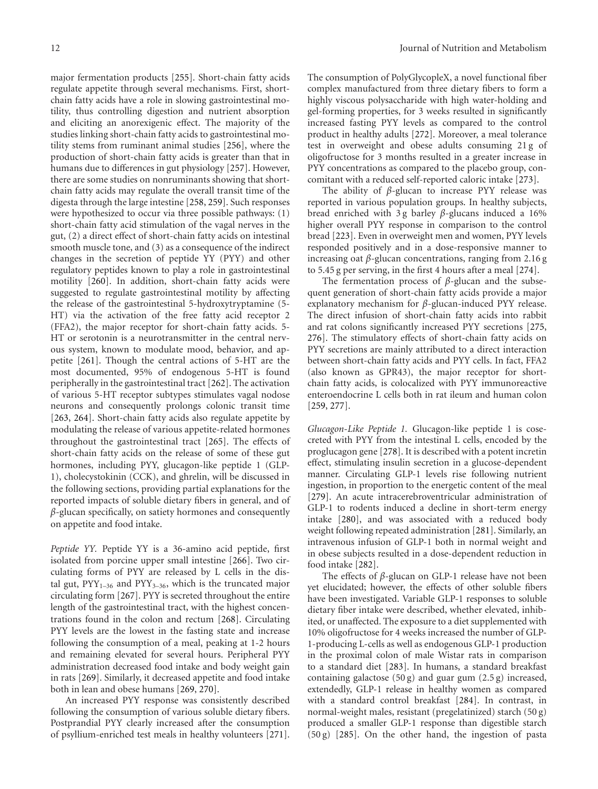major fermentation products [\[255\]](#page-23-27). Short-chain fatty acids regulate appetite through several mechanisms. First, shortchain fatty acids have a role in slowing gastrointestinal motility, thus controlling digestion and nutrient absorption and eliciting an anorexigenic effect. The majority of the studies linking short-chain fatty acids to gastrointestinal motility stems from ruminant animal studies [\[256\]](#page-23-28), where the production of short-chain fatty acids is greater than that in humans due to differences in gut physiology [\[257](#page-23-29)]. However, there are some studies on nonruminants showing that shortchain fatty acids may regulate the overall transit time of the digesta through the large intestine [\[258](#page-23-30), [259](#page-23-31)]. Such responses were hypothesized to occur via three possible pathways: (1) short-chain fatty acid stimulation of the vagal nerves in the gut, (2) a direct effect of short-chain fatty acids on intestinal smooth muscle tone, and (3) as a consequence of the indirect changes in the secretion of peptide YY (PYY) and other regulatory peptides known to play a role in gastrointestinal motility [\[260\]](#page-24-0). In addition, short-chain fatty acids were suggested to regulate gastrointestinal motility by affecting the release of the gastrointestinal 5-hydroxytryptamine (5- HT) via the activation of the free fatty acid receptor 2 (FFA2), the major receptor for short-chain fatty acids. 5- HT or serotonin is a neurotransmitter in the central nervous system, known to modulate mood, behavior, and appetite [\[261](#page-24-1)]. Though the central actions of 5-HT are the most documented, 95% of endogenous 5-HT is found peripherally in the gastrointestinal tract [\[262](#page-24-2)]. The activation of various 5-HT receptor subtypes stimulates vagal nodose neurons and consequently prolongs colonic transit time [\[263,](#page-24-3) [264\]](#page-24-4). Short-chain fatty acids also regulate appetite by modulating the release of various appetite-related hormones throughout the gastrointestinal tract [\[265\]](#page-24-5). The effects of short-chain fatty acids on the release of some of these gut hormones, including PYY, glucagon-like peptide 1 (GLP-1), cholecystokinin (CCK), and ghrelin, will be discussed in the following sections, providing partial explanations for the reported impacts of soluble dietary fibers in general, and of *β*-glucan specifically, on satiety hormones and consequently on appetite and food intake.

*Peptide YY.* Peptide YY is a 36-amino acid peptide, first isolated from porcine upper small intestine [\[266\]](#page-24-6). Two circulating forms of PYY are released by L cells in the distal gut,  $PYY_{1-36}$  and  $PYY_{3-36}$ , which is the truncated major circulating form [\[267](#page-24-7)]. PYY is secreted throughout the entire length of the gastrointestinal tract, with the highest concentrations found in the colon and rectum [\[268](#page-24-8)]. Circulating PYY levels are the lowest in the fasting state and increase following the consumption of a meal, peaking at 1-2 hours and remaining elevated for several hours. Peripheral PYY administration decreased food intake and body weight gain in rats [\[269](#page-24-9)]. Similarly, it decreased appetite and food intake both in lean and obese humans [\[269](#page-24-9), [270](#page-24-10)].

An increased PYY response was consistently described following the consumption of various soluble dietary fibers. Postprandial PYY clearly increased after the consumption of psyllium-enriched test meals in healthy volunteers [\[271\]](#page-24-11). The consumption of PolyGlycopleX, a novel functional fiber complex manufactured from three dietary fibers to form a highly viscous polysaccharide with high water-holding and gel-forming properties, for 3 weeks resulted in significantly increased fasting PYY levels as compared to the control product in healthy adults [\[272\]](#page-24-12). Moreover, a meal tolerance test in overweight and obese adults consuming 21 g of oligofructose for 3 months resulted in a greater increase in PYY concentrations as compared to the placebo group, concomitant with a reduced self-reported caloric intake [\[273](#page-24-13)].

The ability of *β*-glucan to increase PYY release was reported in various population groups. In healthy subjects, bread enriched with 3 g barley *β*-glucans induced a 16% higher overall PYY response in comparison to the control bread [\[223](#page-22-20)]. Even in overweight men and women, PYY levels responded positively and in a dose-responsive manner to increasing oat *β*-glucan concentrations, ranging from 2.16 g to 5.45 g per serving, in the first 4 hours after a meal [\[274\]](#page-24-14).

The fermentation process of *β*-glucan and the subsequent generation of short-chain fatty acids provide a major explanatory mechanism for *β*-glucan-induced PYY release. The direct infusion of short-chain fatty acids into rabbit and rat colons significantly increased PYY secretions [\[275](#page-24-15), [276](#page-24-16)]. The stimulatory effects of short-chain fatty acids on PYY secretions are mainly attributed to a direct interaction between short-chain fatty acids and PYY cells. In fact, FFA2 (also known as GPR43), the major receptor for shortchain fatty acids, is colocalized with PYY immunoreactive enteroendocrine L cells both in rat ileum and human colon [\[259,](#page-23-31) [277\]](#page-24-17).

*Glucagon-Like Peptide 1.* Glucagon-like peptide 1 is cosecreted with PYY from the intestinal L cells, encoded by the proglucagon gene [\[278\]](#page-24-18). It is described with a potent incretin effect, stimulating insulin secretion in a glucose-dependent manner. Circulating GLP-1 levels rise following nutrient ingestion, in proportion to the energetic content of the meal [\[279\]](#page-24-19). An acute intracerebroventricular administration of GLP-1 to rodents induced a decline in short-term energy intake [\[280](#page-24-20)], and was associated with a reduced body weight following repeated administration [\[281\]](#page-24-21). Similarly, an intravenous infusion of GLP-1 both in normal weight and in obese subjects resulted in a dose-dependent reduction in food intake [\[282](#page-24-22)].

The effects of *β*-glucan on GLP-1 release have not been yet elucidated; however, the effects of other soluble fibers have been investigated. Variable GLP-1 responses to soluble dietary fiber intake were described, whether elevated, inhibited, or unaffected. The exposure to a diet supplemented with 10% oligofructose for 4 weeks increased the number of GLP-1-producing L-cells as well as endogenous GLP-1 production in the proximal colon of male Wistar rats in comparison to a standard diet [\[283\]](#page-24-23). In humans, a standard breakfast containing galactose (50 g) and guar gum (2.5 g) increased, extendedly, GLP-1 release in healthy women as compared with a standard control breakfast [\[284](#page-24-24)]. In contrast, in normal-weight males, resistant (pregelatinized) starch (50 g) produced a smaller GLP-1 response than digestible starch (50 g) [\[285\]](#page-24-25). On the other hand, the ingestion of pasta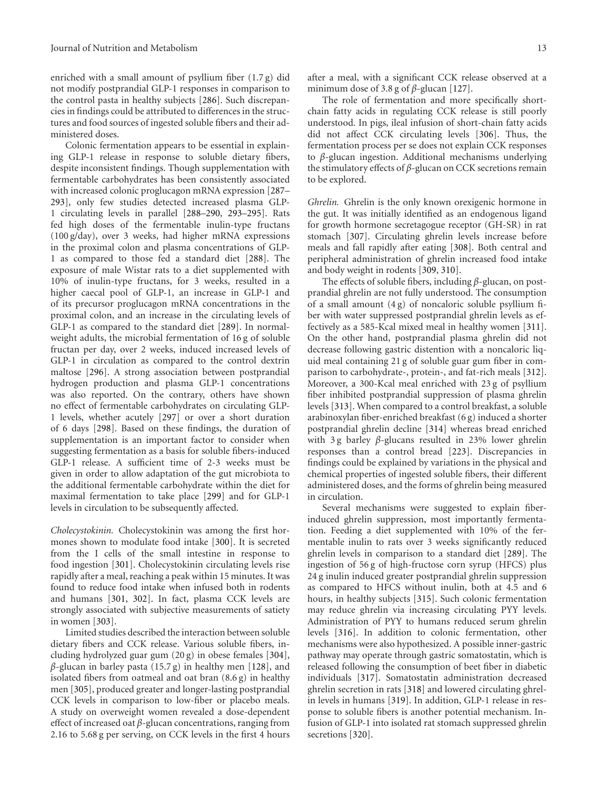enriched with a small amount of psyllium fiber (1.7 g) did not modify postprandial GLP-1 responses in comparison to the control pasta in healthy subjects [\[286](#page-24-26)]. Such discrepancies in findings could be attributed to differences in the structures and food sources of ingested soluble fibers and their administered doses.

Colonic fermentation appears to be essential in explaining GLP-1 release in response to soluble dietary fibers, despite inconsistent findings. Though supplementation with fermentable carbohydrates has been consistently associated with increased colonic proglucagon mRNA expression [\[287–](#page-24-27) [293](#page-25-0)], only few studies detected increased plasma GLP-1 circulating levels in parallel [\[288](#page-24-28)[–290,](#page-24-29) [293](#page-25-0)[–295](#page-25-1)]. Rats fed high doses of the fermentable inulin-type fructans (100 g/day), over 3 weeks, had higher mRNA expressions in the proximal colon and plasma concentrations of GLP-1 as compared to those fed a standard diet [\[288](#page-24-28)]. The exposure of male Wistar rats to a diet supplemented with 10% of inulin-type fructans, for 3 weeks, resulted in a higher caecal pool of GLP-1, an increase in GLP-1 and of its precursor proglucagon mRNA concentrations in the proximal colon, and an increase in the circulating levels of GLP-1 as compared to the standard diet [\[289](#page-24-30)]. In normalweight adults, the microbial fermentation of 16 g of soluble fructan per day, over 2 weeks, induced increased levels of GLP-1 in circulation as compared to the control dextrin maltose [\[296\]](#page-25-2). A strong association between postprandial hydrogen production and plasma GLP-1 concentrations was also reported. On the contrary, others have shown no effect of fermentable carbohydrates on circulating GLP-1 levels, whether acutely [\[297](#page-25-3)] or over a short duration of 6 days [\[298](#page-25-4)]. Based on these findings, the duration of supplementation is an important factor to consider when suggesting fermentation as a basis for soluble fibers-induced GLP-1 release. A sufficient time of 2-3 weeks must be given in order to allow adaptation of the gut microbiota to the additional fermentable carbohydrate within the diet for maximal fermentation to take place [\[299](#page-25-5)] and for GLP-1 levels in circulation to be subsequently affected.

*Cholecystokinin.* Cholecystokinin was among the first hormones shown to modulate food intake [\[300](#page-25-6)]. It is secreted from the I cells of the small intestine in response to food ingestion [\[301\]](#page-25-7). Cholecystokinin circulating levels rise rapidly after a meal, reaching a peak within 15 minutes. It was found to reduce food intake when infused both in rodents and humans [\[301,](#page-25-7) [302\]](#page-25-8). In fact, plasma CCK levels are strongly associated with subjective measurements of satiety in women [\[303](#page-25-9)].

Limited studies described the interaction between soluble dietary fibers and CCK release. Various soluble fibers, including hydrolyzed guar gum (20 g) in obese females [\[304\]](#page-25-10), *β*-glucan in barley pasta (15.7 g) in healthy men [\[128\]](#page-19-17), and isolated fibers from oatmeal and oat bran (8.6 g) in healthy men [\[305\]](#page-25-11), produced greater and longer-lasting postprandial CCK levels in comparison to low-fiber or placebo meals. A study on overweight women revealed a dose-dependent effect of increased oat *β*-glucan concentrations, ranging from 2.16 to 5.68 g per serving, on CCK levels in the first 4 hours after a meal, with a significant CCK release observed at a minimum dose of 3.8 g of *β*-glucan [\[127\]](#page-19-16).

The role of fermentation and more specifically shortchain fatty acids in regulating CCK release is still poorly understood. In pigs, ileal infusion of short-chain fatty acids did not affect CCK circulating levels [\[306](#page-25-12)]. Thus, the fermentation process per se does not explain CCK responses to *β*-glucan ingestion. Additional mechanisms underlying the stimulatory effects of *β*-glucan on CCK secretions remain to be explored.

*Ghrelin.* Ghrelin is the only known orexigenic hormone in the gut. It was initially identified as an endogenous ligand for growth hormone secretagogue receptor (GH-SR) in rat stomach [\[307](#page-25-13)]. Circulating ghrelin levels increase before meals and fall rapidly after eating [\[308\]](#page-25-14). Both central and peripheral administration of ghrelin increased food intake and body weight in rodents [\[309,](#page-25-15) [310\]](#page-25-16).

The effects of soluble fibers, including *β*-glucan, on postprandial ghrelin are not fully understood. The consumption of a small amount  $(4g)$  of noncaloric soluble psyllium fiber with water suppressed postprandial ghrelin levels as effectively as a 585-Kcal mixed meal in healthy women [\[311\]](#page-25-17). On the other hand, postprandial plasma ghrelin did not decrease following gastric distention with a noncaloric liquid meal containing 21 g of soluble guar gum fiber in comparison to carbohydrate-, protein-, and fat-rich meals [\[312\]](#page-25-18). Moreover, a 300-Kcal meal enriched with 23 g of psyllium fiber inhibited postprandial suppression of plasma ghrelin levels [\[313](#page-25-19)]. When compared to a control breakfast, a soluble arabinoxylan fiber-enriched breakfast (6 g) induced a shorter postprandial ghrelin decline [\[314\]](#page-25-20) whereas bread enriched with 3 g barley *β*-glucans resulted in 23% lower ghrelin responses than a control bread [\[223](#page-22-20)]. Discrepancies in findings could be explained by variations in the physical and chemical properties of ingested soluble fibers, their different administered doses, and the forms of ghrelin being measured in circulation.

Several mechanisms were suggested to explain fiberinduced ghrelin suppression, most importantly fermentation. Feeding a diet supplemented with 10% of the fermentable inulin to rats over 3 weeks significantly reduced ghrelin levels in comparison to a standard diet [\[289\]](#page-24-30). The ingestion of 56 g of high-fructose corn syrup (HFCS) plus 24 g inulin induced greater postprandial ghrelin suppression as compared to HFCS without inulin, both at 4.5 and 6 hours, in healthy subjects [\[315\]](#page-25-21). Such colonic fermentation may reduce ghrelin via increasing circulating PYY levels. Administration of PYY to humans reduced serum ghrelin levels [\[316\]](#page-25-22). In addition to colonic fermentation, other mechanisms were also hypothesized. A possible inner-gastric pathway may operate through gastric somatostatin, which is released following the consumption of beet fiber in diabetic individuals [\[317](#page-25-23)]. Somatostatin administration decreased ghrelin secretion in rats [\[318](#page-25-24)] and lowered circulating ghrelin levels in humans [\[319\]](#page-25-25). In addition, GLP-1 release in response to soluble fibers is another potential mechanism. Infusion of GLP-1 into isolated rat stomach suppressed ghrelin secretions [\[320](#page-25-26)].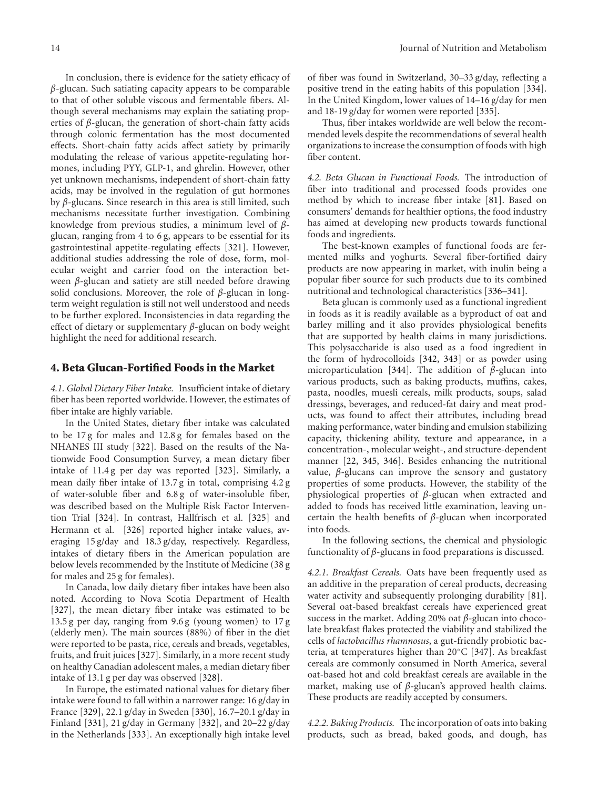In conclusion, there is evidence for the satiety efficacy of *β*-glucan. Such satiating capacity appears to be comparable to that of other soluble viscous and fermentable fibers. Although several mechanisms may explain the satiating properties of *β*-glucan, the generation of short-chain fatty acids through colonic fermentation has the most documented effects. Short-chain fatty acids affect satiety by primarily modulating the release of various appetite-regulating hormones, including PYY, GLP-1, and ghrelin. However, other yet unknown mechanisms, independent of short-chain fatty acids, may be involved in the regulation of gut hormones by *β*-glucans. Since research in this area is still limited, such mechanisms necessitate further investigation. Combining knowledge from previous studies, a minimum level of *β*glucan, ranging from 4 to 6 g, appears to be essential for its gastrointestinal appetite-regulating effects [\[321](#page-25-27)]. However, additional studies addressing the role of dose, form, molecular weight and carrier food on the interaction between *β*-glucan and satiety are still needed before drawing solid conclusions. Moreover, the role of *β*-glucan in longterm weight regulation is still not well understood and needs to be further explored. Inconsistencies in data regarding the effect of dietary or supplementary *β*-glucan on body weight highlight the need for additional research.

#### **4. Beta Glucan-Fortified Foods in the Market**

*4.1. Global Dietary Fiber Intake.* Insufficient intake of dietary fiber has been reported worldwide. However, the estimates of fiber intake are highly variable.

In the United States, dietary fiber intake was calculated to be 17 g for males and 12.8 g for females based on the NHANES III study [\[322\]](#page-26-0). Based on the results of the Nationwide Food Consumption Survey, a mean dietary fiber intake of 11.4 g per day was reported [\[323\]](#page-26-1). Similarly, a mean daily fiber intake of 13.7 g in total, comprising 4.2 g of water-soluble fiber and 6.8 g of water-insoluble fiber, was described based on the Multiple Risk Factor Intervention Trial [\[324](#page-26-2)]. In contrast, Hallfrisch et al. [\[325](#page-26-3)] and Hermann et al. [\[326\]](#page-26-4) reported higher intake values, averaging 15 g/day and 18.3 g/day, respectively. Regardless, intakes of dietary fibers in the American population are below levels recommended by the Institute of Medicine (38 g for males and 25 g for females).

In Canada, low daily dietary fiber intakes have been also noted. According to Nova Scotia Department of Health [\[327\]](#page-26-5), the mean dietary fiber intake was estimated to be 13.5 g per day, ranging from 9.6 g (young women) to 17 g (elderly men). The main sources (88%) of fiber in the diet were reported to be pasta, rice, cereals and breads, vegetables, fruits, and fruit juices [\[327\]](#page-26-5). Similarly, in a more recent study on healthy Canadian adolescent males, a median dietary fiber intake of 13.1 g per day was observed [\[328\]](#page-26-6).

In Europe, the estimated national values for dietary fiber intake were found to fall within a narrower range: 16 g/day in France [\[329\]](#page-26-7), 22.1 g/day in Sweden [\[330](#page-26-8)], 16.7–20.1 g/day in Finland [\[331](#page-26-9)], 21 g/day in Germany [\[332](#page-26-10)], and 20–22 g/day in the Netherlands [\[333\]](#page-26-11). An exceptionally high intake level of fiber was found in Switzerland, 30–33 g/day, reflecting a positive trend in the eating habits of this population [\[334\]](#page-26-12). In the United Kingdom, lower values of 14–16 g/day for men and 18-19 g/day for women were reported [\[335\]](#page-26-13).

Thus, fiber intakes worldwide are well below the recommended levels despite the recommendations of several health organizations to increase the consumption of foods with high fiber content.

*4.2. Beta Glucan in Functional Foods.* The introduction of fiber into traditional and processed foods provides one method by which to increase fiber intake [\[81](#page-18-1)]. Based on consumers' demands for healthier options, the food industry has aimed at developing new products towards functional foods and ingredients.

The best-known examples of functional foods are fermented milks and yoghurts. Several fiber-fortified dairy products are now appearing in market, with inulin being a popular fiber source for such products due to its combined nutritional and technological characteristics [\[336](#page-26-14)[–341](#page-26-15)].

Beta glucan is commonly used as a functional ingredient in foods as it is readily available as a byproduct of oat and barley milling and it also provides physiological benefits that are supported by health claims in many jurisdictions. This polysaccharide is also used as a food ingredient in the form of hydrocolloids [\[342,](#page-26-16) [343\]](#page-26-17) or as powder using microparticulation [\[344](#page-26-18)]. The addition of *β*-glucan into various products, such as baking products, muffins, cakes, pasta, noodles, muesli cereals, milk products, soups, salad dressings, beverages, and reduced-fat dairy and meat products, was found to affect their attributes, including bread making performance, water binding and emulsion stabilizing capacity, thickening ability, texture and appearance, in a concentration-, molecular weight-, and structure-dependent manner [\[22](#page-16-8), [345](#page-26-19), [346](#page-26-20)]. Besides enhancing the nutritional value, *β*-glucans can improve the sensory and gustatory properties of some products. However, the stability of the physiological properties of *β*-glucan when extracted and added to foods has received little examination, leaving uncertain the health benefits of *β*-glucan when incorporated into foods.

In the following sections, the chemical and physiologic functionality of *β*-glucans in food preparations is discussed.

*4.2.1. Breakfast Cereals.* Oats have been frequently used as an additive in the preparation of cereal products, decreasing water activity and subsequently prolonging durability [\[81\]](#page-18-1). Several oat-based breakfast cereals have experienced great success in the market. Adding 20% oat *β*-glucan into chocolate breakfast flakes protected the viability and stabilized the cells of *lactobacillus rhamnosus*, a gut-friendly probiotic bacteria, at temperatures higher than 20◦C [\[347](#page-26-21)]. As breakfast cereals are commonly consumed in North America, several oat-based hot and cold breakfast cereals are available in the market, making use of *β*-glucan's approved health claims. These products are readily accepted by consumers.

*4.2.2. Baking Products.* The incorporation of oats into baking products, such as bread, baked goods, and dough, has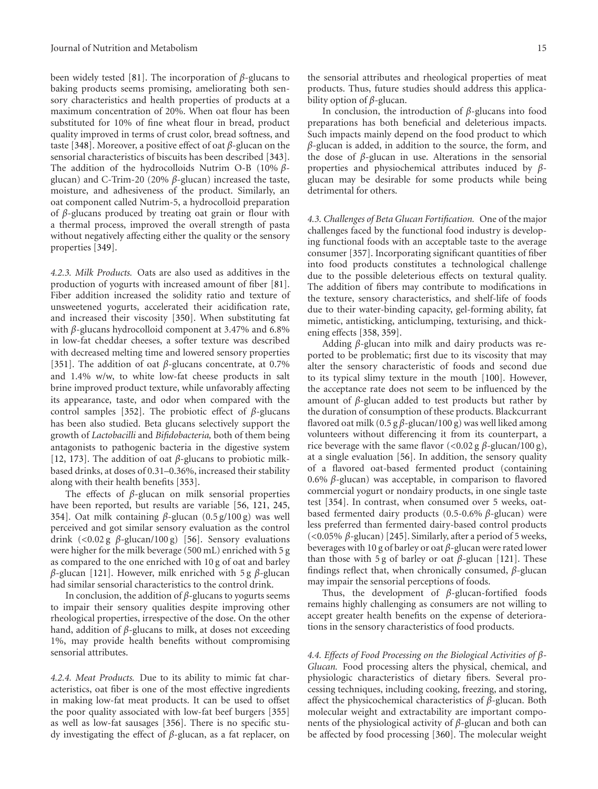been widely tested [\[81\]](#page-18-1). The incorporation of *β*-glucans to baking products seems promising, ameliorating both sensory characteristics and health properties of products at a maximum concentration of 20%. When oat flour has been substituted for 10% of fine wheat flour in bread, product quality improved in terms of crust color, bread softness, and taste [\[348](#page-26-22)]. Moreover, a positive effect of oat *β*-glucan on the sensorial characteristics of biscuits has been described [\[343\]](#page-26-17). The addition of the hydrocolloids Nutrim O-B (10% *β*glucan) and C-Trim-20 (20% *β*-glucan) increased the taste, moisture, and adhesiveness of the product. Similarly, an oat component called Nutrim-5, a hydrocolloid preparation of *β*-glucans produced by treating oat grain or flour with a thermal process, improved the overall strength of pasta without negatively affecting either the quality or the sensory properties [\[349\]](#page-26-23).

*4.2.3. Milk Products.* Oats are also used as additives in the production of yogurts with increased amount of fiber [\[81\]](#page-18-1). Fiber addition increased the solidity ratio and texture of unsweetened yogurts, accelerated their acidification rate, and increased their viscosity [\[350\]](#page-26-24). When substituting fat with *β*-glucans hydrocolloid component at 3.47% and 6.8% in low-fat cheddar cheeses, a softer texture was described with decreased melting time and lowered sensory properties [\[351\]](#page-26-25). The addition of oat *β*-glucans concentrate, at 0.7% and 1.4% w/w, to white low-fat cheese products in salt brine improved product texture, while unfavorably affecting its appearance, taste, and odor when compared with the control samples [\[352](#page-26-26)]. The probiotic effect of *β*-glucans has been also studied. Beta glucans selectively support the growth of *Lactobacilli* and *Bifidobacteria,* both of them being antagonists to pathogenic bacteria in the digestive system [\[12,](#page-15-7) [173\]](#page-21-5). The addition of oat *β*-glucans to probiotic milkbased drinks, at doses of 0.31–0.36%, increased their stability along with their health benefits [\[353\]](#page-26-27).

The effects of *β*-glucan on milk sensorial properties have been reported, but results are variable [\[56](#page-17-29), [121,](#page-19-11) [245,](#page-23-17) [354](#page-26-28)]. Oat milk containing *β*-glucan (0.5 g/100 g) was well perceived and got similar sensory evaluation as the control drink (*<*0.02 g *β*-glucan/100 g) [\[56](#page-17-29)]. Sensory evaluations were higher for the milk beverage (500 mL) enriched with 5 g as compared to the one enriched with 10 g of oat and barley *β*-glucan [\[121\]](#page-19-11). However, milk enriched with 5 g *β*-glucan had similar sensorial characteristics to the control drink.

In conclusion, the addition of *β*-glucans to yogurts seems to impair their sensory qualities despite improving other rheological properties, irrespective of the dose. On the other hand, addition of *β*-glucans to milk, at doses not exceeding 1%, may provide health benefits without compromising sensorial attributes.

*4.2.4. Meat Products.* Due to its ability to mimic fat characteristics, oat fiber is one of the most effective ingredients in making low-fat meat products. It can be used to offset the poor quality associated with low-fat beef burgers [\[355](#page-27-6)] as well as low-fat sausages [\[356\]](#page-27-7). There is no specific study investigating the effect of *β*-glucan, as a fat replacer, on the sensorial attributes and rheological properties of meat products. Thus, future studies should address this applicability option of *β*-glucan.

In conclusion, the introduction of *β*-glucans into food preparations has both beneficial and deleterious impacts. Such impacts mainly depend on the food product to which *β*-glucan is added, in addition to the source, the form, and the dose of *β*-glucan in use. Alterations in the sensorial properties and physiochemical attributes induced by *β*glucan may be desirable for some products while being detrimental for others.

*4.3. Challenges of Beta Glucan Fortification.* One of the major challenges faced by the functional food industry is developing functional foods with an acceptable taste to the average consumer [\[357](#page-27-8)]. Incorporating significant quantities of fiber into food products constitutes a technological challenge due to the possible deleterious effects on textural quality. The addition of fibers may contribute to modifications in the texture, sensory characteristics, and shelf-life of foods due to their water-binding capacity, gel-forming ability, fat mimetic, antisticking, anticlumping, texturising, and thickening effects [\[358](#page-27-9), [359](#page-27-10)].

Adding *β*-glucan into milk and dairy products was reported to be problematic; first due to its viscosity that may alter the sensory characteristic of foods and second due to its typical slimy texture in the mouth [\[100](#page-18-19)]. However, the acceptance rate does not seem to be influenced by the amount of *β*-glucan added to test products but rather by the duration of consumption of these products. Blackcurrant flavored oat milk (0.5 g *β*-glucan/100 g) was well liked among volunteers without differencing it from its counterpart, a rice beverage with the same flavor (*<*0.02 g *β*-glucan/100 g), at a single evaluation [\[56](#page-17-29)]. In addition, the sensory quality of a flavored oat-based fermented product (containing 0.6% *β*-glucan) was acceptable, in comparison to flavored commercial yogurt or nondairy products, in one single taste test [\[354](#page-26-28)]. In contrast, when consumed over 5 weeks, oatbased fermented dairy products (0.5-0.6% *β*-glucan) were less preferred than fermented dairy-based control products (*<*0.05% *β*-glucan) [\[245](#page-23-17)]. Similarly, after a period of 5 weeks, beverages with 10 g of barley or oat *β*-glucan were rated lower than those with 5 g of barley or oat  $β$ -glucan [\[121\]](#page-19-11). These findings reflect that, when chronically consumed, *β*-glucan may impair the sensorial perceptions of foods.

Thus, the development of *β*-glucan-fortified foods remains highly challenging as consumers are not willing to accept greater health benefits on the expense of deteriorations in the sensory characteristics of food products.

*4.4. Effects of Food Processing on the Biological Activities of β-Glucan.* Food processing alters the physical, chemical, and physiologic characteristics of dietary fibers. Several processing techniques, including cooking, freezing, and storing, affect the physicochemical characteristics of *β*-glucan. Both molecular weight and extractability are important components of the physiological activity of *β*-glucan and both can be affected by food processing [\[360\]](#page-27-11). The molecular weight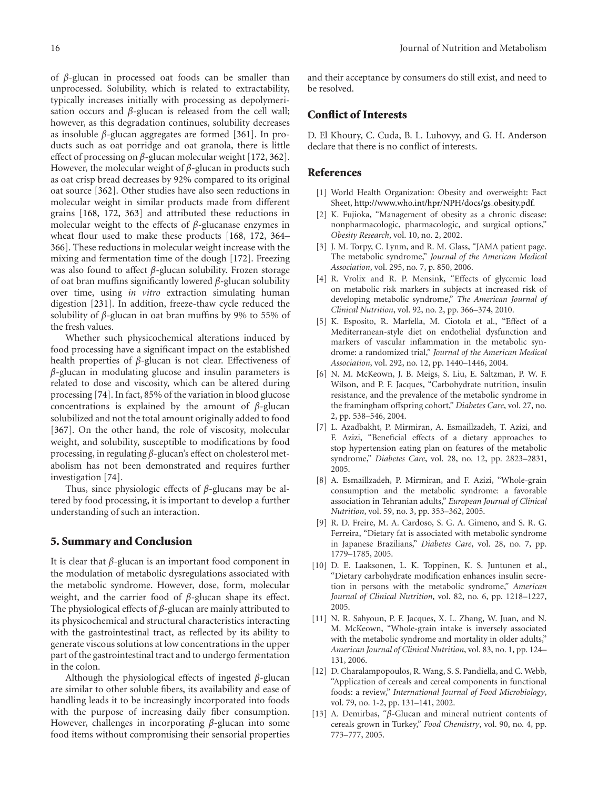of *β*-glucan in processed oat foods can be smaller than unprocessed. Solubility, which is related to extractability, typically increases initially with processing as depolymerisation occurs and *β*-glucan is released from the cell wall; however, as this degradation continues, solubility decreases as insoluble *β*-glucan aggregates are formed [\[361\]](#page-27-12). In products such as oat porridge and oat granola, there is little effect of processing on *β*-glucan molecular weight [\[172](#page-21-4), [362\]](#page-27-13). However, the molecular weight of *β*-glucan in products such as oat crisp bread decreases by 92% compared to its original oat source [\[362\]](#page-27-13). Other studies have also seen reductions in molecular weight in similar products made from different grains [\[168](#page-21-1), [172,](#page-21-4) [363\]](#page-27-14) and attributed these reductions in molecular weight to the effects of *β*-glucanase enzymes in wheat flour used to make these products [\[168](#page-21-1), [172](#page-21-4), [364–](#page-27-15) [366](#page-27-16)]. These reductions in molecular weight increase with the mixing and fermentation time of the dough [\[172](#page-21-4)]. Freezing was also found to affect *β*-glucan solubility. Frozen storage of oat bran muffins significantly lowered *β*-glucan solubility over time, using *in vitro* extraction simulating human digestion [\[231\]](#page-23-4). In addition, freeze-thaw cycle reduced the solubility of *β*-glucan in oat bran muffins by 9% to 55% of the fresh values.

Whether such physicochemical alterations induced by food processing have a significant impact on the established health properties of *β*-glucan is not clear. Effectiveness of *β*-glucan in modulating glucose and insulin parameters is related to dose and viscosity, which can be altered during processing [\[74\]](#page-17-23). In fact, 85% of the variation in blood glucose concentrations is explained by the amount of *β*-glucan solubilized and not the total amount originally added to food [\[367\]](#page-27-17). On the other hand, the role of viscosity, molecular weight, and solubility, susceptible to modifications by food processing, in regulating *β*-glucan's effect on cholesterol metabolism has not been demonstrated and requires further investigation [\[74](#page-17-23)].

Thus, since physiologic effects of *β*-glucans may be altered by food processing, it is important to develop a further understanding of such an interaction.

#### **5. Summary and Conclusion**

It is clear that *β*-glucan is an important food component in the modulation of metabolic dysregulations associated with the metabolic syndrome. However, dose, form, molecular weight, and the carrier food of *β*-glucan shape its effect. The physiological effects of *β*-glucan are mainly attributed to its physicochemical and structural characteristics interacting with the gastrointestinal tract, as reflected by its ability to generate viscous solutions at low concentrations in the upper part of the gastrointestinal tract and to undergo fermentation in the colon.

Although the physiological effects of ingested *β*-glucan are similar to other soluble fibers, its availability and ease of handling leads it to be increasingly incorporated into foods with the purpose of increasing daily fiber consumption. However, challenges in incorporating *β*-glucan into some food items without compromising their sensorial properties

and their acceptance by consumers do still exist, and need to be resolved.

## **Conflict of Interests**

D. El Khoury, C. Cuda, B. L. Luhovyy, and G. H. Anderson declare that there is no conflict of interests.

#### <span id="page-15-0"></span>**References**

- <span id="page-15-1"></span>[1] World Health Organization: Obesity and overweight: Fact Sheet, [http://www.who.int/hpr/NPH/docs/gs](http://www.who.int/hpr/NPH/docs/gs_obesity.pdf)\_obesity.pdf.
- <span id="page-15-2"></span>[2] K. Fujioka, "Management of obesity as a chronic disease: nonpharmacologic, pharmacologic, and surgical options," *Obesity Research*, vol. 10, no. 2, 2002.
- <span id="page-15-3"></span>[3] J. M. Torpy, C. Lynm, and R. M. Glass, "JAMA patient page. The metabolic syndrome," *Journal of the American Medical Association*, vol. 295, no. 7, p. 850, 2006.
- <span id="page-15-4"></span>[4] R. Vrolix and R. P. Mensink, "Effects of glycemic load on metabolic risk markers in subjects at increased risk of developing metabolic syndrome," *The American Journal of Clinical Nutrition*, vol. 92, no. 2, pp. 366–374, 2010.
- <span id="page-15-5"></span>[5] K. Esposito, R. Marfella, M. Ciotola et al., "Effect of a Mediterranean-style diet on endothelial dysfunction and markers of vascular inflammation in the metabolic syndrome: a randomized trial," *Journal of the American Medical Association*, vol. 292, no. 12, pp. 1440–1446, 2004.
- <span id="page-15-8"></span>[6] N. M. McKeown, J. B. Meigs, S. Liu, E. Saltzman, P. W. F. Wilson, and P. F. Jacques, "Carbohydrate nutrition, insulin resistance, and the prevalence of the metabolic syndrome in the framingham offspring cohort," *Diabetes Care*, vol. 27, no. 2, pp. 538–546, 2004.
- [7] L. Azadbakht, P. Mirmiran, A. Esmaillzadeh, T. Azizi, and F. Azizi, "Beneficial effects of a dietary approaches to stop hypertension eating plan on features of the metabolic syndrome," *Diabetes Care*, vol. 28, no. 12, pp. 2823–2831, 2005.
- <span id="page-15-9"></span>[8] A. Esmaillzadeh, P. Mirmiran, and F. Azizi, "Whole-grain consumption and the metabolic syndrome: a favorable association in Tehranian adults," *European Journal of Clinical Nutrition*, vol. 59, no. 3, pp. 353–362, 2005.
- [9] R. D. Freire, M. A. Cardoso, S. G. A. Gimeno, and S. R. G. Ferreira, "Dietary fat is associated with metabolic syndrome in Japanese Brazilians," *Diabetes Care*, vol. 28, no. 7, pp. 1779–1785, 2005.
- [10] D. E. Laaksonen, L. K. Toppinen, K. S. Juntunen et al., "Dietary carbohydrate modification enhances insulin secretion in persons with the metabolic syndrome," *American Journal of Clinical Nutrition*, vol. 82, no. 6, pp. 1218–1227, 2005.
- <span id="page-15-6"></span>[11] N. R. Sahyoun, P. F. Jacques, X. L. Zhang, W. Juan, and N. M. McKeown, "Whole-grain intake is inversely associated with the metabolic syndrome and mortality in older adults," *American Journal of Clinical Nutrition*, vol. 83, no. 1, pp. 124– 131, 2006.
- <span id="page-15-7"></span>[12] D. Charalampopoulos, R. Wang, S. S. Pandiella, and C. Webb, "Application of cereals and cereal components in functional foods: a review," *International Journal of Food Microbiology*, vol. 79, no. 1-2, pp. 131–141, 2002.
- [13] A. Demirbas, "*β*-Glucan and mineral nutrient contents of cereals grown in Turkey," *Food Chemistry*, vol. 90, no. 4, pp. 773–777, 2005.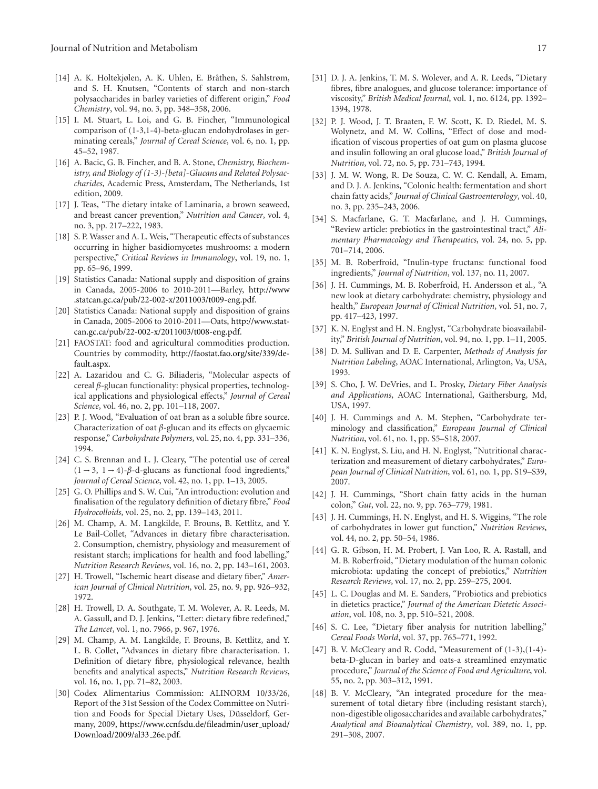- <span id="page-16-0"></span>[14] A. K. Holtekjølen, A. K. Uhlen, E. Bråthen, S. Sahlstrøm, and S. H. Knutsen, "Contents of starch and non-starch polysaccharides in barley varieties of different origin," *Food Chemistry*, vol. 94, no. 3, pp. 348–358, 2006.
- <span id="page-16-1"></span>[15] I. M. Stuart, L. Loi, and G. B. Fincher, "Immunological comparison of (1-3,1-4)-beta-glucan endohydrolases in germinating cereals," *Journal of Cereal Science*, vol. 6, no. 1, pp. 45–52, 1987.
- <span id="page-16-2"></span>[16] A. Bacic, G. B. Fincher, and B. A. Stone, *Chemistry, Biochemistry, and Biology of (1-3)-[beta]-Glucans and Related Polysaccharides*, Academic Press, Amsterdam, The Netherlands, 1st edition, 2009.
- <span id="page-16-3"></span>[17] J. Teas, "The dietary intake of Laminaria, a brown seaweed, and breast cancer prevention," *Nutrition and Cancer*, vol. 4, no. 3, pp. 217–222, 1983.
- <span id="page-16-4"></span>[18] S. P. Wasser and A. L. Weis, "Therapeutic effects of substances occurring in higher basidiomycetes mushrooms: a modern perspective," *Critical Reviews in Immunology*, vol. 19, no. 1, pp. 65–96, 1999.
- <span id="page-16-5"></span>[19] Statistics Canada: National supply and disposition of grains in Canada, 2005-2006 to 2010-2011—Barley, [http://www](http://www.statcan.gc.ca/pub/22-002-x/2011003/t009-eng.pdf) [.statcan.gc.ca/pub/22-002-x/2011003/t009-eng.pdf.](http://www.statcan.gc.ca/pub/22-002-x/2011003/t009-eng.pdf)
- <span id="page-16-6"></span>[20] Statistics Canada: National supply and disposition of grains in Canada, 2005-2006 to 2010-2011—Oats, [http://www.stat](http://www.statcan.gc.ca/pub/22-002-x/2011003/t008-eng.pdf)[can.gc.ca/pub/22-002-x/2011003/t008-eng.pdf.](http://www.statcan.gc.ca/pub/22-002-x/2011003/t008-eng.pdf)
- <span id="page-16-7"></span>[21] FAOSTAT: food and agricultural commodities production. Countries by commodity, [http://faostat.fao.org/site/339/de](http://faostat.fao.org/site/339/default.aspx)[fault.aspx.](http://faostat.fao.org/site/339/default.aspx)
- <span id="page-16-8"></span>[22] A. Lazaridou and C. G. Biliaderis, "Molecular aspects of cereal *β*-glucan functionality: physical properties, technological applications and physiological effects," *Journal of Cereal Science*, vol. 46, no. 2, pp. 101–118, 2007.
- <span id="page-16-9"></span>[23] P. J. Wood, "Evaluation of oat bran as a soluble fibre source. Characterization of oat *β*-glucan and its effects on glycaemic response," *Carbohydrate Polymers*, vol. 25, no. 4, pp. 331–336, 1994.
- <span id="page-16-10"></span>[24] C. S. Brennan and L. J. Cleary, "The potential use of cereal  $(1 \rightarrow 3, 1 \rightarrow 4)$ - $\beta$ -d-glucans as functional food ingredients," *Journal of Cereal Science*, vol. 42, no. 1, pp. 1–13, 2005.
- <span id="page-16-11"></span>[25] G. O. Phillips and S. W. Cui, "An introduction: evolution and finalisation of the regulatory definition of dietary fibre," *Food Hydrocolloids*, vol. 25, no. 2, pp. 139–143, 2011.
- <span id="page-16-12"></span>[26] M. Champ, A. M. Langkilde, F. Brouns, B. Kettlitz, and Y. Le Bail-Collet, "Advances in dietary fibre characterisation. 2. Consumption, chemistry, physiology and measurement of resistant starch; implications for health and food labelling," *Nutrition Research Reviews*, vol. 16, no. 2, pp. 143–161, 2003.
- <span id="page-16-13"></span>[27] H. Trowell, "Ischemic heart disease and dietary fiber," *American Journal of Clinical Nutrition*, vol. 25, no. 9, pp. 926–932, 1972.
- <span id="page-16-14"></span>[28] H. Trowell, D. A. Southgate, T. M. Wolever, A. R. Leeds, M. A. Gassull, and D. J. Jenkins, "Letter: dietary fibre redefined," *The Lancet*, vol. 1, no. 7966, p. 967, 1976.
- <span id="page-16-15"></span>[29] M. Champ, A. M. Langkilde, F. Brouns, B. Kettlitz, and Y. L. B. Collet, "Advances in dietary fibre characterisation. 1. Definition of dietary fibre, physiological relevance, health benefits and analytical aspects," *Nutrition Research Reviews*, vol. 16, no. 1, pp. 71–82, 2003.
- <span id="page-16-16"></span>[30] Codex Alimentarius Commission: ALINORM 10/33/26, Report of the 31st Session of the Codex Committee on Nutrition and Foods for Special Dietary Uses, Düsseldorf, Germany, 2009, [https://www.ccnfsdu.de/fileadmin/user](https://www.ccnfsdu.de/fileadmin/user_upload/Download/2009/al33_26e.pdf)\_upload/ [Download/2009/al33](https://www.ccnfsdu.de/fileadmin/user_upload/Download/2009/al33_26e.pdf) 26e.pdf.
- <span id="page-16-17"></span>[31] D. J. A. Jenkins, T. M. S. Wolever, and A. R. Leeds, "Dietary fibres, fibre analogues, and glucose tolerance: importance of viscosity," *British Medical Journal*, vol. 1, no. 6124, pp. 1392– 1394, 1978.
- <span id="page-16-18"></span>[32] P. J. Wood, J. T. Braaten, F. W. Scott, K. D. Riedel, M. S. Wolynetz, and M. W. Collins, "Effect of dose and modification of viscous properties of oat gum on plasma glucose and insulin following an oral glucose load," *British Journal of Nutrition*, vol. 72, no. 5, pp. 731–743, 1994.
- <span id="page-16-19"></span>[33] J. M. W. Wong, R. De Souza, C. W. C. Kendall, A. Emam, and D. J. A. Jenkins, "Colonic health: fermentation and short chain fatty acids," *Journal of Clinical Gastroenterology*, vol. 40, no. 3, pp. 235–243, 2006.
- <span id="page-16-20"></span>[34] S. Macfarlane, G. T. Macfarlane, and J. H. Cummings, "Review article: prebiotics in the gastrointestinal tract," *Alimentary Pharmacology and Therapeutics*, vol. 24, no. 5, pp. 701–714, 2006.
- <span id="page-16-21"></span>[35] M. B. Roberfroid, "Inulin-type fructans: functional food ingredients," *Journal of Nutrition*, vol. 137, no. 11, 2007.
- <span id="page-16-22"></span>[36] J. H. Cummings, M. B. Roberfroid, H. Andersson et al., "A new look at dietary carbohydrate: chemistry, physiology and health," *European Journal of Clinical Nutrition*, vol. 51, no. 7, pp. 417–423, 1997.
- <span id="page-16-23"></span>[37] K. N. Englyst and H. N. Englyst, "Carbohydrate bioavailability," *British Journal of Nutrition*, vol. 94, no. 1, pp. 1–11, 2005.
- <span id="page-16-24"></span>[38] D. M. Sullivan and D. E. Carpenter, *Methods of Analysis for Nutrition Labeling*, AOAC International, Arlington, Va, USA, 1993.
- <span id="page-16-25"></span>[39] S. Cho, J. W. DeVries, and L. Prosky, *Dietary Fiber Analysis and Applications*, AOAC International, Gaithersburg, Md, USA, 1997.
- <span id="page-16-26"></span>[40] J. H. Cummings and A. M. Stephen, "Carbohydrate terminology and classification," *European Journal of Clinical Nutrition*, vol. 61, no. 1, pp. S5–S18, 2007.
- <span id="page-16-27"></span>[41] K. N. Englyst, S. Liu, and H. N. Englyst, "Nutritional characterization and measurement of dietary carbohydrates," *European Journal of Clinical Nutrition*, vol. 61, no. 1, pp. S19–S39, 2007.
- <span id="page-16-28"></span>[42] J. H. Cummings, "Short chain fatty acids in the human colon," *Gut*, vol. 22, no. 9, pp. 763–779, 1981.
- <span id="page-16-29"></span>[43] J. H. Cummings, H. N. Englyst, and H. S. Wiggins, "The role of carbohydrates in lower gut function," *Nutrition Reviews*, vol. 44, no. 2, pp. 50–54, 1986.
- <span id="page-16-30"></span>[44] G. R. Gibson, H. M. Probert, J. Van Loo, R. A. Rastall, and M. B. Roberfroid, "Dietary modulation of the human colonic microbiota: updating the concept of prebiotics," *Nutrition Research Reviews*, vol. 17, no. 2, pp. 259–275, 2004.
- <span id="page-16-31"></span>[45] L. C. Douglas and M. E. Sanders, "Probiotics and prebiotics in dietetics practice," *Journal of the American Dietetic Association*, vol. 108, no. 3, pp. 510–521, 2008.
- <span id="page-16-32"></span>[46] S. C. Lee, "Dietary fiber analysis for nutrition labelling," *Cereal Foods World*, vol. 37, pp. 765–771, 1992.
- <span id="page-16-33"></span>[47] B. V. McCleary and R. Codd, "Measurement of  $(1-3)$ ,  $(1-4)$ beta-D-glucan in barley and oats-a streamlined enzymatic procedure," *Journal of the Science of Food and Agriculture*, vol. 55, no. 2, pp. 303–312, 1991.
- <span id="page-16-34"></span>[48] B. V. McCleary, "An integrated procedure for the measurement of total dietary fibre (including resistant starch), non-digestible oligosaccharides and available carbohydrates," *Analytical and Bioanalytical Chemistry*, vol. 389, no. 1, pp. 291–308, 2007.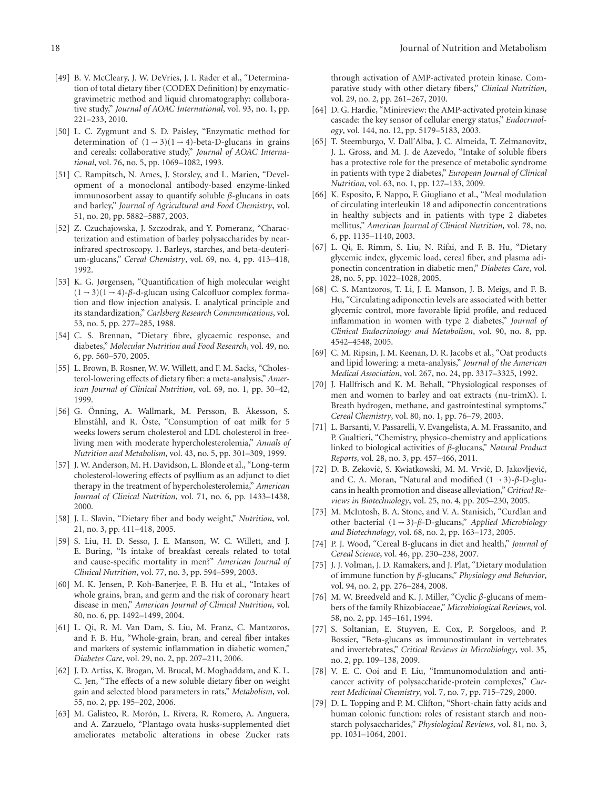- <span id="page-17-0"></span>[49] B. V. McCleary, J. W. DeVries, J. I. Rader et al., "Determination of total dietary fiber (CODEX Definition) by enzymaticgravimetric method and liquid chromatography: collaborative study," *Journal of AOAC International*, vol. 93, no. 1, pp. 221–233, 2010.
- <span id="page-17-1"></span>[50] L. C. Zygmunt and S. D. Paisley, "Enzymatic method for determination of  $(1 - 3)(1 - 4)$ -beta-D-glucans in grains and cereals: collaborative study," *Journal of AOAC International*, vol. 76, no. 5, pp. 1069–1082, 1993.
- <span id="page-17-2"></span>[51] C. Rampitsch, N. Ames, J. Storsley, and L. Marien, "Development of a monoclonal antibody-based enzyme-linked immunosorbent assay to quantify soluble *β*-glucans in oats and barley," *Journal of Agricultural and Food Chemistry*, vol. 51, no. 20, pp. 5882–5887, 2003.
- <span id="page-17-3"></span>[52] Z. Czuchajowska, J. Szczodrak, and Y. Pomeranz, "Characterization and estimation of barley polysaccharides by nearinfrared spectroscopy. 1. Barleys, starches, and beta-deuterium-glucans," *Cereal Chemistry*, vol. 69, no. 4, pp. 413–418, 1992.
- <span id="page-17-4"></span>[53] K. G. Jørgensen, "Quantification of high molecular weight  $(1 - 3)(1 - 4)$ - $\beta$ -d-glucan using Calcofluor complex formation and flow injection analysis. I. analytical principle and its standardization," *Carlsberg Research Communications*, vol. 53, no. 5, pp. 277–285, 1988.
- <span id="page-17-5"></span>[54] C. S. Brennan, "Dietary fibre, glycaemic response, and diabetes," *Molecular Nutrition and Food Research*, vol. 49, no. 6, pp. 560–570, 2005.
- <span id="page-17-6"></span>[55] L. Brown, B. Rosner, W. W. Willett, and F. M. Sacks, "Cholesterol-lowering effects of dietary fiber: a meta-analysis," *American Journal of Clinical Nutrition*, vol. 69, no. 1, pp. 30–42, 1999.
- <span id="page-17-29"></span>[56] G. Önning, A. Wallmark, M. Persson, B. Åkesson, S. Elmståhl, and R. Öste, "Consumption of oat milk for 5 weeks lowers serum cholesterol and LDL cholesterol in freeliving men with moderate hypercholesterolemia," *Annals of Nutrition and Metabolism*, vol. 43, no. 5, pp. 301–309, 1999.
- <span id="page-17-7"></span>[57] J. W. Anderson, M. H. Davidson, L. Blonde et al., "Long-term cholesterol-lowering effects of psyllium as an adjunct to diet therapy in the treatment of hypercholesterolemia," *American Journal of Clinical Nutrition*, vol. 71, no. 6, pp. 1433–1438, 2000.
- <span id="page-17-8"></span>[58] J. L. Slavin, "Dietary fiber and body weight," *Nutrition*, vol. 21, no. 3, pp. 411–418, 2005.
- <span id="page-17-9"></span>[59] S. Liu, H. D. Sesso, J. E. Manson, W. C. Willett, and J. E. Buring, "Is intake of breakfast cereals related to total and cause-specific mortality in men?" *American Journal of Clinical Nutrition*, vol. 77, no. 3, pp. 594–599, 2003.
- [60] M. K. Jensen, P. Koh-Banerjee, F. B. Hu et al., "Intakes of whole grains, bran, and germ and the risk of coronary heart disease in men," *American Journal of Clinical Nutrition*, vol. 80, no. 6, pp. 1492–1499, 2004.
- <span id="page-17-10"></span>[61] L. Qi, R. M. Van Dam, S. Liu, M. Franz, C. Mantzoros, and F. B. Hu, "Whole-grain, bran, and cereal fiber intakes and markers of systemic inflammation in diabetic women," *Diabetes Care*, vol. 29, no. 2, pp. 207–211, 2006.
- <span id="page-17-11"></span>[62] J. D. Artiss, K. Brogan, M. Brucal, M. Moghaddam, and K. L. C. Jen, "The effects of a new soluble dietary fiber on weight gain and selected blood parameters in rats," *Metabolism*, vol. 55, no. 2, pp. 195–202, 2006.
- <span id="page-17-12"></span>[63] M. Galisteo, R. Morón, L. Rivera, R. Romero, A. Anguera, and A. Zarzuelo, "Plantago ovata husks-supplemented diet ameliorates metabolic alterations in obese Zucker rats

through activation of AMP-activated protein kinase. Comparative study with other dietary fibers," *Clinical Nutrition*, vol. 29, no. 2, pp. 261–267, 2010.

- <span id="page-17-13"></span>[64] D. G. Hardie, "Minireview: the AMP-activated protein kinase cascade: the key sensor of cellular energy status," *Endocrinology*, vol. 144, no. 12, pp. 5179–5183, 2003.
- <span id="page-17-14"></span>[65] T. Steemburgo, V. Dall'Alba, J. C. Almeida, T. Zelmanovitz, J. L. Gross, and M. J. de Azevedo, "Intake of soluble fibers has a protective role for the presence of metabolic syndrome in patients with type 2 diabetes," *European Journal of Clinical Nutrition*, vol. 63, no. 1, pp. 127–133, 2009.
- <span id="page-17-15"></span>[66] K. Esposito, F. Nappo, F. Giugliano et al., "Meal modulation of circulating interleukin 18 and adiponectin concentrations in healthy subjects and in patients with type 2 diabetes mellitus," *American Journal of Clinical Nutrition*, vol. 78, no. 6, pp. 1135–1140, 2003.
- <span id="page-17-16"></span>[67] L. Qi, E. Rimm, S. Liu, N. Rifai, and F. B. Hu, "Dietary glycemic index, glycemic load, cereal fiber, and plasma adiponectin concentration in diabetic men," *Diabetes Care*, vol. 28, no. 5, pp. 1022–1028, 2005.
- <span id="page-17-17"></span>[68] C. S. Mantzoros, T. Li, J. E. Manson, J. B. Meigs, and F. B. Hu, "Circulating adiponectin levels are associated with better glycemic control, more favorable lipid profile, and reduced inflammation in women with type 2 diabetes," *Journal of Clinical Endocrinology and Metabolism*, vol. 90, no. 8, pp. 4542–4548, 2005.
- <span id="page-17-18"></span>[69] C. M. Ripsin, J. M. Keenan, D. R. Jacobs et al., "Oat products and lipid lowering: a meta-analysis," *Journal of the American Medical Association*, vol. 267, no. 24, pp. 3317–3325, 1992.
- <span id="page-17-19"></span>[70] J. Hallfrisch and K. M. Behall, "Physiological responses of men and women to barley and oat extracts (nu-trimX). I. Breath hydrogen, methane, and gastrointestinal symptoms," *Cereal Chemistry*, vol. 80, no. 1, pp. 76–79, 2003.
- <span id="page-17-20"></span>[71] L. Barsanti, V. Passarelli, V. Evangelista, A. M. Frassanito, and P. Gualtieri, "Chemistry, physico-chemistry and applications linked to biological activities of *β*-glucans," *Natural Product Reports*, vol. 28, no. 3, pp. 457–466, 2011.
- <span id="page-17-21"></span>[72] D. B. Zeković, S. Kwiatkowski, M. M. Vrvić, D. Jakovljević, and C. A. Moran, "Natural and modified (1 <sup>→</sup> 3)-*β*-D-glucans in health promotion and disease alleviation," *Critical Reviews in Biotechnology*, vol. 25, no. 4, pp. 205–230, 2005.
- <span id="page-17-22"></span>[73] M. McIntosh, B. A. Stone, and V. A. Stanisich, "Curdlan and other bacterial (1 <sup>→</sup> 3)-*β*-D-glucans," *Applied Microbiology and Biotechnology*, vol. 68, no. 2, pp. 163–173, 2005.
- <span id="page-17-23"></span>[74] P. J. Wood, "Cereal B-glucans in diet and health," *Journal of Cereal Science*, vol. 46, pp. 230–238, 2007.
- <span id="page-17-24"></span>[75] J. J. Volman, J. D. Ramakers, and J. Plat, "Dietary modulation of immune function by *β*-glucans," *Physiology and Behavior*, vol. 94, no. 2, pp. 276–284, 2008.
- <span id="page-17-25"></span>[76] M. W. Breedveld and K. J. Miller, "Cyclic *β*-glucans of members of the family Rhizobiaceae," *Microbiological Reviews*, vol. 58, no. 2, pp. 145–161, 1994.
- <span id="page-17-26"></span>[77] S. Soltanian, E. Stuyven, E. Cox, P. Sorgeloos, and P. Bossier, "Beta-glucans as immunostimulant in vertebrates and invertebrates," *Critical Reviews in Microbiology*, vol. 35, no. 2, pp. 109–138, 2009.
- <span id="page-17-27"></span>[78] V. E. C. Ooi and F. Liu, "Immunomodulation and anticancer activity of polysaccharide-protein complexes," *Current Medicinal Chemistry*, vol. 7, no. 7, pp. 715–729, 2000.
- <span id="page-17-28"></span>[79] D. L. Topping and P. M. Clifton, "Short-chain fatty acids and human colonic function: roles of resistant starch and nonstarch polysaccharides," *Physiological Reviews*, vol. 81, no. 3, pp. 1031–1064, 2001.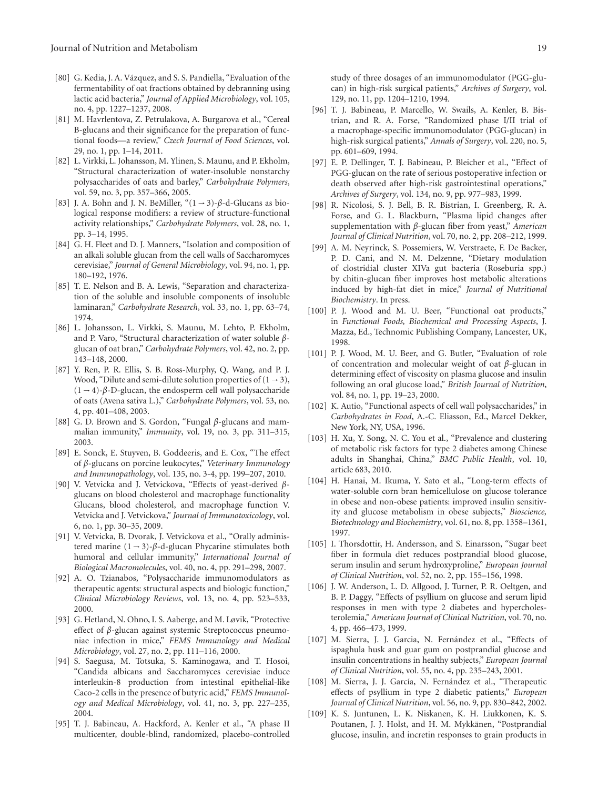- <span id="page-18-0"></span>[80] G. Kedia, J. A. Vázquez, and S. S. Pandiella, "Evaluation of the fermentability of oat fractions obtained by debranning using lactic acid bacteria," *Journal of Applied Microbiology*, vol. 105, no. 4, pp. 1227–1237, 2008.
- <span id="page-18-1"></span>[81] M. Havrlentova, Z. Petrulakova, A. Burgarova et al., "Cereal B-glucans and their significance for the preparation of functional foods—a review," *Czech Journal of Food Sciences*, vol. 29, no. 1, pp. 1–14, 2011.
- <span id="page-18-2"></span>[82] L. Virkki, L. Johansson, M. Ylinen, S. Maunu, and P. Ekholm, "Structural characterization of water-insoluble nonstarchy polysaccharides of oats and barley," *Carbohydrate Polymers*, vol. 59, no. 3, pp. 357–366, 2005.
- <span id="page-18-3"></span>[83] J. A. Bohn and J. N. BeMiller, "(1 <sup>→</sup> 3)-*β*-d-Glucans as biological response modifiers: a review of structure-functional activity relationships," *Carbohydrate Polymers*, vol. 28, no. 1, pp. 3–14, 1995.
- <span id="page-18-4"></span>[84] G. H. Fleet and D. J. Manners, "Isolation and composition of an alkali soluble glucan from the cell walls of Saccharomyces cerevisiae," *Journal of General Microbiology*, vol. 94, no. 1, pp. 180–192, 1976.
- <span id="page-18-5"></span>[85] T. E. Nelson and B. A. Lewis, "Separation and characterization of the soluble and insoluble components of insoluble laminaran," *Carbohydrate Research*, vol. 33, no. 1, pp. 63–74, 1974.
- <span id="page-18-6"></span>[86] L. Johansson, L. Virkki, S. Maunu, M. Lehto, P. Ekholm, and P. Varo, "Structural characterization of water soluble *β*glucan of oat bran," *Carbohydrate Polymers*, vol. 42, no. 2, pp. 143–148, 2000.
- <span id="page-18-7"></span>[87] Y. Ren, P. R. Ellis, S. B. Ross-Murphy, Q. Wang, and P. J. Wood, "Dilute and semi-dilute solution properties of  $(1 \rightarrow 3)$ , (1 <sup>→</sup> 4)-*β*-D-glucan, the endosperm cell wall polysaccharide of oats (Avena sativa L.)," *Carbohydrate Polymers*, vol. 53, no. 4, pp. 401–408, 2003.
- <span id="page-18-8"></span>[88] G. D. Brown and S. Gordon, "Fungal *β*-glucans and mammalian immunity," *Immunity*, vol. 19, no. 3, pp. 311–315, 2003.
- <span id="page-18-9"></span>[89] E. Sonck, E. Stuyven, B. Goddeeris, and E. Cox, "The effect of *β*-glucans on porcine leukocytes," *Veterinary Immunology and Immunopathology*, vol. 135, no. 3-4, pp. 199–207, 2010.
- <span id="page-18-10"></span>[90] V. Vetvicka and J. Vetvickova, "Effects of yeast-derived *β*glucans on blood cholesterol and macrophage functionality Glucans, blood cholesterol, and macrophage function V. Vetvicka and J. Vetvickova," *Journal of Immunotoxicology*, vol. 6, no. 1, pp. 30–35, 2009.
- <span id="page-18-11"></span>[91] V. Vetvicka, B. Dvorak, J. Vetvickova et al., "Orally administered marine (1 <sup>→</sup> 3)-*β*-d-glucan Phycarine stimulates both humoral and cellular immunity," *International Journal of Biological Macromolecules*, vol. 40, no. 4, pp. 291–298, 2007.
- <span id="page-18-12"></span>[92] A. O. Tzianabos, "Polysaccharide immunomodulators as therapeutic agents: structural aspects and biologic function," *Clinical Microbiology Reviews*, vol. 13, no. 4, pp. 523–533, 2000.
- <span id="page-18-13"></span>[93] G. Hetland, N. Ohno, I. S. Aaberge, and M. Løvik, "Protective effect of *β*-glucan against systemic Streptococcus pneumoniae infection in mice," *FEMS Immunology and Medical Microbiology*, vol. 27, no. 2, pp. 111–116, 2000.
- <span id="page-18-14"></span>[94] S. Saegusa, M. Totsuka, S. Kaminogawa, and T. Hosoi, "Candida albicans and Saccharomyces cerevisiae induce interleukin-8 production from intestinal epithelial-like Caco-2 cells in the presence of butyric acid," *FEMS Immunology and Medical Microbiology*, vol. 41, no. 3, pp. 227–235, 2004.
- <span id="page-18-15"></span>[95] T. J. Babineau, A. Hackford, A. Kenler et al., "A phase II multicenter, double-blind, randomized, placebo-controlled

study of three dosages of an immunomodulator (PGG-glucan) in high-risk surgical patients," *Archives of Surgery*, vol. 129, no. 11, pp. 1204–1210, 1994.

- [96] T. J. Babineau, P. Marcello, W. Swails, A. Kenler, B. Bistrian, and R. A. Forse, "Randomized phase I/II trial of a macrophage-specific immunomodulator (PGG-glucan) in high-risk surgical patients," *Annals of Surgery*, vol. 220, no. 5, pp. 601–609, 1994.
- <span id="page-18-16"></span>[97] E. P. Dellinger, T. J. Babineau, P. Bleicher et al., "Effect of PGG-glucan on the rate of serious postoperative infection or death observed after high-risk gastrointestinal operations," *Archives of Surgery*, vol. 134, no. 9, pp. 977–983, 1999.
- <span id="page-18-17"></span>[98] R. Nicolosi, S. J. Bell, B. R. Bistrian, I. Greenberg, R. A. Forse, and G. L. Blackburn, "Plasma lipid changes after supplementation with *β*-glucan fiber from yeast," *American Journal of Clinical Nutrition*, vol. 70, no. 2, pp. 208–212, 1999.
- <span id="page-18-18"></span>[99] A. M. Neyrinck, S. Possemiers, W. Verstraete, F. De Backer, P. D. Cani, and N. M. Delzenne, "Dietary modulation of clostridial cluster XIVa gut bacteria (Roseburia spp.) by chitin-glucan fiber improves host metabolic alterations induced by high-fat diet in mice," *Journal of Nutritional Biochemistry*. In press.
- <span id="page-18-19"></span>[100] P. J. Wood and M. U. Beer, "Functional oat products," in *Functional Foods, Biochemical and Processing Aspects*, J. Mazza, Ed., Technomic Publishing Company, Lancester, UK, 1998.
- <span id="page-18-23"></span>[101] P. J. Wood, M. U. Beer, and G. Butler, "Evaluation of role of concentration and molecular weight of oat *β*-glucan in determining effect of viscosity on plasma glucose and insulin following an oral glucose load," *British Journal of Nutrition*, vol. 84, no. 1, pp. 19–23, 2000.
- <span id="page-18-20"></span>[102] K. Autio, "Functional aspects of cell wall polysaccharides," in *Carbohydrates in Food*, A.-C. Eliasson, Ed., Marcel Dekker, New York, NY, USA, 1996.
- <span id="page-18-21"></span>[103] H. Xu, Y. Song, N. C. You et al., "Prevalence and clustering of metabolic risk factors for type 2 diabetes among Chinese adults in Shanghai, China," *BMC Public Health*, vol. 10, article 683, 2010.
- <span id="page-18-22"></span>[104] H. Hanai, M. Ikuma, Y. Sato et al., "Long-term effects of water-soluble corn bran hemicellulose on glucose tolerance in obese and non-obese patients: improved insulin sensitivity and glucose metabolism in obese subjects," *Bioscience, Biotechnology and Biochemistry*, vol. 61, no. 8, pp. 1358–1361, 1997.
- [105] I. Thorsdottir, H. Andersson, and S. Einarsson, "Sugar beet fiber in formula diet reduces postprandial blood glucose, serum insulin and serum hydroxyproline," *European Journal of Clinical Nutrition*, vol. 52, no. 2, pp. 155–156, 1998.
- [106] J. W. Anderson, L. D. Allgood, J. Turner, P. R. Oeltgen, and B. P. Daggy, "Effects of psyllium on glucose and serum lipid responses in men with type 2 diabetes and hypercholesterolemia," *American Journal of Clinical Nutrition*, vol. 70, no. 4, pp. 466–473, 1999.
- [107] M. Sierra, J. J. Garcia, N. Fernández et al., "Effects of ispaghula husk and guar gum on postprandial glucose and insulin concentrations in healthy subjects," *European Journal of Clinical Nutrition*, vol. 55, no. 4, pp. 235–243, 2001.
- <span id="page-18-25"></span>[108] M. Sierra, J. J. García, N. Fernández et al., "Therapeutic effects of psyllium in type 2 diabetic patients," *European Journal of Clinical Nutrition*, vol. 56, no. 9, pp. 830–842, 2002.
- <span id="page-18-24"></span>[109] K. S. Juntunen, L. K. Niskanen, K. H. Liukkonen, K. S. Poutanen, J. J. Holst, and H. M. Mykkänen, "Postprandial glucose, insulin, and incretin responses to grain products in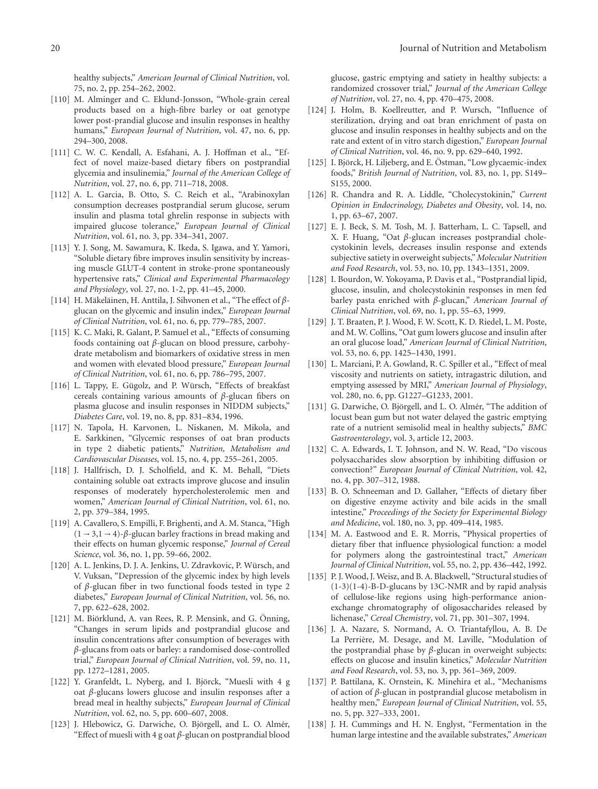healthy subjects," *American Journal of Clinical Nutrition*, vol. 75, no. 2, pp. 254–262, 2002.

- <span id="page-19-0"></span>[110] M. Alminger and C. Eklund-Jonsson, "Whole-grain cereal products based on a high-fibre barley or oat genotype lower post-prandial glucose and insulin responses in healthy humans," *European Journal of Nutrition*, vol. 47, no. 6, pp. 294–300, 2008.
- <span id="page-19-1"></span>[111] C. W. C. Kendall, A. Esfahani, A. J. Hoffman et al., "Effect of novel maize-based dietary fibers on postprandial glycemia and insulinemia," *Journal of the American College of Nutrition*, vol. 27, no. 6, pp. 711–718, 2008.
- <span id="page-19-2"></span>[112] A. L. Garcia, B. Otto, S. C. Reich et al., "Arabinoxylan consumption decreases postprandial serum glucose, serum insulin and plasma total ghrelin response in subjects with impaired glucose tolerance," *European Journal of Clinical Nutrition*, vol. 61, no. 3, pp. 334–341, 2007.
- <span id="page-19-3"></span>[113] Y. J. Song, M. Sawamura, K. Ikeda, S. Igawa, and Y. Yamori, "Soluble dietary fibre improves insulin sensitivity by increasing muscle GLUT-4 content in stroke-prone spontaneously hypertensive rats," *Clinical and Experimental Pharmacology and Physiology*, vol. 27, no. 1-2, pp. 41–45, 2000.
- <span id="page-19-4"></span>[114] H. Mäkeläinen, H. Anttila, J. Sihvonen et al., "The effect of βglucan on the glycemic and insulin index," *European Journal of Clinical Nutrition*, vol. 61, no. 6, pp. 779–785, 2007.
- <span id="page-19-5"></span>[115] K. C. Maki, R. Galant, P. Samuel et al., "Effects of consuming foods containing oat *β*-glucan on blood pressure, carbohydrate metabolism and biomarkers of oxidative stress in men and women with elevated blood pressure," *European Journal of Clinical Nutrition*, vol. 61, no. 6, pp. 786–795, 2007.
- <span id="page-19-6"></span>[116] L. Tappy, E. Gügolz, and P. Würsch, "Effects of breakfast cereals containing various amounts of *β*-glucan fibers on plasma glucose and insulin responses in NIDDM subjects," *Diabetes Care*, vol. 19, no. 8, pp. 831–834, 1996.
- <span id="page-19-7"></span>[117] N. Tapola, H. Karvonen, L. Niskanen, M. Mikola, and E. Sarkkinen, "Glycemic responses of oat bran products in type 2 diabetic patients," *Nutrition, Metabolism and Cardiovascular Diseases*, vol. 15, no. 4, pp. 255–261, 2005.
- <span id="page-19-8"></span>[118] J. Hallfrisch, D. J. Scholfield, and K. M. Behall, "Diets containing soluble oat extracts improve glucose and insulin responses of moderately hypercholesterolemic men and women," *American Journal of Clinical Nutrition*, vol. 61, no. 2, pp. 379–384, 1995.
- <span id="page-19-9"></span>[119] A. Cavallero, S. Empilli, F. Brighenti, and A. M. Stanca, "High  $(1 \rightarrow 3, 1 \rightarrow 4)$ - $\beta$ -glucan barley fractions in bread making and their effects on human glycemic response," *Journal of Cereal Science*, vol. 36, no. 1, pp. 59–66, 2002.
- <span id="page-19-10"></span>[120] A. L. Jenkins, D. J. A. Jenkins, U. Zdravkovic, P. Würsch, and V. Vuksan, "Depression of the glycemic index by high levels of *β*-glucan fiber in two functional foods tested in type 2 diabetes," *European Journal of Clinical Nutrition*, vol. 56, no. 7, pp. 622–628, 2002.
- <span id="page-19-11"></span>[121] M. Biörklund, A. van Rees, R. P. Mensink, and G. Önning, "Changes in serum lipids and postprandial glucose and insulin concentrations after consumption of beverages with *β*-glucans from oats or barley: a randomised dose-controlled trial," *European Journal of Clinical Nutrition*, vol. 59, no. 11, pp. 1272–1281, 2005.
- <span id="page-19-12"></span>[122] Y. Granfeldt, L. Nyberg, and I. Björck, "Muesli with 4 g oat *β*-glucans lowers glucose and insulin responses after a bread meal in healthy subjects," *European Journal of Clinical Nutrition*, vol. 62, no. 5, pp. 600–607, 2008.
- <span id="page-19-13"></span>[123] J. Hlebowicz, G. Darwiche, O. Björgell, and L. O. Almér, "Effect of muesli with 4 g oat *β*-glucan on postprandial blood

glucose, gastric emptying and satiety in healthy subjects: a randomized crossover trial," *Journal of the American College of Nutrition*, vol. 27, no. 4, pp. 470–475, 2008.

- <span id="page-19-14"></span>[124] J. Holm, B. Koellreutter, and P. Wursch, "Influence of sterilization, drying and oat bran enrichment of pasta on glucose and insulin responses in healthy subjects and on the rate and extent of in vitro starch digestion," *European Journal of Clinical Nutrition*, vol. 46, no. 9, pp. 629–640, 1992.
- <span id="page-19-15"></span>[125] I. Björck, H. Liljeberg, and E. Östman, "Low glycaemic-index foods," *British Journal of Nutrition*, vol. 83, no. 1, pp. S149– S155, 2000.
- [126] R. Chandra and R. A. Liddle, "Cholecystokinin," *Current Opinion in Endocrinology, Diabetes and Obesity*, vol. 14, no. 1, pp. 63–67, 2007.
- <span id="page-19-16"></span>[127] E. J. Beck, S. M. Tosh, M. J. Batterham, L. C. Tapsell, and X. F. Huang, "Oat *β*-glucan increases postprandial cholecystokinin levels, decreases insulin response and extends subjective satiety in overweight subjects," *Molecular Nutrition and Food Research*, vol. 53, no. 10, pp. 1343–1351, 2009.
- <span id="page-19-17"></span>[128] I. Bourdon, W. Yokoyama, P. Davis et al., "Postprandial lipid, glucose, insulin, and cholecystokinin responses in men fed barley pasta enriched with *β*-glucan," *American Journal of Clinical Nutrition*, vol. 69, no. 1, pp. 55–63, 1999.
- <span id="page-19-18"></span>[129] J. T. Braaten, P. J. Wood, F. W. Scott, K. D. Riedel, L. M. Poste, and M. W. Collins, "Oat gum lowers glucose and insulin after an oral glucose load," *American Journal of Clinical Nutrition*, vol. 53, no. 6, pp. 1425–1430, 1991.
- <span id="page-19-27"></span>[130] L. Marciani, P. A. Gowland, R. C. Spiller et al., "Effect of meal viscosity and nutrients on satiety, intragastric dilution, and emptying assessed by MRI," *American Journal of Physiology*, vol. 280, no. 6, pp. G1227–G1233, 2001.
- <span id="page-19-19"></span>[131] G. Darwiche, O. Björgell, and L. O. Almér, "The addition of locust bean gum but not water delayed the gastric emptying rate of a nutrient semisolid meal in healthy subjects," *BMC Gastroenterology*, vol. 3, article 12, 2003.
- <span id="page-19-20"></span>[132] C. A. Edwards, I. T. Johnson, and N. W. Read, "Do viscous polysaccharides slow absorption by inhibiting diffusion or convection?" *European Journal of Clinical Nutrition*, vol. 42, no. 4, pp. 307–312, 1988.
- <span id="page-19-21"></span>[133] B. O. Schneeman and D. Gallaher, "Effects of dietary fiber on digestive enzyme activity and bile acids in the small intestine," *Proceedings of the Society for Experimental Biology and Medicine*, vol. 180, no. 3, pp. 409–414, 1985.
- <span id="page-19-22"></span>[134] M. A. Eastwood and E. R. Morris, "Physical properties of dietary fiber that influence physiological function: a model for polymers along the gastrointestinal tract," *American Journal of Clinical Nutrition*, vol. 55, no. 2, pp. 436–442, 1992.
- <span id="page-19-23"></span>[135] P.J. Wood, J. Weisz, and B.A. Blackwell, "Structural studies of  $(1-3)(1-4)$ -B-D-glucans by 13C-NMR and by rapid analysis of cellulose-like regions using high-performance anionexchange chromatography of oligosaccharides released by lichenase," *Cereal Chemistry*, vol. 71, pp. 301–307, 1994.
- <span id="page-19-24"></span>[136] J. A. Nazare, S. Normand, A. O. Triantafyllou, A. B. De La Perrière, M. Desage, and M. Laville, "Modulation of the postprandial phase by *β*-glucan in overweight subjects: effects on glucose and insulin kinetics," *Molecular Nutrition and Food Research*, vol. 53, no. 3, pp. 361–369, 2009.
- <span id="page-19-25"></span>[137] P. Battilana, K. Ornstein, K. Minehira et al., "Mechanisms of action of *β*-glucan in postprandial glucose metabolism in healthy men," *European Journal of Clinical Nutrition*, vol. 55, no. 5, pp. 327–333, 2001.
- <span id="page-19-26"></span>[138] J. H. Cummings and H. N. Englyst, "Fermentation in the human large intestine and the available substrates," *American*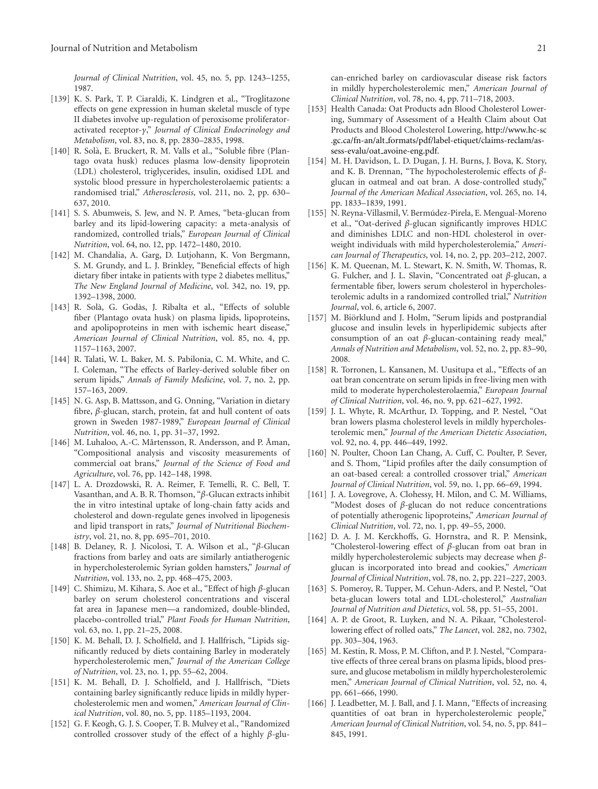*Journal of Clinical Nutrition*, vol. 45, no. 5, pp. 1243–1255, 1987.

- <span id="page-20-0"></span>[139] K. S. Park, T. P. Ciaraldi, K. Lindgren et al., "Troglitazone effects on gene expression in human skeletal muscle of type II diabetes involve up-regulation of peroxisome proliferatoractivated receptor-*γ*," *Journal of Clinical Endocrinology and Metabolism*, vol. 83, no. 8, pp. 2830–2835, 1998.
- <span id="page-20-1"></span>[140] R. Solà, E. Bruckert, R. M. Valls et al., "Soluble fibre (Plantago ovata husk) reduces plasma low-density lipoprotein (LDL) cholesterol, triglycerides, insulin, oxidised LDL and systolic blood pressure in hypercholesterolaemic patients: a randomised trial," *Atherosclerosis*, vol. 211, no. 2, pp. 630– 637, 2010.
- <span id="page-20-2"></span>[141] S. S. Abumweis, S. Jew, and N. P. Ames, "beta-glucan from barley and its lipid-lowering capacity: a meta-analysis of randomized, controlled trials," *European Journal of Clinical Nutrition*, vol. 64, no. 12, pp. 1472–1480, 2010.
- <span id="page-20-3"></span>[142] M. Chandalia, A. Garg, D. Lutjohann, K. Von Bergmann, S. M. Grundy, and L. J. Brinkley, "Beneficial effects of high dietary fiber intake in patients with type 2 diabetes mellitus," *The New England Journal of Medicine*, vol. 342, no. 19, pp. 1392–1398, 2000.
- <span id="page-20-4"></span>[143] R. Solà, G. Godàs, J. Ribalta et al., "Effects of soluble fiber (Plantago ovata husk) on plasma lipids, lipoproteins, and apolipoproteins in men with ischemic heart disease," *American Journal of Clinical Nutrition*, vol. 85, no. 4, pp. 1157–1163, 2007.
- <span id="page-20-5"></span>[144] R. Talati, W. L. Baker, M. S. Pabilonia, C. M. White, and C. I. Coleman, "The effects of Barley-derived soluble fiber on serum lipids," *Annals of Family Medicine*, vol. 7, no. 2, pp. 157–163, 2009.
- <span id="page-20-6"></span>[145] N. G. Asp, B. Mattsson, and G. Onning, "Variation in dietary fibre, *β*-glucan, starch, protein, fat and hull content of oats grown in Sweden 1987-1989," *European Journal of Clinical Nutrition*, vol. 46, no. 1, pp. 31–37, 1992.
- <span id="page-20-7"></span>[146] M. Luhaloo, A.-C. Mårtensson, R. Andersson, and P. Åman, "Compositional analysis and viscosity measurements of commercial oat brans," *Journal of the Science of Food and Agriculture*, vol. 76, pp. 142–148, 1998.
- <span id="page-20-8"></span>[147] L. A. Drozdowski, R. A. Reimer, F. Temelli, R. C. Bell, T. Vasanthan, and A. B. R. Thomson, "*β*-Glucan extracts inhibit the in vitro intestinal uptake of long-chain fatty acids and cholesterol and down-regulate genes involved in lipogenesis and lipid transport in rats," *Journal of Nutritional Biochemistry*, vol. 21, no. 8, pp. 695–701, 2010.
- <span id="page-20-9"></span>[148] B. Delaney, R. J. Nicolosi, T. A. Wilson et al., "*β*-Glucan fractions from barley and oats are similarly antiatherogenic in hypercholesterolemic Syrian golden hamsters," *Journal of Nutrition*, vol. 133, no. 2, pp. 468–475, 2003.
- <span id="page-20-10"></span>[149] C. Shimizu, M. Kihara, S. Aoe et al., "Effect of high *β*-glucan barley on serum cholesterol concentrations and visceral fat area in Japanese men—a randomized, double-blinded, placebo-controlled trial," *Plant Foods for Human Nutrition*, vol. 63, no. 1, pp. 21–25, 2008.
- <span id="page-20-11"></span>[150] K. M. Behall, D. J. Scholfield, and J. Hallfrisch, "Lipids significantly reduced by diets containing Barley in moderately hypercholesterolemic men," *Journal of the American College of Nutrition*, vol. 23, no. 1, pp. 55–62, 2004.
- <span id="page-20-12"></span>[151] K. M. Behall, D. J. Scholfield, and J. Hallfrisch, "Diets containing barley significantly reduce lipids in mildly hypercholesterolemic men and women," *American Journal of Clinical Nutrition*, vol. 80, no. 5, pp. 1185–1193, 2004.
- <span id="page-20-13"></span>[152] G. F. Keogh, G. J. S. Cooper, T. B. Mulvey et al., "Randomized controlled crossover study of the effect of a highly *β*-glu-

can-enriched barley on cardiovascular disease risk factors in mildly hypercholesterolemic men," *American Journal of Clinical Nutrition*, vol. 78, no. 4, pp. 711–718, 2003.

- <span id="page-20-14"></span>[153] Health Canada: Oat Products adn Blood Cholesterol Lowering, Summary of Assessment of a Health Claim about Oat Products and Blood Cholesterol Lowering, [http://www.hc-sc](http://www.hc-sc.gc.ca/fn-an/alt_formats/pdf/label-etiquet/claims-reclam/assess-evalu/oat_avoine-eng.pdf) .gc.ca/fn-an/alt [formats/pdf/label-etiquet/claims-reclam/as](http://www.hc-sc.gc.ca/fn-an/alt_formats/pdf/label-etiquet/claims-reclam/assess-evalu/oat_avoine-eng.pdf)sess-evalu/oat [avoine-eng.pdf.](http://www.hc-sc.gc.ca/fn-an/alt_formats/pdf/label-etiquet/claims-reclam/assess-evalu/oat_avoine-eng.pdf)
- <span id="page-20-15"></span>[154] M. H. Davidson, L. D. Dugan, J. H. Burns, J. Bova, K. Story, and K. B. Drennan, "The hypocholesterolemic effects of *β*glucan in oatmeal and oat bran. A dose-controlled study," *Journal of the American Medical Association*, vol. 265, no. 14, pp. 1833–1839, 1991.
- <span id="page-20-16"></span>[155] N. Reyna-Villasmil, V. Bermúdez-Pirela, E. Mengual-Moreno et al., "Oat-derived *β*-glucan significantly improves HDLC and diminishes LDLC and non-HDL cholesterol in overweight individuals with mild hypercholesterolemia," *American Journal of Therapeutics*, vol. 14, no. 2, pp. 203–212, 2007.
- <span id="page-20-17"></span>[156] K. M. Queenan, M. L. Stewart, K. N. Smith, W. Thomas, R. G. Fulcher, and J. L. Slavin, "Concentrated oat *β*-glucan, a fermentable fiber, lowers serum cholesterol in hypercholesterolemic adults in a randomized controlled trial," *Nutrition Journal*, vol. 6, article 6, 2007.
- <span id="page-20-18"></span>[157] M. Biörklund and J. Holm, "Serum lipids and postprandial glucose and insulin levels in hyperlipidemic subjects after consumption of an oat *β*-glucan-containing ready meal," *Annals of Nutrition and Metabolism*, vol. 52, no. 2, pp. 83–90, 2008.
- <span id="page-20-19"></span>[158] R. Torronen, L. Kansanen, M. Uusitupa et al., "Effects of an oat bran concentrate on serum lipids in free-living men with mild to moderate hypercholesterolaemia," *European Journal of Clinical Nutrition*, vol. 46, no. 9, pp. 621–627, 1992.
- [159] J. L. Whyte, R. McArthur, D. Topping, and P. Nestel, "Oat bran lowers plasma cholesterol levels in mildly hypercholesterolemic men," *Journal of the American Dietetic Association*, vol. 92, no. 4, pp. 446–449, 1992.
- [160] N. Poulter, Choon Lan Chang, A. Cuff, C. Poulter, P. Sever, and S. Thom, "Lipid profiles after the daily consumption of an oat-based cereal: a controlled crossover trial," *American Journal of Clinical Nutrition*, vol. 59, no. 1, pp. 66–69, 1994.
- <span id="page-20-21"></span>[161] J. A. Lovegrove, A. Clohessy, H. Milon, and C. M. Williams, "Modest doses of *β*-glucan do not reduce concentrations of potentially atherogenic lipoproteins," *American Journal of Clinical Nutrition*, vol. 72, no. 1, pp. 49–55, 2000.
- <span id="page-20-20"></span>[162] D. A. J. M. Kerckhoffs, G. Hornstra, and R. P. Mensink, "Cholesterol-lowering effect of *β*-glucan from oat bran in mildly hypercholesterolemic subjects may decrease when *β*glucan is incorporated into bread and cookies," *American Journal of Clinical Nutrition*, vol. 78, no. 2, pp. 221–227, 2003.
- <span id="page-20-22"></span>[163] S. Pomeroy, R. Tupper, M. Cehun-Aders, and P. Nestel, "Oat beta-glucan lowers total and LDL-cholesterol," *Australian Journal of Nutrition and Dietetics*, vol. 58, pp. 51–55, 2001.
- <span id="page-20-23"></span>[164] A. P. de Groot, R. Luyken, and N. A. Pikaar, "Cholesterollowering effect of rolled oats," *The Lancet*, vol. 282, no. 7302, pp. 303–304, 1963.
- <span id="page-20-24"></span>[165] M. Kestin, R. Moss, P. M. Clifton, and P. J. Nestel, "Comparative effects of three cereal brans on plasma lipids, blood pressure, and glucose metabolism in mildly hypercholesterolemic men," *American Journal of Clinical Nutrition*, vol. 52, no. 4, pp. 661–666, 1990.
- [166] J. Leadbetter, M. J. Ball, and J. I. Mann, "Effects of increasing quantities of oat bran in hypercholesterolemic people," *American Journal of Clinical Nutrition*, vol. 54, no. 5, pp. 841– 845, 1991.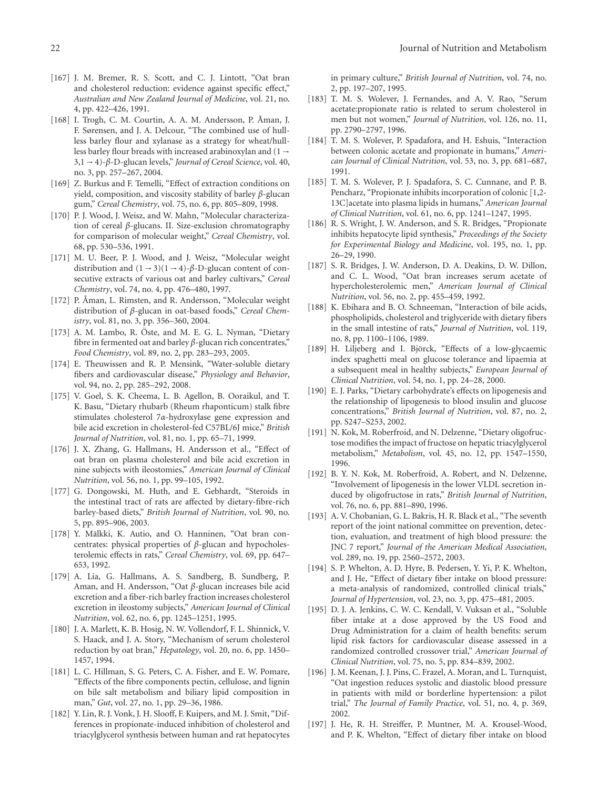- <span id="page-21-0"></span>[167] J. M. Bremer, R. S. Scott, and C. J. Lintott, "Oat bran and cholesterol reduction: evidence against specific effect," *Australian and New Zealand Journal of Medicine*, vol. 21, no. 4, pp. 422–426, 1991.
- <span id="page-21-1"></span>[168] I. Trogh, C. M. Courtin, A. A. M. Andersson, P. Åman, J. F. Sørensen, and J. A. Delcour, "The combined use of hullless barley flour and xylanase as a strategy for wheat/hullless barley flour breads with increased arabinoxylan and  $(1 \rightarrow$ 3,1 <sup>→</sup> 4)-*β*-D-glucan levels," *Journal of Cereal Science*, vol. 40, no. 3, pp. 257–267, 2004.
- <span id="page-21-2"></span>[169] Z. Burkus and F. Temelli, "Effect of extraction conditions on yield, composition, and viscosity stability of barley *β*-glucan gum," *Cereal Chemistry*, vol. 75, no. 6, pp. 805–809, 1998.
- <span id="page-21-3"></span>[170] P. J. Wood, J. Weisz, and W. Mahn, "Molecular characterization of cereal *β*-glucans. II. Size-exclusion chromatography for comparison of molecular weight," *Cereal Chemistry*, vol. 68, pp. 530–536, 1991.
- [171] M. U. Beer, P. J. Wood, and J. Weisz, "Molecular weight distribution and  $(1 - 3)(1 - 4)$ - $\beta$ -D-glucan content of consecutive extracts of various oat and barley cultivars," *Cereal Chemistry*, vol. 74, no. 4, pp. 476–480, 1997.
- <span id="page-21-4"></span>[172] P. Åman, L. Rimsten, and R. Andersson, "Molecular weight distribution of *β*-glucan in oat-based foods," *Cereal Chemistry*, vol. 81, no. 3, pp. 356–360, 2004.
- <span id="page-21-5"></span>[173] A. M. Lambo, R. Öste, and M. E. G. L. Nyman, "Dietary fibre in fermented oat and barley *β*-glucan rich concentrates," *Food Chemistry*, vol. 89, no. 2, pp. 283–293, 2005.
- <span id="page-21-6"></span>[174] E. Theuwissen and R. P. Mensink, "Water-soluble dietary fibers and cardiovascular disease," *Physiology and Behavior*, vol. 94, no. 2, pp. 285–292, 2008.
- <span id="page-21-7"></span>[175] V. Goel, S. K. Cheema, L. B. Agellon, B. Ooraikul, and T. K. Basu, "Dietary rhubarb (Rheum rhaponticum) stalk fibre stimulates cholesterol 7*α*-hydroxylase gene expression and bile acid excretion in cholesterol-fed C57BL/6J mice," *British Journal of Nutrition*, vol. 81, no. 1, pp. 65–71, 1999.
- <span id="page-21-8"></span>[176] J. X. Zhang, G. Hallmans, H. Andersson et al., "Effect of oat bran on plasma cholesterol and bile acid excretion in nine subjects with ileostomies," *American Journal of Clinical Nutrition*, vol. 56, no. 1, pp. 99–105, 1992.
- <span id="page-21-9"></span>[177] G. Dongowski, M. Huth, and E. Gebhardt, "Steroids in the intestinal tract of rats are affected by dietary-fibre-rich barley-based diets," *British Journal of Nutrition*, vol. 90, no. 5, pp. 895–906, 2003.
- <span id="page-21-10"></span>[178] Y. Mälkki, K. Autio, and O. Hanninen, "Oat bran concentrates: physical properties of *β*-glucan and hypocholesterolemic effects in rats," *Cereal Chemistry*, vol. 69, pp. 647– 653, 1992.
- <span id="page-21-11"></span>[179] A. Lia, G. Hallmans, A. S. Sandberg, B. Sundberg, P. Aman, and H. Andersson, "Oat *β*-glucan increases bile acid excretion and a fiber-rich barley fraction increases cholesterol excretion in ileostomy subjects," *American Journal of Clinical Nutrition*, vol. 62, no. 6, pp. 1245–1251, 1995.
- <span id="page-21-12"></span>[180] J. A. Marlett, K. B. Hosig, N. W. Vollendorf, F. L. Shinnick, V. S. Haack, and J. A. Story, "Mechanism of serum cholesterol reduction by oat bran," *Hepatology*, vol. 20, no. 6, pp. 1450– 1457, 1994.
- <span id="page-21-13"></span>[181] L. C. Hillman, S. G. Peters, C. A. Fisher, and E. W. Pomare, "Effects of the fibre components pectin, cellulose, and lignin on bile salt metabolism and biliary lipid composition in man," *Gut*, vol. 27, no. 1, pp. 29–36, 1986.
- <span id="page-21-14"></span>[182] Y. Lin, R. J. Vonk, J. H. Slooff, F. Kuipers, and M. J. Smit, "Differences in propionate-induced inhibition of cholesterol and triacylglycerol synthesis between human and rat hepatocytes

in primary culture," *British Journal of Nutrition*, vol. 74, no. 2, pp. 197–207, 1995.

- [183] T. M. S. Wolever, J. Fernandes, and A. V. Rao, "Serum acetate:propionate ratio is related to serum cholesterol in men but not women," *Journal of Nutrition*, vol. 126, no. 11, pp. 2790–2797, 1996.
- [184] T. M. S. Wolever, P. Spadafora, and H. Eshuis, "Interaction between colonic acetate and propionate in humans," *American Journal of Clinical Nutrition*, vol. 53, no. 3, pp. 681–687, 1991.
- [185] T. M. S. Wolever, P. J. Spadafora, S. C. Cunnane, and P. B. Pencharz, "Propionate inhibits incorporation of colonic [1,2- 13C]acetate into plasma lipids in humans," *American Journal of Clinical Nutrition*, vol. 61, no. 6, pp. 1241–1247, 1995.
- <span id="page-21-15"></span>[186] R. S. Wright, J. W. Anderson, and S. R. Bridges, "Propionate inhibits hepatocyte lipid synthesis," *Proceedings of the Society for Experimental Biology and Medicine*, vol. 195, no. 1, pp. 26–29, 1990.
- <span id="page-21-16"></span>[187] S. R. Bridges, J. W. Anderson, D. A. Deakins, D. W. Dillon, and C. L. Wood, "Oat bran increases serum acetate of hypercholesterolemic men," *American Journal of Clinical Nutrition*, vol. 56, no. 2, pp. 455–459, 1992.
- <span id="page-21-17"></span>[188] K. Ebihara and B. O. Schneeman, "Interaction of bile acids, phospholipids, cholesterol and triglyceride with dietary fibers in the small intestine of rats," *Journal of Nutrition*, vol. 119, no. 8, pp. 1100–1106, 1989.
- <span id="page-21-18"></span>[189] H. Liljeberg and I. Björck, "Effects of a low-glycaemic index spaghetti meal on glucose tolerance and lipaemia at a subsequent meal in healthy subjects," *European Journal of Clinical Nutrition*, vol. 54, no. 1, pp. 24–28, 2000.
- <span id="page-21-19"></span>[190] E. J. Parks, "Dietary carbohydrate's effects on lipogenesis and the relationship of lipogenesis to blood insulin and glucose concentrations," *British Journal of Nutrition*, vol. 87, no. 2, pp. S247–S253, 2002.
- <span id="page-21-20"></span>[191] N. Kok, M. Roberfroid, and N. Delzenne, "Dietary oligofructose modifies the impact of fructose on hepatic triacylglycerol metabolism," *Metabolism*, vol. 45, no. 12, pp. 1547–1550, 1996.
- <span id="page-21-21"></span>[192] B. Y. N. Kok, M. Roberfroid, A. Robert, and N. Delzenne, "Involvement of lipogenesis in the lower VLDL secretion induced by oligofructose in rats," *British Journal of Nutrition*, vol. 76, no. 6, pp. 881–890, 1996.
- <span id="page-21-22"></span>[193] A. V. Chobanian, G. L. Bakris, H. R. Black et al., "The seventh report of the joint national committee on prevention, detection, evaluation, and treatment of high blood pressure: the JNC 7 report," *Journal of the American Medical Association*, vol. 289, no. 19, pp. 2560–2572, 2003.
- <span id="page-21-23"></span>[194] S. P. Whelton, A. D. Hyre, B. Pedersen, Y. Yi, P. K. Whelton, and J. He, "Effect of dietary fiber intake on blood pressure: a meta-analysis of randomized, controlled clinical trials," *Journal of Hypertension*, vol. 23, no. 3, pp. 475–481, 2005.
- <span id="page-21-24"></span>[195] D. J. A. Jenkins, C. W. C. Kendall, V. Vuksan et al., "Soluble fiber intake at a dose approved by the US Food and Drug Administration for a claim of health benefits: serum lipid risk factors for cardiovascular disease assessed in a randomized controlled crossover trial," *American Journal of Clinical Nutrition*, vol. 75, no. 5, pp. 834–839, 2002.
- <span id="page-21-25"></span>[196] J. M. Keenan, J. J. Pins, C. Frazel, A. Moran, and L. Turnquist, "Oat ingestion reduces systolic and diastolic blood pressure in patients with mild or borderline hypertension: a pilot trial," *The Journal of Family Practice*, vol. 51, no. 4, p. 369, 2002.
- <span id="page-21-26"></span>[197] J. He, R. H. Streiffer, P. Muntner, M. A. Krousel-Wood, and P. K. Whelton, "Effect of dietary fiber intake on blood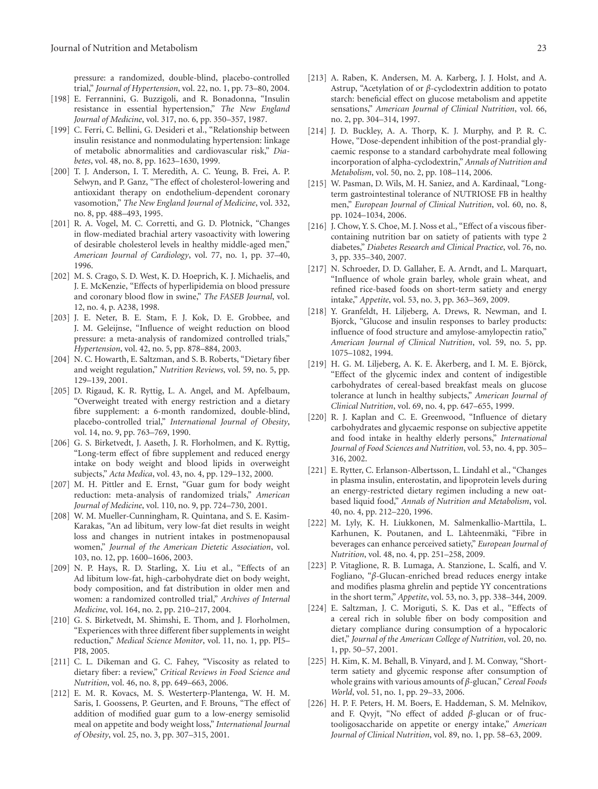pressure: a randomized, double-blind, placebo-controlled trial," *Journal of Hypertension*, vol. 22, no. 1, pp. 73–80, 2004.

- <span id="page-22-0"></span>[198] E. Ferrannini, G. Buzzigoli, and R. Bonadonna, "Insulin resistance in essential hypertension," *The New England Journal of Medicine*, vol. 317, no. 6, pp. 350–357, 1987.
- <span id="page-22-1"></span>[199] C. Ferri, C. Bellini, G. Desideri et al., "Relationship between insulin resistance and nonmodulating hypertension: linkage of metabolic abnormalities and cardiovascular risk," *Diabetes*, vol. 48, no. 8, pp. 1623–1630, 1999.
- <span id="page-22-2"></span>[200] T. J. Anderson, I. T. Meredith, A. C. Yeung, B. Frei, A. P. Selwyn, and P. Ganz, "The effect of cholesterol-lowering and antioxidant therapy on endothelium-dependent coronary vasomotion," *The New England Journal of Medicine*, vol. 332, no. 8, pp. 488–493, 1995.
- <span id="page-22-3"></span>[201] R. A. Vogel, M. C. Corretti, and G. D. Plotnick, "Changes in flow-mediated brachial artery vasoactivity with lowering of desirable cholesterol levels in healthy middle-aged men," *American Journal of Cardiology*, vol. 77, no. 1, pp. 37–40, 1996.
- <span id="page-22-4"></span>[202] M. S. Crago, S. D. West, K. D. Hoeprich, K. J. Michaelis, and J. E. McKenzie, "Effects of hyperlipidemia on blood pressure and coronary blood flow in swine," *The FASEB Journal*, vol. 12, no. 4, p. A238, 1998.
- <span id="page-22-5"></span>[203] J. E. Neter, B. E. Stam, F. J. Kok, D. E. Grobbee, and J. M. Geleijnse, "Influence of weight reduction on blood pressure: a meta-analysis of randomized controlled trials," *Hypertension*, vol. 42, no. 5, pp. 878–884, 2003.
- <span id="page-22-6"></span>[204] N. C. Howarth, E. Saltzman, and S. B. Roberts, "Dietary fiber and weight regulation," *Nutrition Reviews*, vol. 59, no. 5, pp. 129–139, 2001.
- <span id="page-22-7"></span>[205] D. Rigaud, K. R. Ryttig, L. A. Angel, and M. Apfelbaum, "Overweight treated with energy restriction and a dietary fibre supplement: a 6-month randomized, double-blind, placebo-controlled trial," *International Journal of Obesity*, vol. 14, no. 9, pp. 763–769, 1990.
- [206] G. S. Birketvedt, J. Aaseth, J. R. Florholmen, and K. Ryttig, "Long-term effect of fibre supplement and reduced energy intake on body weight and blood lipids in overweight subjects," *Acta Medica*, vol. 43, no. 4, pp. 129–132, 2000.
- [207] M. H. Pittler and E. Ernst, "Guar gum for body weight reduction: meta-analysis of randomized trials," *American Journal of Medicine*, vol. 110, no. 9, pp. 724–730, 2001.
- <span id="page-22-8"></span>[208] W. M. Mueller-Cunningham, R. Quintana, and S. E. Kasim-Karakas, "An ad libitum, very low-fat diet results in weight loss and changes in nutrient intakes in postmenopausal women," *Journal of the American Dietetic Association*, vol. 103, no. 12, pp. 1600–1606, 2003.
- <span id="page-22-9"></span>[209] N. P. Hays, R. D. Starling, X. Liu et al., "Effects of an Ad libitum low-fat, high-carbohydrate diet on body weight, body composition, and fat distribution in older men and women: a randomized controlled trial," *Archives of Internal Medicine*, vol. 164, no. 2, pp. 210–217, 2004.
- <span id="page-22-10"></span>[210] G. S. Birketvedt, M. Shimshi, E. Thom, and J. Florholmen, "Experiences with three different fiber supplements in weight reduction," *Medical Science Monitor*, vol. 11, no. 1, pp. PI5– PI8, 2005.
- <span id="page-22-11"></span>[211] C. L. Dikeman and G. C. Fahey, "Viscosity as related to dietary fiber: a review," *Critical Reviews in Food Science and Nutrition*, vol. 46, no. 8, pp. 649–663, 2006.
- <span id="page-22-12"></span>[212] E. M. R. Kovacs, M. S. Westerterp-Plantenga, W. H. M. Saris, I. Goossens, P. Geurten, and F. Brouns, "The effect of addition of modified guar gum to a low-energy semisolid meal on appetite and body weight loss," *International Journal of Obesity*, vol. 25, no. 3, pp. 307–315, 2001.
- <span id="page-22-13"></span>[213] A. Raben, K. Andersen, M. A. Karberg, J. J. Holst, and A. Astrup, "Acetylation of or *β*-cyclodextrin addition to potato starch: beneficial effect on glucose metabolism and appetite sensations," *American Journal of Clinical Nutrition*, vol. 66, no. 2, pp. 304–314, 1997.
- [214] J. D. Buckley, A. A. Thorp, K. J. Murphy, and P. R. C. Howe, "Dose-dependent inhibition of the post-prandial glycaemic response to a standard carbohydrate meal following incorporation of alpha-cyclodextrin," *Annals of Nutrition and Metabolism*, vol. 50, no. 2, pp. 108–114, 2006.
- <span id="page-22-14"></span>[215] W. Pasman, D. Wils, M. H. Saniez, and A. Kardinaal, "Longterm gastrointestinal tolerance of NUTRIOSE FB in healthy men," *European Journal of Clinical Nutrition*, vol. 60, no. 8, pp. 1024–1034, 2006.
- <span id="page-22-15"></span>[216] J. Chow, Y. S. Choe, M. J. Noss et al., "Effect of a viscous fibercontaining nutrition bar on satiety of patients with type 2 diabetes," *Diabetes Research and Clinical Practice*, vol. 76, no. 3, pp. 335–340, 2007.
- <span id="page-22-16"></span>[217] N. Schroeder, D. D. Gallaher, E. A. Arndt, and L. Marquart, "Influence of whole grain barley, whole grain wheat, and refined rice-based foods on short-term satiety and energy intake," *Appetite*, vol. 53, no. 3, pp. 363–369, 2009.
- <span id="page-22-17"></span>[218] Y. Granfeldt, H. Liljeberg, A. Drews, R. Newman, and I. Bjorck, "Glucose and insulin responses to barley products: influence of food structure and amylose-amylopectin ratio," *American Journal of Clinical Nutrition*, vol. 59, no. 5, pp. 1075–1082, 1994.
- $[219]$  H. G. M. Liljeberg, A. K. E. Åkerberg, and I. M. E. Björck, "Effect of the glycemic index and content of indigestible carbohydrates of cereal-based breakfast meals on glucose tolerance at lunch in healthy subjects," *American Journal of Clinical Nutrition*, vol. 69, no. 4, pp. 647–655, 1999.
- <span id="page-22-18"></span>[220] R. J. Kaplan and C. E. Greenwood, "Influence of dietary carbohydrates and glycaemic response on subjective appetite and food intake in healthy elderly persons," *International Journal of Food Sciences and Nutrition*, vol. 53, no. 4, pp. 305– 316, 2002.
- <span id="page-22-19"></span>[221] E. Rytter, C. Erlanson-Albertsson, L. Lindahl et al., "Changes in plasma insulin, enterostatin, and lipoprotein levels during an energy-restricted dietary regimen including a new oatbased liquid food," *Annals of Nutrition and Metabolism*, vol. 40, no. 4, pp. 212–220, 1996.
- <span id="page-22-23"></span>[222] M. Lyly, K. H. Liukkonen, M. Salmenkallio-Marttila, L. Karhunen, K. Poutanen, and L. Lähteenmäki, "Fibre in beverages can enhance perceived satiety," *European Journal of Nutrition*, vol. 48, no. 4, pp. 251–258, 2009.
- <span id="page-22-20"></span>[223] P. Vitaglione, R. B. Lumaga, A. Stanzione, L. Scalfi, and V. Fogliano, "*β*-Glucan-enriched bread reduces energy intake and modifies plasma ghrelin and peptide YY concentrations in the short term," *Appetite*, vol. 53, no. 3, pp. 338–344, 2009.
- <span id="page-22-21"></span>[224] E. Saltzman, J. C. Moriguti, S. K. Das et al., "Effects of a cereal rich in soluble fiber on body composition and dietary compliance during consumption of a hypocaloric diet," *Journal of the American College of Nutrition*, vol. 20, no. 1, pp. 50–57, 2001.
- <span id="page-22-24"></span>[225] H. Kim, K. M. Behall, B. Vinyard, and J. M. Conway, "Shortterm satiety and glycemic response after consumption of whole grains with various amounts of *β*-glucan," *Cereal Foods World*, vol. 51, no. 1, pp. 29–33, 2006.
- <span id="page-22-22"></span>[226] H. P. F. Peters, H. M. Boers, E. Haddeman, S. M. Melnikov, and F. Qvyjt, "No effect of added *β*-glucan or of fructooligosaccharide on appetite or energy intake," *American Journal of Clinical Nutrition*, vol. 89, no. 1, pp. 58–63, 2009.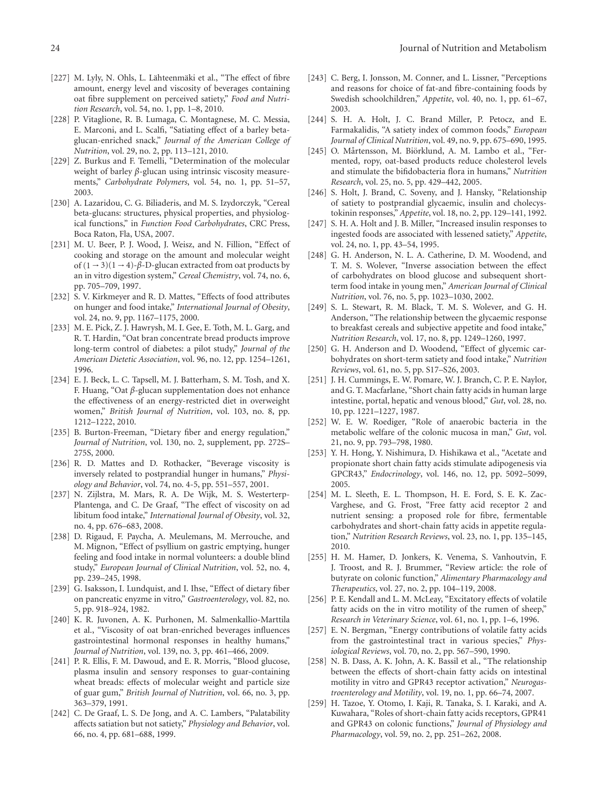- <span id="page-23-0"></span>[227] M. Lyly, N. Ohls, L. Lähteenmäki et al., "The effect of fibre amount, energy level and viscosity of beverages containing oat fibre supplement on perceived satiety," *Food and Nutrition Research*, vol. 54, no. 1, pp. 1–8, 2010.
- <span id="page-23-1"></span>[228] P. Vitaglione, R. B. Lumaga, C. Montagnese, M. C. Messia, E. Marconi, and L. Scalfi, "Satiating effect of a barley betaglucan-enriched snack," *Journal of the American College of Nutrition*, vol. 29, no. 2, pp. 113–121, 2010.
- <span id="page-23-2"></span>[229] Z. Burkus and F. Temelli, "Determination of the molecular weight of barley *β*-glucan using intrinsic viscosity measurements," *Carbohydrate Polymers*, vol. 54, no. 1, pp. 51–57, 2003.
- <span id="page-23-3"></span>[230] A. Lazaridou, C. G. Biliaderis, and M. S. Izydorczyk, "Cereal beta-glucans: structures, physical properties, and physiological functions," in *Function Food Carbohydrates*, CRC Press, Boca Raton, Fla, USA, 2007.
- <span id="page-23-4"></span>[231] M. U. Beer, P. J. Wood, J. Weisz, and N. Fillion, "Effect of cooking and storage on the amount and molecular weight of  $(1 - 3)(1 - 4)$ - $\beta$ -D-glucan extracted from oat products by an in vitro digestion system," *Cereal Chemistry*, vol. 74, no. 6, pp. 705–709, 1997.
- <span id="page-23-5"></span>[232] S. V. Kirkmeyer and R. D. Mattes, "Effects of food attributes on hunger and food intake," *International Journal of Obesity*, vol. 24, no. 9, pp. 1167–1175, 2000.
- <span id="page-23-6"></span>[233] M. E. Pick, Z. J. Hawrysh, M. I. Gee, E. Toth, M. L. Garg, and R. T. Hardin, "Oat bran concentrate bread products improve long-term control of diabetes: a pilot study," *Journal of the American Dietetic Association*, vol. 96, no. 12, pp. 1254–1261, 1996.
- <span id="page-23-7"></span>[234] E. J. Beck, L. C. Tapsell, M. J. Batterham, S. M. Tosh, and X. F. Huang, "Oat *β*-glucan supplementation does not enhance the effectiveness of an energy-restricted diet in overweight women," *British Journal of Nutrition*, vol. 103, no. 8, pp. 1212–1222, 2010.
- <span id="page-23-8"></span>[235] B. Burton-Freeman, "Dietary fiber and energy regulation," *Journal of Nutrition*, vol. 130, no. 2, supplement, pp. 272S– 275S, 2000.
- <span id="page-23-9"></span>[236] R. D. Mattes and D. Rothacker, "Beverage viscosity is inversely related to postprandial hunger in humans," *Physiology and Behavior*, vol. 74, no. 4-5, pp. 551–557, 2001.
- <span id="page-23-10"></span>[237] N. Zijlstra, M. Mars, R. A. De Wijk, M. S. Westerterp-Plantenga, and C. De Graaf, "The effect of viscosity on ad libitum food intake," *International Journal of Obesity*, vol. 32, no. 4, pp. 676–683, 2008.
- <span id="page-23-11"></span>[238] D. Rigaud, F. Paycha, A. Meulemans, M. Merrouche, and M. Mignon, "Effect of psyllium on gastric emptying, hunger feeling and food intake in normal volunteers: a double blind study," *European Journal of Clinical Nutrition*, vol. 52, no. 4, pp. 239–245, 1998.
- <span id="page-23-12"></span>[239] G. Isaksson, I. Lundquist, and I. Ihse, "Effect of dietary fiber on pancreatic enyzme in vitro," *Gastroenterology*, vol. 82, no. 5, pp. 918–924, 1982.
- <span id="page-23-13"></span>[240] K. R. Juvonen, A. K. Purhonen, M. Salmenkallio-Marttila et al., "Viscosity of oat bran-enriched beverages influences gastrointestinal hormonal responses in healthy humans," *Journal of Nutrition*, vol. 139, no. 3, pp. 461–466, 2009.
- <span id="page-23-14"></span>[241] P. R. Ellis, F. M. Dawoud, and E. R. Morris, "Blood glucose, plasma insulin and sensory responses to guar-containing wheat breads: effects of molecular weight and particle size of guar gum," *British Journal of Nutrition*, vol. 66, no. 3, pp. 363–379, 1991.
- [242] C. De Graaf, L. S. De Jong, and A. C. Lambers, "Palatability affects satiation but not satiety," *Physiology and Behavior*, vol. 66, no. 4, pp. 681–688, 1999.
- <span id="page-23-15"></span>[243] C. Berg, I. Jonsson, M. Conner, and L. Lissner, "Perceptions and reasons for choice of fat-and fibre-containing foods by Swedish schoolchildren," *Appetite*, vol. 40, no. 1, pp. 61–67, 2003.
- <span id="page-23-16"></span>[244] S. H. A. Holt, J. C. Brand Miller, P. Petocz, and E. Farmakalidis, "A satiety index of common foods," *European Journal of Clinical Nutrition*, vol. 49, no. 9, pp. 675–690, 1995.
- <span id="page-23-17"></span>[245] O. Mårtensson, M. Biörklund, A. M. Lambo et al., "Fermented, ropy, oat-based products reduce cholesterol levels and stimulate the bifidobacteria flora in humans," *Nutrition Research*, vol. 25, no. 5, pp. 429–442, 2005.
- <span id="page-23-18"></span>[246] S. Holt, J. Brand, C. Soveny, and J. Hansky, "Relationship of satiety to postprandial glycaemic, insulin and cholecystokinin responses," *Appetite*, vol. 18, no. 2, pp. 129–141, 1992.
- <span id="page-23-19"></span>[247] S. H. A. Holt and J. B. Miller, "Increased insulin responses to ingested foods are associated with lessened satiety," *Appetite*, vol. 24, no. 1, pp. 43–54, 1995.
- <span id="page-23-20"></span>[248] G. H. Anderson, N. L. A. Catherine, D. M. Woodend, and T. M. S. Wolever, "Inverse association between the effect of carbohydrates on blood glucose and subsequent shortterm food intake in young men," *American Journal of Clinical Nutrition*, vol. 76, no. 5, pp. 1023–1030, 2002.
- <span id="page-23-21"></span>[249] S. L. Stewart, R. M. Black, T. M. S. Wolever, and G. H. Anderson, "The relationship between the glycaemic response to breakfast cereals and subjective appetite and food intake," *Nutrition Research*, vol. 17, no. 8, pp. 1249–1260, 1997.
- <span id="page-23-22"></span>[250] G. H. Anderson and D. Woodend, "Effect of glycemic carbohydrates on short-term satiety and food intake," *Nutrition Reviews*, vol. 61, no. 5, pp. S17–S26, 2003.
- <span id="page-23-23"></span>[251] J. H. Cummings, E. W. Pomare, W. J. Branch, C. P. E. Naylor, and G. T. Macfarlane, "Short chain fatty acids in human large intestine, portal, hepatic and venous blood," *Gut*, vol. 28, no. 10, pp. 1221–1227, 1987.
- <span id="page-23-24"></span>[252] W. E. W. Roediger, "Role of anaerobic bacteria in the metabolic welfare of the colonic mucosa in man," *Gut*, vol. 21, no. 9, pp. 793–798, 1980.
- <span id="page-23-25"></span>[253] Y. H. Hong, Y. Nishimura, D. Hishikawa et al., "Acetate and propionate short chain fatty acids stimulate adipogenesis via GPCR43," *Endocrinology*, vol. 146, no. 12, pp. 5092–5099, 2005.
- <span id="page-23-26"></span>[254] M. L. Sleeth, E. L. Thompson, H. E. Ford, S. E. K. Zac-Varghese, and G. Frost, "Free fatty acid receptor 2 and nutrient sensing: a proposed role for fibre, fermentable carbohydrates and short-chain fatty acids in appetite regulation," *Nutrition Research Reviews*, vol. 23, no. 1, pp. 135–145, 2010.
- <span id="page-23-27"></span>[255] H. M. Hamer, D. Jonkers, K. Venema, S. Vanhoutvin, F. J. Troost, and R. J. Brummer, "Review article: the role of butyrate on colonic function," *Alimentary Pharmacology and Therapeutics*, vol. 27, no. 2, pp. 104–119, 2008.
- <span id="page-23-28"></span>[256] P. E. Kendall and L. M. McLeay, "Excitatory effects of volatile fatty acids on the in vitro motility of the rumen of sheep," *Research in Veterinary Science*, vol. 61, no. 1, pp. 1–6, 1996.
- <span id="page-23-29"></span>[257] E. N. Bergman, "Energy contributions of volatile fatty acids from the gastrointestinal tract in various species," *Physiological Reviews*, vol. 70, no. 2, pp. 567–590, 1990.
- <span id="page-23-30"></span>[258] N. B. Dass, A. K. John, A. K. Bassil et al., "The relationship between the effects of short-chain fatty acids on intestinal motility in vitro and GPR43 receptor activation," *Neurogastroenterology and Motility*, vol. 19, no. 1, pp. 66–74, 2007.
- <span id="page-23-31"></span>[259] H. Tazoe, Y. Otomo, I. Kaji, R. Tanaka, S. I. Karaki, and A. Kuwahara, "Roles of short-chain fatty acids receptors, GPR41 and GPR43 on colonic functions," *Journal of Physiology and Pharmacology*, vol. 59, no. 2, pp. 251–262, 2008.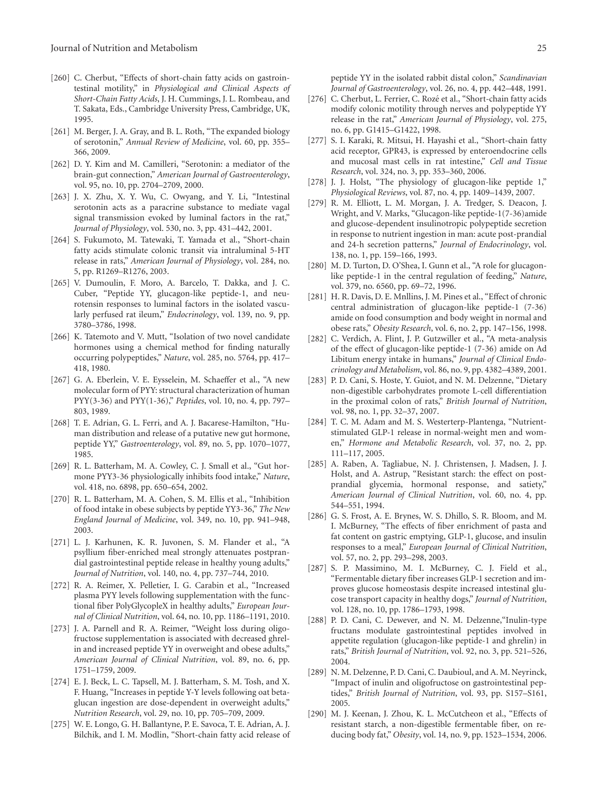- <span id="page-24-0"></span>[260] C. Cherbut, "Effects of short-chain fatty acids on gastrointestinal motility," in *Physiological and Clinical Aspects of Short-Chain Fatty Acids*, J. H. Cummings, J. L. Rombeau, and T. Sakata, Eds., Cambridge University Press, Cambridge, UK, 1995.
- <span id="page-24-1"></span>[261] M. Berger, J. A. Gray, and B. L. Roth, "The expanded biology of serotonin," *Annual Review of Medicine*, vol. 60, pp. 355– 366, 2009.
- <span id="page-24-2"></span>[262] D. Y. Kim and M. Camilleri, "Serotonin: a mediator of the brain-gut connection," *American Journal of Gastroenterology*, vol. 95, no. 10, pp. 2704–2709, 2000.
- <span id="page-24-3"></span>[263] J. X. Zhu, X. Y. Wu, C. Owyang, and Y. Li, "Intestinal serotonin acts as a paracrine substance to mediate vagal signal transmission evoked by luminal factors in the rat," *Journal of Physiology*, vol. 530, no. 3, pp. 431–442, 2001.
- <span id="page-24-4"></span>[264] S. Fukumoto, M. Tatewaki, T. Yamada et al., "Short-chain fatty acids stimulate colonic transit via intraluminal 5-HT release in rats," *American Journal of Physiology*, vol. 284, no. 5, pp. R1269–R1276, 2003.
- <span id="page-24-5"></span>[265] V. Dumoulin, F. Moro, A. Barcelo, T. Dakka, and J. C. Cuber, "Peptide YY, glucagon-like peptide-1, and neurotensin responses to luminal factors in the isolated vascularly perfused rat ileum," *Endocrinology*, vol. 139, no. 9, pp. 3780–3786, 1998.
- <span id="page-24-6"></span>[266] K. Tatemoto and V. Mutt, "Isolation of two novel candidate hormones using a chemical method for finding naturally occurring polypeptides," *Nature*, vol. 285, no. 5764, pp. 417– 418, 1980.
- <span id="page-24-7"></span>[267] G. A. Eberlein, V. E. Eysselein, M. Schaeffer et al., "A new molecular form of PYY: structural characterization of human PYY(3-36) and PYY(1-36)," *Peptides*, vol. 10, no. 4, pp. 797– 803, 1989.
- <span id="page-24-8"></span>[268] T. E. Adrian, G. L. Ferri, and A. J. Bacarese-Hamilton, "Human distribution and release of a putative new gut hormone, peptide YY," *Gastroenterology*, vol. 89, no. 5, pp. 1070–1077, 1985.
- <span id="page-24-9"></span>[269] R. L. Batterham, M. A. Cowley, C. J. Small et al., "Gut hormone PYY3-36 physiologically inhibits food intake," *Nature*, vol. 418, no. 6898, pp. 650–654, 2002.
- <span id="page-24-10"></span>[270] R. L. Batterham, M. A. Cohen, S. M. Ellis et al., "Inhibition of food intake in obese subjects by peptide YY3-36," *The New England Journal of Medicine*, vol. 349, no. 10, pp. 941–948, 2003.
- <span id="page-24-11"></span>[271] L. J. Karhunen, K. R. Juvonen, S. M. Flander et al., "A psyllium fiber-enriched meal strongly attenuates postprandial gastrointestinal peptide release in healthy young adults," *Journal of Nutrition*, vol. 140, no. 4, pp. 737–744, 2010.
- <span id="page-24-12"></span>[272] R. A. Reimer, X. Pelletier, I. G. Carabin et al., "Increased plasma PYY levels following supplementation with the functional fiber PolyGlycopleX in healthy adults," *European Journal of Clinical Nutrition*, vol. 64, no. 10, pp. 1186–1191, 2010.
- <span id="page-24-13"></span>[273] J. A. Parnell and R. A. Reimer, "Weight loss during oligofructose supplementation is associated with decreased ghrelin and increased peptide YY in overweight and obese adults," *American Journal of Clinical Nutrition*, vol. 89, no. 6, pp. 1751–1759, 2009.
- <span id="page-24-14"></span>[274] E. J. Beck, L. C. Tapsell, M. J. Batterham, S. M. Tosh, and X. F. Huang, "Increases in peptide Y-Y levels following oat betaglucan ingestion are dose-dependent in overweight adults," *Nutrition Research*, vol. 29, no. 10, pp. 705–709, 2009.
- <span id="page-24-15"></span>[275] W. E. Longo, G. H. Ballantyne, P. E. Savoca, T. E. Adrian, A. J. Bilchik, and I. M. Modlin, "Short-chain fatty acid release of

peptide YY in the isolated rabbit distal colon," *Scandinavian Journal of Gastroenterology*, vol. 26, no. 4, pp. 442–448, 1991.

- <span id="page-24-16"></span>[276] C. Cherbut, L. Ferrier, C. Rozé et al., "Short-chain fatty acids modify colonic motility through nerves and polypeptide YY release in the rat," *American Journal of Physiology*, vol. 275, no. 6, pp. G1415–G1422, 1998.
- <span id="page-24-17"></span>[277] S. I. Karaki, R. Mitsui, H. Hayashi et al., "Short-chain fatty acid receptor, GPR43, is expressed by enteroendocrine cells and mucosal mast cells in rat intestine," *Cell and Tissue Research*, vol. 324, no. 3, pp. 353–360, 2006.
- <span id="page-24-18"></span>[278] J. J. Holst, "The physiology of glucagon-like peptide 1," *Physiological Reviews*, vol. 87, no. 4, pp. 1409–1439, 2007.
- <span id="page-24-19"></span>[279] R. M. Elliott, L. M. Morgan, J. A. Tredger, S. Deacon, J. Wright, and V. Marks, "Glucagon-like peptide-1(7-36)amide and glucose-dependent insulinotropic polypeptide secretion in response to nutrient ingestion in man: acute post-prandial and 24-h secretion patterns," *Journal of Endocrinology*, vol. 138, no. 1, pp. 159–166, 1993.
- <span id="page-24-20"></span>[280] M. D. Turton, D. O'Shea, I. Gunn et al., "A role for glucagonlike peptide-1 in the central regulation of feeding," *Nature*, vol. 379, no. 6560, pp. 69–72, 1996.
- <span id="page-24-21"></span>[281] H. R. Davis, D. E. Mnllins, J. M. Pines et al., "Effect of chronic central administration of glucagon-like peptide-1 (7-36) amide on food consumption and body weight in normal and obese rats," *Obesity Research*, vol. 6, no. 2, pp. 147–156, 1998.
- <span id="page-24-22"></span>[282] C. Verdich, A. Flint, J. P. Gutzwiller et al., "A meta-analysis of the effect of glucagon-like peptide-1 (7-36) amide on Ad Libitum energy intake in humans," *Journal of Clinical Endocrinology and Metabolism*, vol. 86, no. 9, pp. 4382–4389, 2001.
- <span id="page-24-23"></span>[283] P. D. Cani, S. Hoste, Y. Guiot, and N. M. Delzenne, "Dietary non-digestible carbohydrates promote L-cell differentiation in the proximal colon of rats," *British Journal of Nutrition*, vol. 98, no. 1, pp. 32–37, 2007.
- <span id="page-24-24"></span>[284] T. C. M. Adam and M. S. Westerterp-Plantenga, "Nutrientstimulated GLP-1 release in normal-weight men and women," *Hormone and Metabolic Research*, vol. 37, no. 2, pp. 111–117, 2005.
- <span id="page-24-25"></span>[285] A. Raben, A. Tagliabue, N. J. Christensen, J. Madsen, J. J. Holst, and A. Astrup, "Resistant starch: the effect on postprandial glycemia, hormonal response, and satiety," *American Journal of Clinical Nutrition*, vol. 60, no. 4, pp. 544–551, 1994.
- <span id="page-24-26"></span>[286] G. S. Frost, A. E. Brynes, W. S. Dhillo, S. R. Bloom, and M. I. McBurney, "The effects of fiber enrichment of pasta and fat content on gastric emptying, GLP-1, glucose, and insulin responses to a meal," *European Journal of Clinical Nutrition*, vol. 57, no. 2, pp. 293–298, 2003.
- <span id="page-24-27"></span>[287] S. P. Massimino, M. I. McBurney, C. J. Field et al., "Fermentable dietary fiber increases GLP-1 secretion and improves glucose homeostasis despite increased intestinal glucose transport capacity in healthy dogs," *Journal of Nutrition*, vol. 128, no. 10, pp. 1786–1793, 1998.
- <span id="page-24-28"></span>[288] P. D. Cani, C. Dewever, and N. M. Delzenne, "Inulin-type fructans modulate gastrointestinal peptides involved in appetite regulation (glucagon-like peptide-1 and ghrelin) in rats," *British Journal of Nutrition*, vol. 92, no. 3, pp. 521–526, 2004.
- <span id="page-24-30"></span>[289] N. M. Delzenne, P. D. Cani, C. Daubioul, and A. M. Neyrinck, "Impact of inulin and oligofructose on gastrointestinal peptides," *British Journal of Nutrition*, vol. 93, pp. S157–S161, 2005.
- <span id="page-24-29"></span>[290] M. J. Keenan, J. Zhou, K. L. McCutcheon et al., "Effects of resistant starch, a non-digestible fermentable fiber, on reducing body fat," *Obesity*, vol. 14, no. 9, pp. 1523–1534, 2006.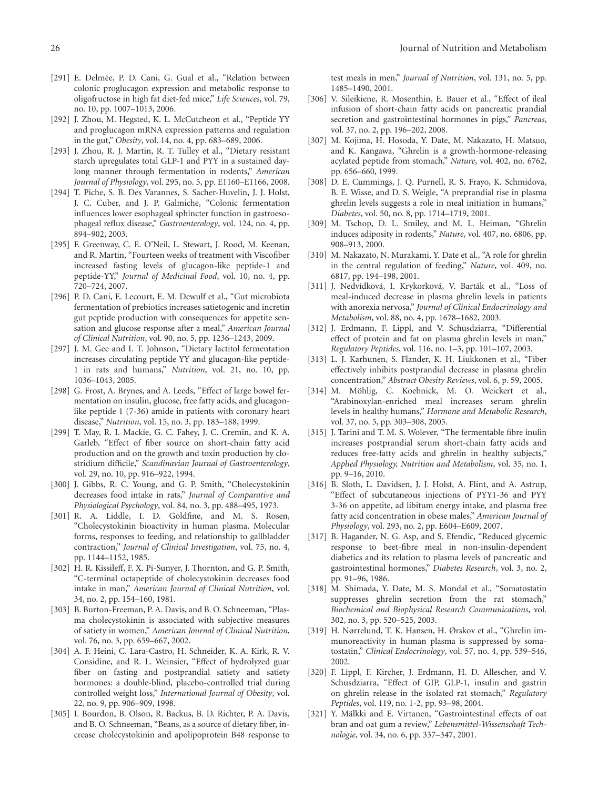- [291] E. Delmée, P. D. Cani, G. Gual et al., "Relation between colonic proglucagon expression and metabolic response to oligofructose in high fat diet-fed mice," *Life Sciences*, vol. 79, no. 10, pp. 1007–1013, 2006.
- [292] J. Zhou, M. Hegsted, K. L. McCutcheon et al., "Peptide YY and proglucagon mRNA expression patterns and regulation in the gut," *Obesity*, vol. 14, no. 4, pp. 683–689, 2006.
- <span id="page-25-0"></span>[293] J. Zhou, R. J. Martin, R. T. Tulley et al., "Dietary resistant starch upregulates total GLP-1 and PYY in a sustained daylong manner through fermentation in rodents," *American Journal of Physiology*, vol. 295, no. 5, pp. E1160–E1166, 2008.
- [294] T. Piche, S. B. Des Varannes, S. Sacher-Huvelin, J. J. Holst, J. C. Cuber, and J. P. Galmiche, "Colonic fermentation influences lower esophageal sphincter function in gastroesophageal reflux disease," *Gastroenterology*, vol. 124, no. 4, pp. 894–902, 2003.
- <span id="page-25-1"></span>[295] F. Greenway, C. E. O'Neil, L. Stewart, J. Rood, M. Keenan, and R. Martin, "Fourteen weeks of treatment with Viscofiber increased fasting levels of glucagon-like peptide-1 and peptide-YY," *Journal of Medicinal Food*, vol. 10, no. 4, pp. 720–724, 2007.
- <span id="page-25-2"></span>[296] P. D. Cani, E. Lecourt, E. M. Dewulf et al., "Gut microbiota fermentation of prebiotics increases satietogenic and incretin gut peptide production with consequences for appetite sensation and glucose response after a meal," *American Journal of Clinical Nutrition*, vol. 90, no. 5, pp. 1236–1243, 2009.
- <span id="page-25-3"></span>[297] J. M. Gee and I. T. Johnson, "Dietary lactitol fermentation increases circulating peptide YY and glucagon-like peptide-1 in rats and humans," *Nutrition*, vol. 21, no. 10, pp. 1036–1043, 2005.
- <span id="page-25-4"></span>[298] G. Frost, A. Brynes, and A. Leeds, "Effect of large bowel fermentation on insulin, glucose, free fatty acids, and glucagonlike peptide 1 (7-36) amide in patients with coronary heart disease," *Nutrition*, vol. 15, no. 3, pp. 183–188, 1999.
- <span id="page-25-5"></span>[299] T. May, R. I. Mackie, G. C. Fahey, J. C. Cremin, and K. A. Garleb, "Effect of fiber source on short-chain fatty acid production and on the growth and toxin production by clostridium difficile," *Scandinavian Journal of Gastroenterology*, vol. 29, no. 10, pp. 916–922, 1994.
- <span id="page-25-6"></span>[300] J. Gibbs, R. C. Young, and G. P. Smith, "Cholecystokinin decreases food intake in rats," *Journal of Comparative and Physiological Psychology*, vol. 84, no. 3, pp. 488–495, 1973.
- <span id="page-25-7"></span>[301] R. A. Liddle, I. D. Goldfine, and M. S. Rosen, "Cholecystokinin bioactivity in human plasma. Molecular forms, responses to feeding, and relationship to gallbladder contraction," *Journal of Clinical Investigation*, vol. 75, no. 4, pp. 1144–1152, 1985.
- <span id="page-25-8"></span>[302] H. R. Kissileff, F. X. Pi-Sunyer, J. Thornton, and G. P. Smith, "C-terminal octapeptide of cholecystokinin decreases food intake in man," *American Journal of Clinical Nutrition*, vol. 34, no. 2, pp. 154–160, 1981.
- <span id="page-25-9"></span>[303] B. Burton-Freeman, P. A. Davis, and B. O. Schneeman, "Plasma cholecystokinin is associated with subjective measures of satiety in women," *American Journal of Clinical Nutrition*, vol. 76, no. 3, pp. 659–667, 2002.
- <span id="page-25-10"></span>[304] A. F. Heini, C. Lara-Castro, H. Schneider, K. A. Kirk, R. V. Considine, and R. L. Weinsier, "Effect of hydrolyzed guar fiber on fasting and postprandial satiety and satiety hormones: a double-blind, placebo-controlled trial during controlled weight loss," *International Journal of Obesity*, vol. 22, no. 9, pp. 906–909, 1998.
- <span id="page-25-11"></span>[305] I. Bourdon, B. Olson, R. Backus, B. D. Richter, P. A. Davis, and B. O. Schneeman, "Beans, as a source of dietary fiber, increase cholecystokinin and apolipoprotein B48 response to

test meals in men," *Journal of Nutrition*, vol. 131, no. 5, pp. 1485–1490, 2001.

- <span id="page-25-12"></span>[306] V. Sileikiene, R. Mosenthin, E. Bauer et al., "Effect of ileal infusion of short-chain fatty acids on pancreatic prandial secretion and gastrointestinal hormones in pigs," *Pancreas*, vol. 37, no. 2, pp. 196–202, 2008.
- <span id="page-25-13"></span>[307] M. Kojima, H. Hosoda, Y. Date, M. Nakazato, H. Matsuo, and K. Kangawa, "Ghrelin is a growth-hormone-releasing acylated peptide from stomach," *Nature*, vol. 402, no. 6762, pp. 656–660, 1999.
- <span id="page-25-14"></span>[308] D. E. Cummings, J. Q. Purnell, R. S. Frayo, K. Schmidova, B. E. Wisse, and D. S. Weigle, "A preprandial rise in plasma ghrelin levels suggests a role in meal initiation in humans," *Diabetes*, vol. 50, no. 8, pp. 1714–1719, 2001.
- <span id="page-25-15"></span>[309] M. Tschop, D. L. Smiley, and M. L. Heiman, "Ghrelin induces adiposity in rodents," *Nature*, vol. 407, no. 6806, pp. 908–913, 2000.
- <span id="page-25-16"></span>[310] M. Nakazato, N. Murakami, Y. Date et al., "A role for ghrelin in the central regulation of feeding," *Nature*, vol. 409, no. 6817, pp. 194–198, 2001.
- <span id="page-25-17"></span>[311] J. Nedvídková, I. Krykorková, V. Barták et al., "Loss of meal-induced decrease in plasma ghrelin levels in patients with anorexia nervosa," *Journal of Clinical Endocrinology and Metabolism*, vol. 88, no. 4, pp. 1678–1682, 2003.
- <span id="page-25-18"></span>[312] J. Erdmann, F. Lippl, and V. Schusdziarra, "Differential effect of protein and fat on plasma ghrelin levels in man," *Regulatory Peptides*, vol. 116, no. 1–3, pp. 101–107, 2003.
- <span id="page-25-19"></span>[313] L. J. Karhunen, S. Flander, K. H. Liukkonen et al., "Fiber effectively inhibits postprandial decrease in plasma ghrelin concentration," *Abstract Obesity Reviews*, vol. 6, p. 59, 2005.
- <span id="page-25-20"></span>[314] M. Möhlig, C. Koebnick, M. O. Weickert et al., "Arabinoxylan-enriched meal increases serum ghrelin levels in healthy humans," *Hormone and Metabolic Research*, vol. 37, no. 5, pp. 303–308, 2005.
- <span id="page-25-21"></span>[315] J. Tarini and T. M. S. Wolever, "The fermentable fibre inulin increases postprandial serum short-chain fatty acids and reduces free-fatty acids and ghrelin in healthy subjects," *Applied Physiology, Nutrition and Metabolism*, vol. 35, no. 1, pp. 9–16, 2010.
- <span id="page-25-22"></span>[316] B. Sloth, L. Davidsen, J. J. Holst, A. Flint, and A. Astrup, "Effect of subcutaneous injections of PYY1-36 and PYY 3-36 on appetite, ad libitum energy intake, and plasma free fatty acid concentration in obese males," *American Journal of Physiology*, vol. 293, no. 2, pp. E604–E609, 2007.
- <span id="page-25-23"></span>[317] B. Hagander, N. G. Asp, and S. Efendic, "Reduced glycemic response to beet-fibre meal in non-insulin-dependent diabetics and its relation to plasma levels of pancreatic and gastrointestinal hormones," *Diabetes Research*, vol. 3, no. 2, pp. 91–96, 1986.
- <span id="page-25-24"></span>[318] M. Shimada, Y. Date, M. S. Mondal et al., "Somatostatin suppresses ghrelin secretion from the rat stomach," *Biochemical and Biophysical Research Communications*, vol. 302, no. 3, pp. 520–525, 2003.
- <span id="page-25-25"></span>[319] H. Nørrelund, T. K. Hansen, H. Ørskov et al., "Ghrelin immunoreactivity in human plasma is suppressed by somatostatin," *Clinical Endocrinology*, vol. 57, no. 4, pp. 539–546, 2002.
- <span id="page-25-26"></span>[320] F. Lippl, F. Kircher, J. Erdmann, H. D. Allescher, and V. Schusdziarra, "Effect of GIP, GLP-1, insulin and gastrin on ghrelin release in the isolated rat stomach," *Regulatory Peptides*, vol. 119, no. 1-2, pp. 93–98, 2004.
- <span id="page-25-27"></span>[321] Y. Mälkki and E. Virtanen, "Gastrointestinal effects of oat bran and oat gum a review," *Lebensmittel-Wissenschaft Technologie*, vol. 34, no. 6, pp. 337–347, 2001.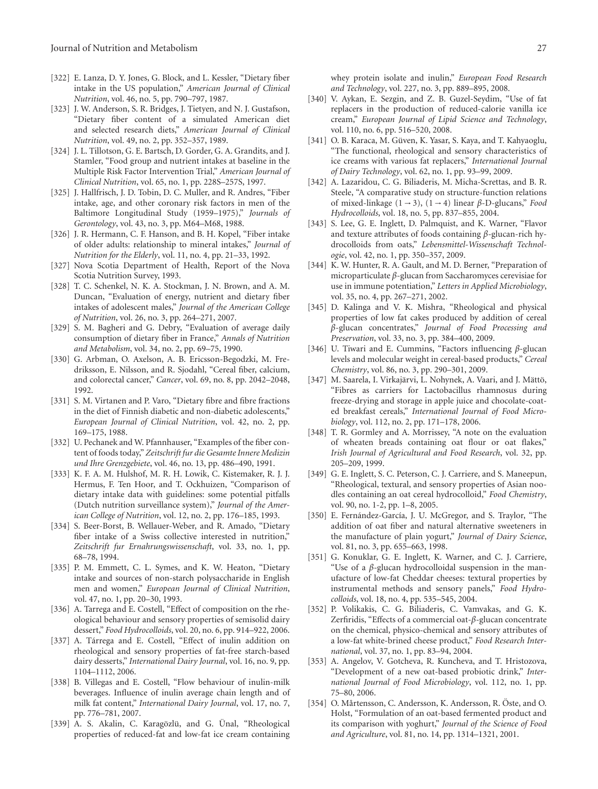- <span id="page-26-0"></span>[322] E. Lanza, D. Y. Jones, G. Block, and L. Kessler, "Dietary fiber intake in the US population," *American Journal of Clinical Nutrition*, vol. 46, no. 5, pp. 790–797, 1987.
- <span id="page-26-1"></span>[323] J. W. Anderson, S. R. Bridges, J. Tietyen, and N. J. Gustafson, "Dietary fiber content of a simulated American diet and selected research diets," *American Journal of Clinical Nutrition*, vol. 49, no. 2, pp. 352–357, 1989.
- <span id="page-26-2"></span>[324] J. L. Tillotson, G. E. Bartsch, D. Gorder, G. A. Grandits, and J. Stamler, "Food group and nutrient intakes at baseline in the Multiple Risk Factor Intervention Trial," *American Journal of Clinical Nutrition*, vol. 65, no. 1, pp. 228S–257S, 1997.
- <span id="page-26-3"></span>[325] J. Hallfrisch, J. D. Tobin, D. C. Muller, and R. Andres, "Fiber intake, age, and other coronary risk factors in men of the Baltimore Longitudinal Study (1959–1975)," *Journals of Gerontology*, vol. 43, no. 3, pp. M64–M68, 1988.
- <span id="page-26-4"></span>[326] J. R. Hermann, C. F. Hanson, and B. H. Kopel, "Fiber intake of older adults: relationship to mineral intakes," *Journal of Nutrition for the Elderly*, vol. 11, no. 4, pp. 21–33, 1992.
- <span id="page-26-5"></span>[327] Nova Scotia Department of Health, Report of the Nova Scotia Nutrition Survey, 1993.
- <span id="page-26-6"></span>[328] T. C. Schenkel, N. K. A. Stockman, J. N. Brown, and A. M. Duncan, "Evaluation of energy, nutrient and dietary fiber intakes of adolescent males," *Journal of the American College of Nutrition*, vol. 26, no. 3, pp. 264–271, 2007.
- <span id="page-26-7"></span>[329] S. M. Bagheri and G. Debry, "Evaluation of average daily consumption of dietary fiber in France," *Annals of Nutrition and Metabolism*, vol. 34, no. 2, pp. 69–75, 1990.
- <span id="page-26-8"></span>[330] G. Arbman, O. Axelson, A. B. Ericsson-Begodzki, M. Fredriksson, E. Nilsson, and R. Sjodahl, "Cereal fiber, calcium, and colorectal cancer," *Cancer*, vol. 69, no. 8, pp. 2042–2048, 1992.
- <span id="page-26-9"></span>[331] S. M. Virtanen and P. Varo, "Dietary fibre and fibre fractions in the diet of Finnish diabetic and non-diabetic adolescents," *European Journal of Clinical Nutrition*, vol. 42, no. 2, pp. 169–175, 1988.
- <span id="page-26-10"></span>[332] U. Pechanek and W. Pfannhauser, "Examples of the fiber content of foods today," *Zeitschrift fur die Gesamte Innere Medizin und Ihre Grenzgebiete*, vol. 46, no. 13, pp. 486–490, 1991.
- <span id="page-26-11"></span>[333] K. F. A. M. Hulshof, M. R. H. Lowik, C. Kistemaker, R. J. J. Hermus, F. Ten Hoor, and T. Ockhuizen, "Comparison of dietary intake data with guidelines: some potential pitfalls (Dutch nutrition surveillance system)," *Journal of the American College of Nutrition*, vol. 12, no. 2, pp. 176–185, 1993.
- <span id="page-26-12"></span>[334] S. Beer-Borst, B. Wellauer-Weber, and R. Amado, "Dietary fiber intake of a Swiss collective interested in nutrition," *Zeitschrift fur Ernahrungswissenschaft*, vol. 33, no. 1, pp. 68–78, 1994.
- <span id="page-26-13"></span>[335] P. M. Emmett, C. L. Symes, and K. W. Heaton, "Dietary intake and sources of non-starch polysaccharide in English men and women," *European Journal of Clinical Nutrition*, vol. 47, no. 1, pp. 20–30, 1993.
- <span id="page-26-14"></span>[336] A. Tarrega and E. Costell, "Effect of composition on the rheological behaviour and sensory properties of semisolid dairy dessert," *Food Hydrocolloids*, vol. 20, no. 6, pp. 914–922, 2006.
- [337] A. Tárrega and E. Costell, "Effect of inulin addition on rheological and sensory properties of fat-free starch-based dairy desserts," *International Dairy Journal*, vol. 16, no. 9, pp. 1104–1112, 2006.
- [338] B. Villegas and E. Costell, "Flow behaviour of inulin-milk beverages. Influence of inulin average chain length and of milk fat content," *International Dairy Journal*, vol. 17, no. 7, pp. 776–781, 2007.
- [339] A. S. Akalin, C. Karagözlü, and G. Ünal, "Rheological properties of reduced-fat and low-fat ice cream containing

whey protein isolate and inulin," *European Food Research and Technology*, vol. 227, no. 3, pp. 889–895, 2008.

- [340] V. Aykan, E. Sezgin, and Z. B. Guzel-Seydim, "Use of fat replacers in the production of reduced-calorie vanilla ice cream," *European Journal of Lipid Science and Technology*, vol. 110, no. 6, pp. 516–520, 2008.
- <span id="page-26-15"></span>[341] O. B. Karaca, M. Güven, K. Yasar, S. Kaya, and T. Kahyaoglu, "The functional, rheological and sensory characteristics of ice creams with various fat replacers," *International Journal of Dairy Technology*, vol. 62, no. 1, pp. 93–99, 2009.
- <span id="page-26-16"></span>[342] A. Lazaridou, C. G. Biliaderis, M. Micha-Screttas, and B. R. Steele, "A comparative study on structure-function relations of mixed-linkage (1 <sup>→</sup> 3), (1 <sup>→</sup> 4) linear *<sup>β</sup>*-D-glucans," *Food Hydrocolloids*, vol. 18, no. 5, pp. 837–855, 2004.
- <span id="page-26-17"></span>[343] S. Lee, G. E. Inglett, D. Palmquist, and K. Warner, "Flavor and texture attributes of foods containing *β*-glucan-rich hydrocolloids from oats," *Lebensmittel-Wissenschaft Technologie*, vol. 42, no. 1, pp. 350–357, 2009.
- <span id="page-26-18"></span>[344] K. W. Hunter, R. A. Gault, and M. D. Berner, "Preparation of microparticulate *β*-glucan from Saccharomyces cerevisiae for use in immune potentiation," *Letters in Applied Microbiology*, vol. 35, no. 4, pp. 267–271, 2002.
- <span id="page-26-19"></span>[345] D. Kalinga and V. K. Mishra, "Rheological and physical properties of low fat cakes produced by addition of cereal *β*-glucan concentrates," *Journal of Food Processing and Preservation*, vol. 33, no. 3, pp. 384–400, 2009.
- <span id="page-26-20"></span>[346] U. Tiwari and E. Cummins, "Factors influencing *β*-glucan levels and molecular weight in cereal-based products," *Cereal Chemistry*, vol. 86, no. 3, pp. 290–301, 2009.
- <span id="page-26-21"></span>[347] M. Saarela, I. Virkajärvi, L. Nohynek, A. Vaari, and J. Mättö, "Fibres as carriers for Lactobacillus rhamnosus during freeze-drying and storage in apple juice and chocolate-coated breakfast cereals," *International Journal of Food Microbiology*, vol. 112, no. 2, pp. 171–178, 2006.
- <span id="page-26-22"></span>[348] T. R. Gormley and A. Morrissey, "A note on the evaluation of wheaten breads containing oat flour or oat flakes," *Irish Journal of Agricultural and Food Research*, vol. 32, pp. 205–209, 1999.
- <span id="page-26-23"></span>[349] G. E. Inglett, S. C. Peterson, C. J. Carriere, and S. Maneepun, "Rheological, textural, and sensory properties of Asian noodles containing an oat cereal hydrocolloid," *Food Chemistry*, vol. 90, no. 1-2, pp. 1–8, 2005.
- <span id="page-26-24"></span>[350] E. Fernández-García, J. U. McGregor, and S. Traylor, "The addition of oat fiber and natural alternative sweeteners in the manufacture of plain yogurt," *Journal of Dairy Science*, vol. 81, no. 3, pp. 655–663, 1998.
- <span id="page-26-25"></span>[351] G. Konuklar, G. E. Inglett, K. Warner, and C. J. Carriere, "Use of a *β*-glucan hydrocolloidal suspension in the manufacture of low-fat Cheddar cheeses: textural properties by instrumental methods and sensory panels," *Food Hydrocolloids*, vol. 18, no. 4, pp. 535–545, 2004.
- <span id="page-26-26"></span>[352] P. Volikakis, C. G. Biliaderis, C. Vamvakas, and G. K. Zerfiridis, "Effects of a commercial oat-*β*-glucan concentrate on the chemical, physico-chemical and sensory attributes of a low-fat white-brined cheese product," *Food Research International*, vol. 37, no. 1, pp. 83–94, 2004.
- <span id="page-26-27"></span>[353] A. Angelov, V. Gotcheva, R. Kuncheva, and T. Hristozova, "Development of a new oat-based probiotic drink," *International Journal of Food Microbiology*, vol. 112, no. 1, pp. 75–80, 2006.
- <span id="page-26-28"></span>[354] O. Mårtensson, C. Andersson, K. Andersson, R. Öste, and O. Holst, "Formulation of an oat-based fermented product and its comparison with yoghurt," *Journal of the Science of Food and Agriculture*, vol. 81, no. 14, pp. 1314–1321, 2001.